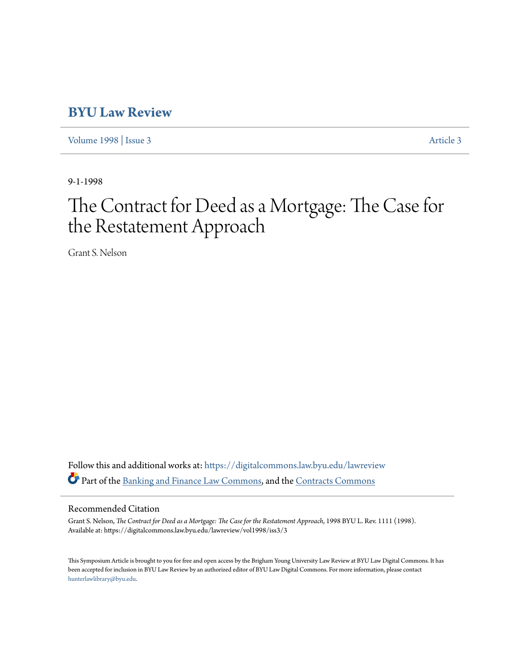# **[BYU Law Review](https://digitalcommons.law.byu.edu/lawreview?utm_source=digitalcommons.law.byu.edu%2Flawreview%2Fvol1998%2Fiss3%2F3&utm_medium=PDF&utm_campaign=PDFCoverPages)**

[Volume 1998](https://digitalcommons.law.byu.edu/lawreview/vol1998?utm_source=digitalcommons.law.byu.edu%2Flawreview%2Fvol1998%2Fiss3%2F3&utm_medium=PDF&utm_campaign=PDFCoverPages) | [Issue 3](https://digitalcommons.law.byu.edu/lawreview/vol1998/iss3?utm_source=digitalcommons.law.byu.edu%2Flawreview%2Fvol1998%2Fiss3%2F3&utm_medium=PDF&utm_campaign=PDFCoverPages) [Article 3](https://digitalcommons.law.byu.edu/lawreview/vol1998/iss3/3?utm_source=digitalcommons.law.byu.edu%2Flawreview%2Fvol1998%2Fiss3%2F3&utm_medium=PDF&utm_campaign=PDFCoverPages)

9-1-1998

# The Contract for Deed as a Mortgage: The Case for the Restatement Approach

Grant S. Nelson

Follow this and additional works at: [https://digitalcommons.law.byu.edu/lawreview](https://digitalcommons.law.byu.edu/lawreview?utm_source=digitalcommons.law.byu.edu%2Flawreview%2Fvol1998%2Fiss3%2F3&utm_medium=PDF&utm_campaign=PDFCoverPages) Part of the [Banking and Finance Law Commons](http://network.bepress.com/hgg/discipline/833?utm_source=digitalcommons.law.byu.edu%2Flawreview%2Fvol1998%2Fiss3%2F3&utm_medium=PDF&utm_campaign=PDFCoverPages), and the [Contracts Commons](http://network.bepress.com/hgg/discipline/591?utm_source=digitalcommons.law.byu.edu%2Flawreview%2Fvol1998%2Fiss3%2F3&utm_medium=PDF&utm_campaign=PDFCoverPages)

#### Recommended Citation

Grant S. Nelson, *The Contract for Deed as a Mortgage: The Case for the Restatement Approach*, 1998 BYU L. Rev. 1111 (1998). Available at: https://digitalcommons.law.byu.edu/lawreview/vol1998/iss3/3

This Symposium Article is brought to you for free and open access by the Brigham Young University Law Review at BYU Law Digital Commons. It has been accepted for inclusion in BYU Law Review by an authorized editor of BYU Law Digital Commons. For more information, please contact [hunterlawlibrary@byu.edu.](mailto:hunterlawlibrary@byu.edu)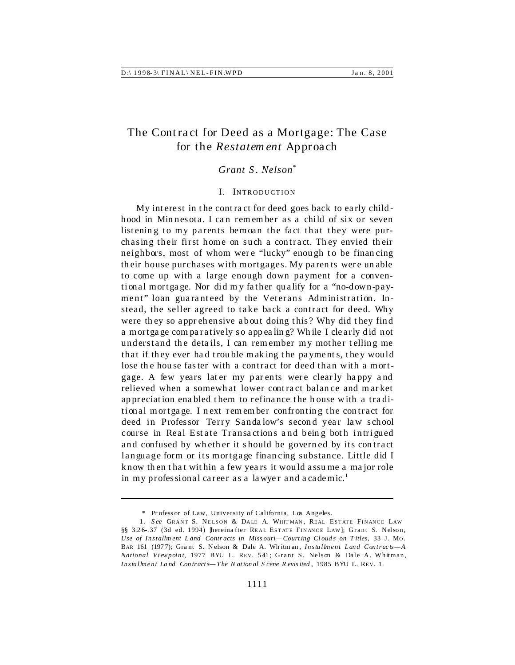# The Contract for Deed as a Mortgage: The Case for the *Restatement* Approach

### Grant S. Nelson<sup>\*</sup>

#### **I. INTRODUCTION**

My interest in the contract for deed goes back to early childhood in Minnesota. I can remember as a child of six or seven listening to my parents bemoan the fact that they were purchasing their first home on such a contract. They envied their neighbors, most of whom were "lucky" enough to be financing their house purchases with mortgages. My parents were unable to come up with a large enough down payment for a conventional mortgage. Nor did my father qualify for a "no-down-payment" loan guaranteed by the Veterans Administration. Instead, the seller agreed to take back a contract for deed. Why were they so apprehensive about doing this? Why did they find a mortgage comparatively so appealing? While I clearly did not understand the details, I can remember my mother telling me that if they ever had trouble making the payments, they would lose the house faster with a contract for deed than with a mortgage. A few years later my parents were clearly happy and relieved when a somewhat lower contract balance and market appreciation enabled them to refinance the house with a traditional mortgage. I next remember confronting the contract for deed in Professor Terry Sandalow's second year law school course in Real Estate Transactions and being both intrigued and confused by whether it should be governed by its contract language form or its mortgage financing substance. Little did I know then that within a few years it would assume a major role in my professional career as a lawyer and academic.<sup>1</sup>

<sup>\*</sup> Professor of Law, University of California, Los Angeles.

<sup>1.</sup> See GRANT S. NELSON & DALE A. WHITMAN, REAL ESTATE FINANCE LAW §§ 3.26-.37 (3d ed. 1994) [hereinafter REAL ESTATE FINANCE LAW]; Grant S. Nelson, Use of Installment Land Contracts in Missouri-Courting Clouds on Titles, 33 J. Mo. BAR 161 (1977); Grant S. Nelson & Dale A. Whitman, Installment Land Contracts-A National Viewpoint, 1977 BYU L. REV. 541; Grant S. Nelson & Dale A. Whitman, Installment Land Contracts-The National Scene Revisited, 1985 BYU L. REV. 1.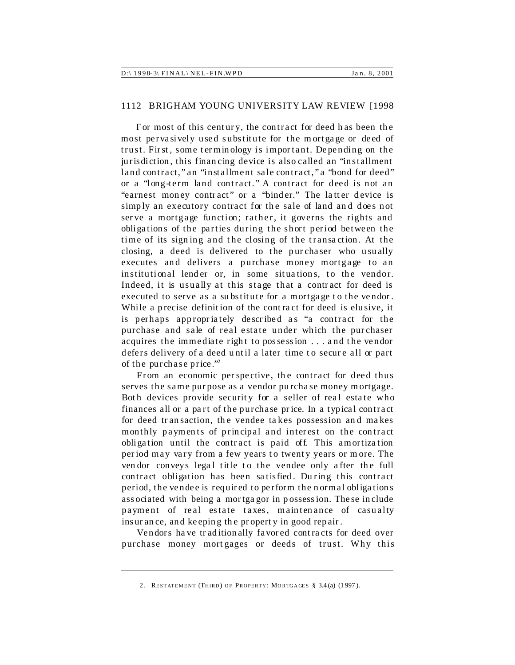| $D: 1998-3$ FINAL NEL-FIN. WPD | Jan. 8, 2001 |
|--------------------------------|--------------|
|                                |              |

For most of this century, the contract for deed has been the most pervasively used substitute for the mortgage or deed of trust. First, some terminology is important. Depending on the jurisdiction, this financing device is also called an "installment" land contract," an "installment sale contract," a "bond for deed" or a "long-term land contract." A contract for deed is not an "earnest money contract" or a "binder." The latter device is simply an executory contract for the sale of land and does not serve a mortgage function; rather, it governs the rights and obliga tion s of the parties during the short period between the time of its signing and the closing of the transaction. At the closing, a deed is delivered to the pur chaser who usually executes and delivers a purchase money mortgage to an institutional lender or, in some situations, to the vendor. Indeed, it is usually at this stage that a contract for deed is executed to serve as a substitute for a mortgage to the vendor. While a precise definit ion of the cont ra ct for deed is elusive, it is perhaps appropriately described as "a contract for the purchase and sale of real estate under which the purchaser acquires the immediate right to possession  $\dots$  and the vendor defers delivery of a deed until a later time to secure all or part of the purchase price."<sup>2</sup>

From an economic per spective, the contract for deed thus serves the same purpose as a vendor purchase money mortgage. Both devices provide security for a seller of real estate who finances all or a part of the purchase price. In a typical contract for deed tr ansaction, the vendee ta kes possession an d makes monthly payments of principal and interest on the contract obligation until the contract is paid off. This amortization period may vary from a few years to twenty years or more. The ven dor conveys legal title to the vendee only after the full contract obligation has been satisfied. During this contract period, the ve nde e is requir ed to perform the n ormal obliga tion s ass ociated with being a mortga gor in possession. These include payment of real estate taxes, maintenance of casualty insur an ce, and keeping th e propert y in good repair .

Vendors ha ve tr aditionally favor ed cont ra cts for deed over purchase money mort gages or deeds of trust. Why this

<sup>2.</sup> RESTATEMENT (THIRD) OF PROPERTY: MORTGAGES  $§ 3.4(a) (1997)$ .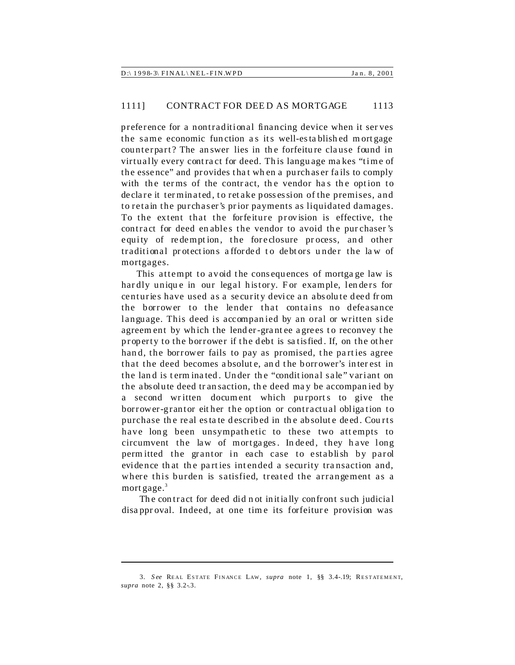|  | D:\ 1998-3\ FINAL\NEL-FIN.WPD |
|--|-------------------------------|

preference for a nontraditional financing device when it ser ves the same economic fun ction a s its well-esta blish ed m ortgage counterpart? The answer lies in the forfeiture clause found in virtually every contract for deed. This language makes "time of the essence" and provides that when a purchaser fails to comply with the terms of the contract, the vendor has the option to de clare it terminated, to retake possession of the premises, and to retain the purchaser's prior payments as liquidated damages. To the extent that the forfeiture provision is effective, the contract for deed en ables the vendor to avoid the purchaser's equity of re dempt ion, the foreclosure pr ocess, an d other traditional protections afforded to debtors under the law of mortgages.

This attempt to avoid the consequences of mortga ge law is hardly unique in our legal history. For example, lenders for centuries have used as a security device an absolute deed from the borrower to the lender that contains no defeasance language. This deed is accompanied by an oral or written side agreem ent by which the lend er-grant ee agrees to reconvey the property to the borrower if the debt is satisfied. If, on the other hand, the borrower fails to pay as promised, the parties agree that the deed becomes a bsolut e, an d t he b orr ower's in ter est in the lan d is t erm ina ted . Un der th e "condit ional sale" variant on the absolute deed tr ansaction, the deed ma y be accompan ied by a second written document which purports to give the borrower-grantor eit her the option or contractual obliga tion to purchase the real estate described in the absolute deed. Courts have long been unsympathetic to these two attempts to circumvent the law of mortgages. Indeed, they have long perm itted the grantor in each case to establish by parol evidence that the parties intended a security transaction and, where this burden is satisfied, treated the arrangement as a mort gage. $3$ 

The contract for deed did not initially confront such judicial disa ppr oval. Indeed, at one time its forfeiture provision was

<sup>3.</sup> See REAL ESTATE FINANCE LAW, *supra* note 1, §§ 3.4-.19; RESTATEMENT, *supra* note 2, §§ 3.2-.3.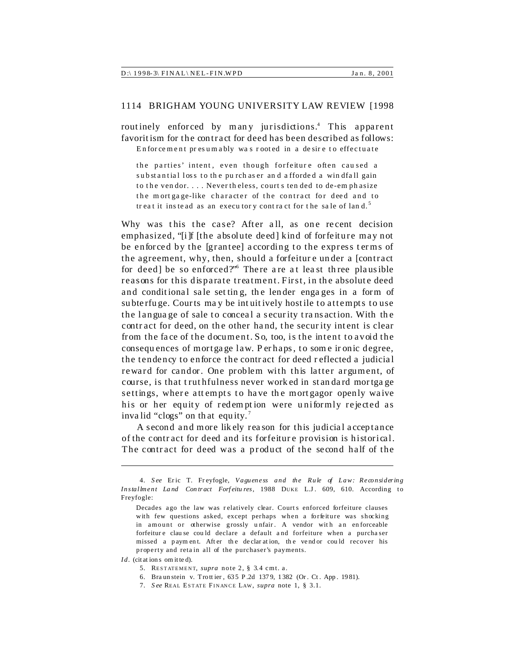routinely enforced by many jurisdictions.<sup>4</sup> This apparent favoritism for the contract for deed has been described as follows:

Enforcement presumably was rooted in a desire to effectuate

the parties' intent, even though forfeiture often caused a substantial loss to the purchaser and a fforded a windfall gain to the vendor.... Never the less, court s tended to de-emphasize the mortgage-like character of the contract for deed and to tr eat it instead as an executory contract for the sale of land.<sup>5</sup>

Why was this the case? After all, as one recent decision emphasized, "[i]f [the absolute deed] kind of forfeiture may not be enforced by the [grantee] according to the express terms of the agreement, why, then, should a forfeitur e un der a [contract for deed] be so enforced?" There are at least three plausible reasons for this disparate treatment. First, in the absolute deed and conditional sale setting, the lender engages in a form of subterfuge. Courts ma y be int uit ively hostile to attempts to use the langua ge of sale to conceal a security transaction. With the contr act for deed, on the other hand, the security intent is clear from the fa ce of the document. So, too, is the intent to avoid the consequences of mortgage law. Perhaps, to some ironic degree, the tendency to enforce the contr act for deed r eflected a judicial reward for candor. One problem with this latter argument, of course, is that truthfulness never work ed in stan dard mortga ge settings, where attempts to have the mortgagor openly waive his or her equity of redemption were uniformly rejected as invalid "clogs" on that equity.<sup>7</sup>

A second and more likely reason for this judicial acceptance of the contr act for deed and its forfeitur e provision is historical. The contr act for deed was a product of the second half of the

- *Id.* (cit at ion s om it ted).
	- 5. RESTATEMENT, *supra* note 2, § 3.4 cmt. a.
	- 6. Bra un stein v. Trott ier, 635 P.2d 1379, 1382 (Or. Ct. App. 1981).
	- 7. *See* REAL ESTATE FINANCE LAW, *supra* note 1, § 3.1.

<sup>4.</sup> *S ee* Er ic T. Fr eyfogle, *Vagueness and the Rule of Law: Reconsidering Installment La nd Con tr act Forf eitu res*, 1988 DUKE L.J . 609, 610. According to Freyfogle:

Decades ago the law was relatively clear. Courts enforced forfeiture clauses with few questions asked, except perhaps when a forfeiture was shocking in amount or otherwise grossly unfair. A vendor with an enforceable forfeiture clau se cou ld declare a default and forfeiture when a purcha ser missed a payment. After the declaration, the vendor could recover his property and reta in all of the purchaser's payments.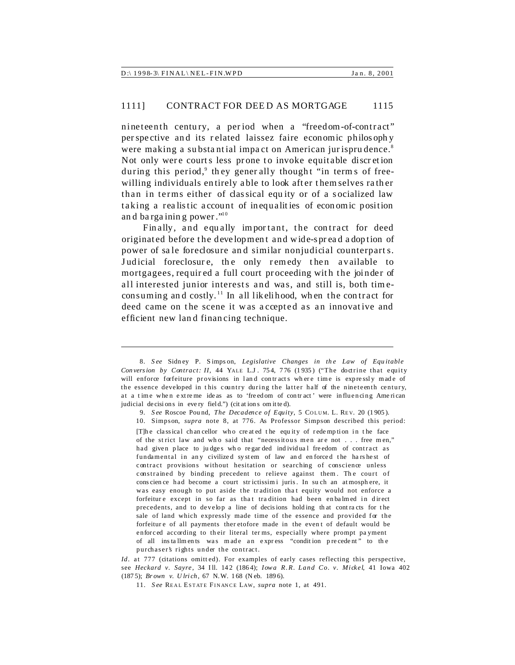|  | D:\ 1998-3\ FINAL\NEL-FIN.WPD |
|--|-------------------------------|

nineteenth century, a period when a "freed om-of-contract" per spective and its related laissez faire economic philos oph y were making a substantial impact on American jurispru dence.<sup>8</sup> Not only were court s less prone to invoke equitable discr et ion during this period,<sup>9</sup> they generally thought "in terms of freewilling individuals entirely able to look after them selves rather than in terms either of clas sical equ ity or of a s ocialized law taking a realistic account of inequalities of economic position an d ba rga inin g power."<sup>10</sup>

Finally, and equally important, the contract for deed originated before t he deve lopmen t and w ide-s pr ea d a dop tion of power of sa le foreclosure an d similar nonjudicial counterpart s. Judicial foreclosure, the only remedy then available to mortgagees, requir ed a full court proceeding with the joinder of all interested junior interests and was, and still is, both timeconsuming and costly.<sup>11</sup> In all likelihood, when the contract for deed came on the scene it was a ccepted as an innovative and efficient new lan d finan cing technique.

10. Simpson, *supra* note 8, at 776. As Professor Simpson described this period:

[T]he classical chancellor who created the equity of redemption in the face of the strict law and who said that "necessitous men are not . . . free men," had given place to judges who regarded individual freedom of contract as fundamental in any civilized system of law and enforced the harshest of contract provisions without hesitation or searching of conscience unless constrained by binding precedent to relieve against them. The court of cons cien ce had become a court str ictissim i juris . In su ch an at mosph ere, it was easy enough to put aside the tradition that equity would not enforce a forfeiture except in so far as that tradition had been enbalmed in direct precedents, and to develop a line of decisions holding that contracts for the sale of land which expressly made time of the essence and provided for the forfeitur e of all payments ther etofore made in the even t of default would be enforced according to th eir literal ter ms, especially where prompt pa yment of all installments was made an express "condition precedent" to the purchaser's rights under the contract.

<sup>8.</sup> See Sidney P. Simps on, *Legislative Changes in the Law of Equitable Conversion by Contract: II*, 44 YALE L.J. 754, 776 (1935) ("The doctrine that equity will enforce forfeiture provisions in land contracts where time is expressly made of the essence developed in this country during the latter half of the nineteenth century, at a time when extreme ide as as to 'freed om of contract' were influencing American judicial de cisions in every field.") (cit at ions om it ted).

<sup>9.</sup> See Roscoe Pound, *The Decadence of Equity*, 5 COLUM. L. REV. 20 (1905).

*Id.* at 777 (citations omitted). For examples of early cases reflecting this perspective, see *Heckard v. Sayre*, 34 Ill. 142 (1864); *Iowa R.R. Land Co. v. Mickel*, 41 Iowa 402 (187 5); *Br own v. U lri ch*, 67 N. W. 1 68 (N eb. 189 6).

<sup>11.</sup> *See* REAL ESTATE FINANCE LAW, *supra* note 1, at 491.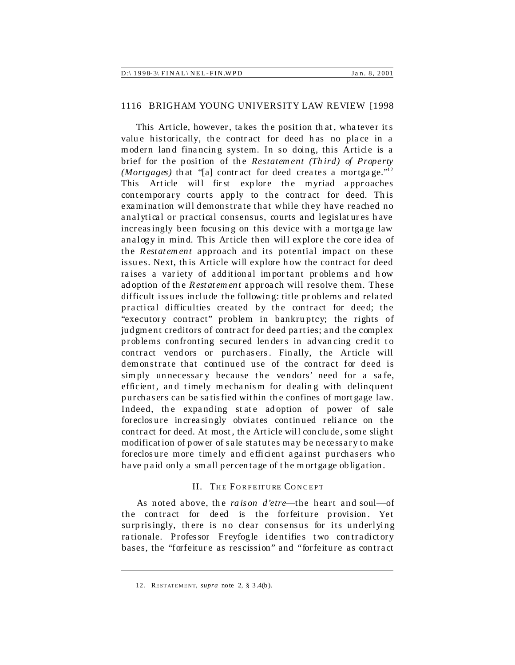| $D: 1998-3$ FINAL NEL-FIN. WPD<br>200<br>Jan. 8. |
|--------------------------------------------------|
|--------------------------------------------------|

This Article, however, takes the position that, whatever its value historically, the contract for deed has no place in a modern land financing system. In so doing, this Article is a brief for the position of the *Restatem ent (Th ird) of Property (Mortgages)* that "[a] contract for deed creates a mortgage."<sup>12</sup> This Article will first explore the myriad approaches contemporary courts apply to the contract for deed. This examination will demonstrate that while they have reached no analytical or practical consensus, courts and legislat ur es h ave increasingly been focusin g on this device with a mortga ge law analogy in mind. This Article then will explore the core idea of the *R estat em ent* approach and its potential impact on these issues. Next, this Article will explore how the contract for deed raises a variety of additional important problems and how adoption of the *Restatement* approach will resolve them. These difficult issues include the followin g: title pr oblems and related practical difficulties created by the contract for deed; the "executory contract" problem in bankru ptcy; the rights of judgment creditors of contract for deed parties; and the complex problems confronting secured lenders in advancing credit to contract vendors or purchasers. Finally, the Article will demonstrate that continued use of the contract for deed is simply unnecessary because the vendors' need for a safe, efficient, and timely mechanism for dealing with delinquent purchasers can be sa tisfied within th e confines of mortgage law. Indeed, the expanding state adoption of power of sale foreclos ure in crea singly obviates contin ued reliance on the contract for deed. At most , th e Article will con clu de , some slight modification of power of sale statutes may be necessary to make foreclos ure more timely and efficient against purchasers who have paid only a small per centage of the mortgage obligation.

### II. THE FORFEITURE CONCEPT

As noted above, the *raison d'etre*—the heart and soul—of the contract for deed is the forfeiture provision. Yet surprisingly, there is no clear consensus for its underlying rationale. Professor Freyfogle identifies two contradictory bases, the "forfeitur e as rescission" and "forfeiture as contract

<sup>12.</sup> RESTATEMENT, *supra* note 2, § 3.4(b).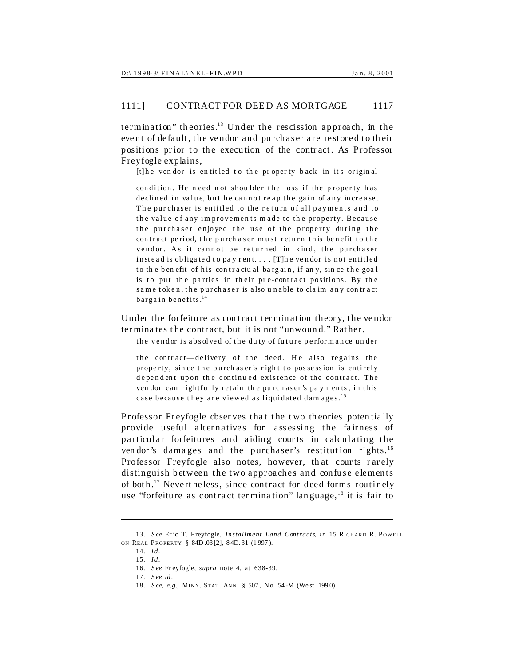| $D: 1998-3$ FINAL NEL-FIN.WPD | Jan. 8, 2001 |  |
|-------------------------------|--------------|--|
|                               |              |  |

termination" theories. $13$  Under the rescission approach, in the event of default, the vendor and purchaser are restored to their positions prior to the execution of the contr act. As Professor Freyfogle explains,

[t] he vendor is en titled to the property back in its original

condition. He need not shoulder the loss if the property has declined in value, but he cannot reap the gain of any increase. The purchaser is entitled to the return of all payments and to the value of any improvements made to the property. Because the purchaser enjoyed the use of the property during the contract period, the purch as er must return this benefit to the vendor. As it cannot be returned in kind, the purchaser in stead is obligated to pay rent.... [T]he vendor is not entitled to the benefit of his contractual bargain, if any, since the goal is to put the parties in their pre-contract positions. By the same token, the purchaser is also unable to claim any contract bargain benefits.<sup>14</sup>

Under the forfeiture as contract termination theory, the vendor ter mina tes t he contr act, but it is not "unwoun d." Rat her ,

the vendor is absolved of the duty of future performance under

the contract-delivery of the deed. He also regains the property, since the purch as er's right to possession is entirely dependent upon the continued existence of the contract. The ven dor can rightfully retain the purch as er's payments, in this case because they are viewed as liquidated dam ages.<sup>15</sup>

Professor Freyfogle observes that the two theories potentially provide useful alternatives for assessing the fairness of particular forfeitures and aiding courts in calculating the ven dor's damages and the purchaser's restitution rights.<sup>16</sup> Professor Freyfogle also notes, however, that courts rarely distinguish between the two approaches and confuse elements of bot h.<sup>17</sup> Nevert heless, since contract for deed forms routinely use "forfeiture as contract termination" language,  $18$  it is fair to

<sup>13.</sup> See Eric T. Freyfogle, *Installment Land Contracts*, *in* 15 RICHARD R. POWELL ON REAL PROPERTY § 84D .03 [2], 8 4D. 31 (1 997 ).

<sup>14.</sup> *Id.*

<sup>15.</sup> *Id.*

<sup>16.</sup> *S ee* Fr eyfogle, *supra* note 4, at 638-39.

<sup>17.</sup> *S ee id*.

<sup>18.</sup> *See, e.g.*, MINN. STAT. ANN. § 507, No. 54-M (West 1990).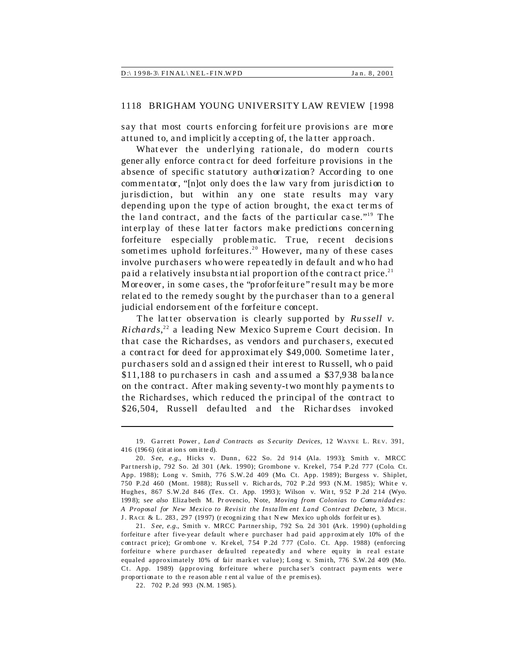say that most courts enforcing for feiture provisions are more attuned to, and implicitly accepting of, the latter approach.

What ever the underlying rationale, do modern courts gener ally enforce contra ct for deed forfeiture provisions in t he absence of specific statutory authorization? According to one commentator, "[n]ot only d oes the law vary from jurisdiction to jurisdiction, but within any one state results may vary depending upon the type of action brought, the exa ct ter ms of the land contract, and the facts of the particular case."<sup>19</sup> The interplay of these latter factors make predictions concerning forfeiture especially problematic. True, recent decisions sometimes uphold forfeitures.<sup>20</sup> However, many of these cases involve purchasers who were rep ea ted ly in default and w ho had paid a relatively insubstantial proportion of the contract price.<sup>21</sup> Moreover, in some cases, the "proforfeiture" result may be more relat ed to the remedy sought by the purchaser than to a general judicial endorsement of the forfeiture concept.

The latter observation is clearly supported by *Russell v*. *Richards*, <sup>22</sup> a leading New Mexico Suprem e Court decision. In that case the Richardses, as vendors and pur chaser s, execut ed a contract for deed for approximately \$49,000. Sometime later, purchasers sold an d assign ed their int erest to Russell, wh o paid  $$11,188$  to purchasers in cash and assumed a  $$37,938$  balance on the contract. After making seventy-two mont hly payments to the Richardses, which reduced th e principal of the contract to \$26,504, Russell defaulted and the Richardses invoked

21. *S ee, e.g.*, Smith v. MRCC Partner ship, 792 So. 2d 301 (Ark. 1990) (upholding forfeiture after five-year default where purchaser had paid approximately 10% of the contract price); Gr omb one v. Kr ek el, 754 P .2d 777 (Colo. Ct. App. 1988) (enforcing forfeiture where purchaser defaulted repeatedly and where equity in real estate equaled approximately 10% of fair mark et value); Long v. Smith, 776 S.W. 2d 4 09 (Mo. Ct. App. 1989) (approving forfeiture where purchaser's contract payments were proportionate to the reason able r ent al value of the premises).

<sup>19.</sup> Garrett Power, *Land Contracts as Security Devices*, 12 WAYNE L. REV. 391, 416 (196 6) (cit at ion s om it te d).

<sup>20.</sup> *S ee, e.g.*, Hicks v. Dunn , 622 So. 2d 914 (Ala. 1993); Smith v. MRCC Par tnersh ip, 792 So. 2d 301 (Ark. 1990); Grombone v. Krekel, 754 P.2d 777 (Colo. Ct. App. 1988); Long v. Smith, 776 S.W. 2d 409 (Mo. Ct. App. 1989); Burgess v. Shiplet, 750 P.2d 460 (Mont. 1988); Rus sell v. Rich ar ds, 702 P .2d 993 (N.M. 1985); Whit e v. Hughes, 867 S.W.2d 846 (Tex. Ct. App. 1993); Wilson v. Witt, 952 P.2d 214 (Wyo. 199 8); s*ee also* Eliza beth M. Pr ovencio, Note, *Moving from Colonias to Comu nidad es: A Proposal for New Mexico to Revisit the Insta llm en t Land Contract Debate*, 3 MICH . J. RACE & L. 283, 297 (1997) (recognizing that New Mexico upholds for feitures).

<sup>22.</sup> 702 P. 2d 993 (N. M. 1 985 ).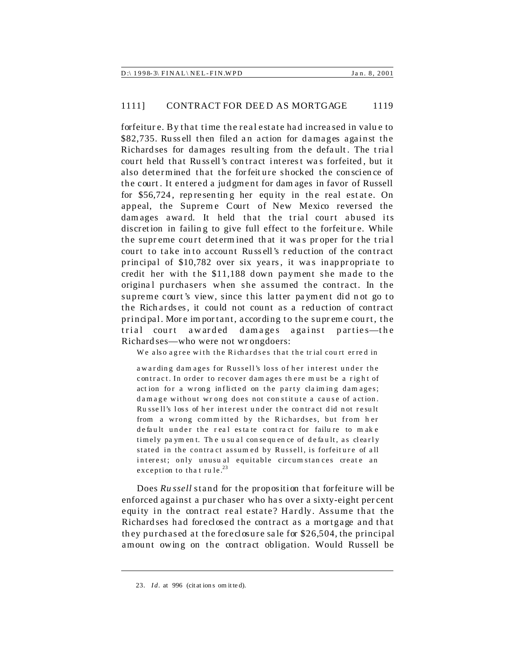| $D$ :\ 1998-3\ FINAL\ NEL-FIN.WPD<br>Jan. 8, 2001 |
|---------------------------------------------------|
|---------------------------------------------------|

forfeitur e. By that time the real estate had increased in value to \$82,735. Russell then filed an action for damages against the Richardses for damages resulting from the default. The trial court held that Russell's contract interest was forfeited, but it also determined that the for feit ure s hocked the con scien ce of the court . It entered a judgment for dam ages in favor of Russell for \$56,724, rep resen tin g her equity in the real estate. On appeal, the Supreme Court of New Mexico reversed the dam ages award. It held that the trial court abused its discret ion in failin g to give full effect to the forfeitur e. While the supreme court determined that it was proper for the trial court to take into account Russell's reduction of the contract principal of \$10,782 over six years, it was inappropriate to credit her with the \$11,188 down payment she made to the original purchasers when she assumed the contract. In the supreme court's view, since this latter payment did not go to the Rich ards es , it could not count as a red uction of contract principal. More important, according to the supreme court, the trial court awarded damages against parties—the Richardses—who were not wr ongdoers:

We also agree with the Richardses that the trial court erred in

awarding dam ages for Russell's loss of her interest under the contract. In order to recover damages there must be a right of action for a wrong inflicted on the party claiming damages; damage without wrong does not constitute a cause of action. Ru ssell's loss of her interest under the contract did not result from a wrong comm itted by the R ichardses, but from h er de fault under the real estate contract for failure to make timely pa ym en t. The u su al con se quen ce of de fault, as clearly stated in the contract assumed by Russell, is forfeiture of all interest; only unusual equitable circum stances create an exception to that rule.<sup>23</sup>

Does *Russell* stand for the proposition that forfeiture will be enforced against a purchaser who has over a sixty-eight percent equity in the contract real estate? Hardly. Assume that the Richardses had foreclosed the contract as a mortgage and that they purchased at the foreclosure sale for \$26,504, the principal amount owing on the contract obligation. Would Russell be

<sup>23.</sup> *Id.* at 996 (cit at ion s om it te d).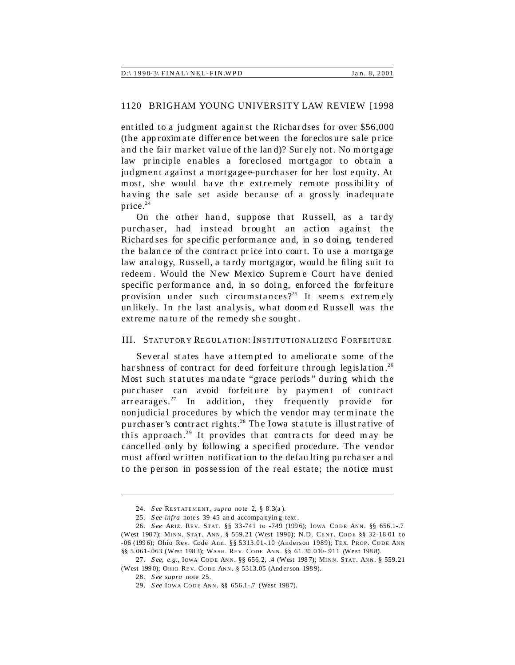| $D$ :\ 1998-3\ FINAL\ NEL-FIN.WPD<br>Jan. 8, 2001 |
|---------------------------------------------------|
|---------------------------------------------------|

entitled to a judgment against the Richardses for over \$56,000 (the app roxim ate differ en ce bet ween the for eclos ure s ale p rice and the fair market value of the lan d)? Sur ely not . No mortgage law principle enables a foreclosed mortgagor to obtain a judgment against a mortgagee-purchaser for her lost equity. At most, she would have the extremely remote possibility of having the sale set aside because of a grossly inadequate price.<sup>24</sup>

On the other hand, suppose that Russell, as a tardy purchaser, had in stead brought an action against the Richardses for specific performance and, in so doing, tendered the balance of the contract price into court. To use a mortgage law analogy, Russell, a tardy mortgagor, would be filing suit to redeem. Would the New Mexico Supreme Court have denied specific performance and, in so doing, enforced the forfeiture provision under such circumstances?<sup>25</sup> It seems extremely un likely. In the last analysis, what doom ed Russell was the extreme nature of the remedy she sought.

#### III. STATUT OR Y REGULATION: INSTITUTIONALIZING FORFEITURE

Several states have attempted to ameliorate some of the harshness of contract for deed forfeiture through legislation.<sup>26</sup> Most such st atutes ma ndate "grace periods " during which the pur chaser can avoid for feiture by payment of contract arrearages.<sup>27</sup> In addition, they frequently provide for nonjudicial procedures by which the vendor may ter minate the purchaser's contract rights.<sup>28</sup> The Iowa statute is illustrative of this approach.<sup>29</sup> It provides that contracts for deed may be cancelled only by following a specified procedure. The vendor must afford wr itten notificat ion to the defau lting pu rcha ser a nd to the person in possession of the real estate; the notice must

<sup>24.</sup> *See* RESTATEMENT, *supra* note 2, § 8.3(a).

<sup>25.</sup> *S ee infra* note s 39-45 an d accompa nyin g text .

<sup>26.</sup> *See* ARIZ. REV. STAT. §§ 33-741 to -749 (1996); IOWA CODE ANN. §§ 656.1-.7 (West 1987); MINN. STAT. ANN. § 559.21 (West 1990); N.D. CENT. CODE §§ 32-18-01 to -06 (1996); Ohio Rev. Code Ann. §§ 5313.01-10 (Anderson 1989); TEX. PROP. CODE ANN §§ 5.061-.063 (West 1983); WASH. REV. CODE ANN. §§ 61.30.010-911 (West 1988).

<sup>27.</sup> *See, e.g.*, IOWA CODE ANN. §§ 656.2, .4 (West 1987); MINN. STAT. ANN. § 559.21 (West 1990); OHIO REV. CODE ANN. § 5313.05 (And er son 1989).

<sup>28.</sup> *S ee supra* note 25.

<sup>29.</sup> *See* IOWA CODE ANN. §§ 656.1-.7 (West 1987).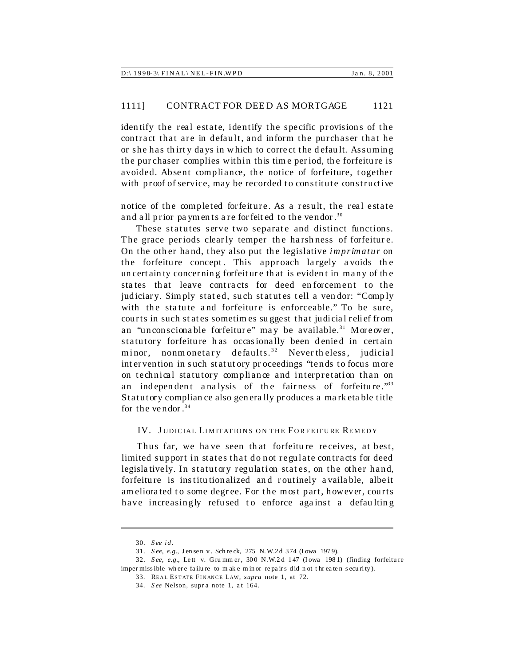|  | $D$ :\ 1998-3\ FINAL\ NEL-FIN.WPD | Jan. 8, 2001 |
|--|-----------------------------------|--------------|
|--|-----------------------------------|--------------|

identify the real estate, identify the specific provisions of the contract that are in default, and inform the purchaser that he or she has th irt y days in which to correct the default. Assuming the pur chaser complies within this tim e per iod, the forfeiture is avoided. Absent compliance, the notice of forfeiture, together with proof of service, may be recorded to constitute constructive

notice of the completed forfeiture. As a result, the real estate and all prior payments are for feited to the vendor.<sup>30</sup>

These statutes serve two separate and distinct functions. The grace periods clearly temper the harshness of forfeiture. On the other hand, they also put the legislative *imprimatur* on the forfeiture concept. This approach largely avoids the un cert ain ty concer nin g forfeit ur e th at is eviden t in many of th e states that leave contracts for deed enforcement to the judiciary. Simply stated, such statutes tell a vendor: "Comply with the statute and forfeiture is enforceable." To be sure, courts in such states sometimes suggest that judicial relief from an "unconscionable forfeiture" may be available.<sup>31</sup> Moreover, statutory forfeiture has occasionally been denied in certain minor, nonmonetary defaults.<sup>32</sup> Never the less, judicial int ervention in such stat ut ory pr oceedings "tends to focus more on technical statutory compliance and interpretation than on an indepen dent analysis of the fairness of forfeiture."<sup>33</sup> Statutory complian ce also genera lly produces a ma rk eta ble title for the vendor  $34$ 

#### IV. JUDICIAL LIMITATIONS ON THE FORFEITURE REMEDY

Thus far, we have seen th at forfeitu re receives, at best, limited support in states that do not regulate contracts for deed legisla tively. In statutory regulation states, on the other hand, forfeiture is institutionalized and routinely available, albeit am eliorated to some degree. For the most part, however, courts have increasingly refused to enforce against a defaulting

<sup>30.</sup> *S ee id.*

<sup>31.</sup> *See, e.g.*, Jensen v. Schreck, 275 N.W.2d 374 (I owa 1979).

<sup>32.</sup> *See, e.g.*, Lett v. Grummer, 300 N.W.2d 147 (Iowa 1981) (finding forfeiture imper miss ible where failure to make minor repairs did not threaten security).

<sup>33.</sup> REAL ESTATE FINANCE LAW, *supra* note 1, at 72.

<sup>34.</sup> *See* Nelson, supra note 1, at 164.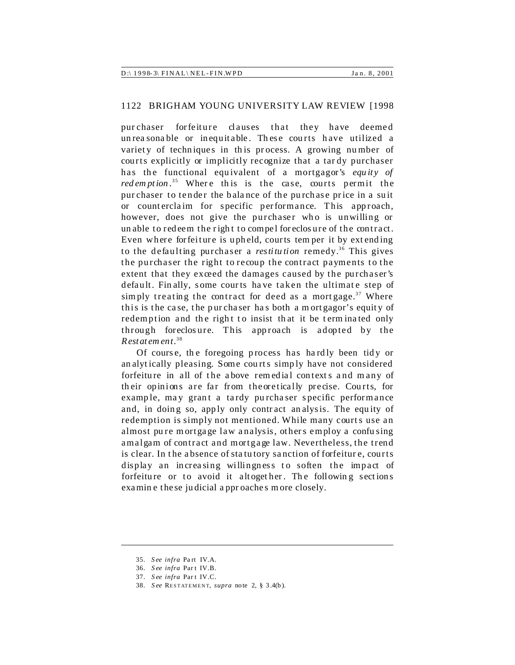| $D$ :\ 1998-3\ FINAL\ NEL-FIN.WPD<br>Jan. 8, 2001 |
|---------------------------------------------------|
|---------------------------------------------------|

pur chaser for feiture clauses that they have deemed un rea sona ble or in equitable. These courts have utilized a variety of techniques in this process. A growing number of courts explicitly or implicitly recognize that a tar dy purchaser has the functional equivalent of a mortgagor's *equ ity of red em pt ion.*<sup>35</sup> Where this is the case, courts permit the pur chaser to tender the bala nce of the purchase price in a suit or counterclaim for specific performance. This approach, however, does not give the purchaser who is unwilling or un able to red eem the r igh t to compe l for eclos ure of the contract. Even where forfeiture is upheld, courts tem per it by ext ending to the defaulting purchaser a *restitution* remedy.<sup>36</sup> This gives the purchaser the right to recoup the contract payments to the extent that they exceed the damages caused by the purchaser's default. Finally, some courts have taken the ultimate step of simply treating the contract for deed as a mortgage.<sup>37</sup> Where this is the case, the pur chaser ha s both a m ortgagor's equit y of redemption and the right to insist that it be terminated only through foreclosure. This approach is adopted by the *R estat em ent*. 38

Of course, the foregoing process has hardly been tidy or an alyt ically pleasing. Some cou rts simply have not considered forfeiture in all of the above remedial contexts and many of th eir opinions are far from theoretically precise. Cou rts, for example, may grant a tardy purchaser specific performance and, in doing so, apply only contract analysis. The equity of redemption is simply not mentioned. While many courts use an almost pu re m ortga ge law a nalysis, other s employ a confu sing amalgam of contract and mortgage law. Nevertheless, the trend is clear. In the absence of statutory sanction of forfeiture, courts display an increasing willingness to soften the impact of forfeiture or to avoid it altogether. The following sections examin e these judicial a ppr oaches more closely.

<sup>35.</sup> *S ee infra* Pa rt IV.A.

<sup>36.</sup> *S ee infra* Par t IV.B.

<sup>37.</sup> *S ee infra* Par t IV.C.

<sup>38.</sup> *See* RESTATEMENT, *supra* note 2, § 3.4(b).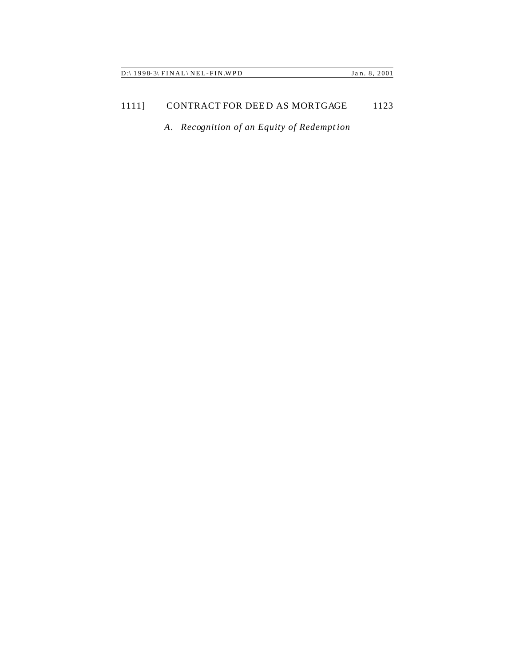| $D$ :\ 1998-3\ FINAL\ NEL-FIN.WPD | Jan. 8, 2001 |
|-----------------------------------|--------------|
|                                   |              |

*A. Recognition of an Equity of Redempt ion*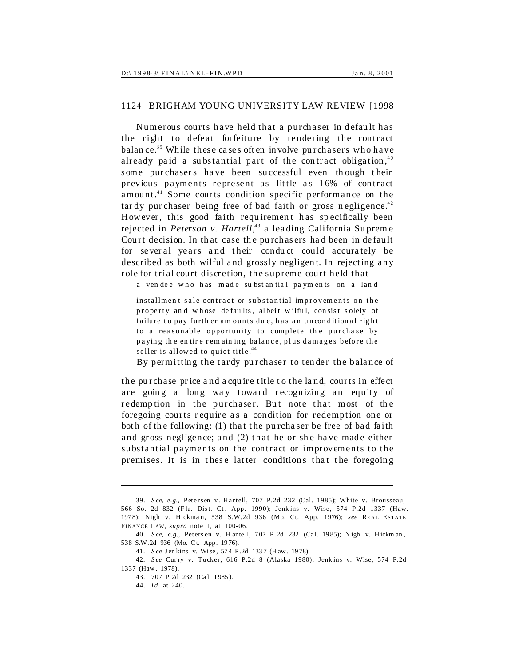|--|

Numerous courts have held that a purchaser in default has the right to defeat forfeiture by tendering the contract balance.<sup>39</sup> While these cases often involve purchasers who have already paid a substantial part of the contract obligation,  $40$ some purchasers have been successful even though their previous payments represent as little as 16% of contract amount.<sup>41</sup> Some courts condition specific performance on the tardy pur chaser being free of bad faith or gross n egligence.<sup>42</sup> However, this good faith requirement has specifically been rejected in *Peterson v. Hartell*,<sup>43</sup> a leading California Supreme Court decision. In that case the purchasers had been in default for se ver al years a nd t heir condu ct could accurately be described as both wilful and grossly negligent. In rejecting any role for trial court discretion, the supreme court held that

a ven dee who has made substantial payments on a land

installment sale contract or substantial improvements on the property an d w hose de fau lts , albeit w ilful, consist s olely of failure to pay furth er am ounts du e, has an unconditional right to a reasonable opportunity to complete the purchase by paying the entire remaining balance, plus damages before the seller is allowed to quiet title.<sup>44</sup>

By permitting the tardy purchaser to tender the balance of

the purchase price and a cquire title to the land, courts in effect are going a long way toward recognizing an equity of redemption in the purchaser. But note that most of the foregoing courts require as a condition for redemption one or both of the following: (1) that the purchaser be free of bad faith and gross negligence; and (2) that he or she have made either substantial payments on the contract or improvements to the premises. It is in these latter conditions that the foregoing

41. *See* Jenkins v. Wise, 574 P.2d 1337 (Haw. 1978).

<sup>39.</sup> *S ee, e.g.*, Petersen v. Hartell, 707 P.2d 232 (Cal. 1985); White v. Brousseau, 566 So. 2d 832 (Fla. Dist. Ct. App. 1990); Jenkins v. Wise, 574 P.2d 1337 (Haw. 197 8); Nigh v. Hickma n, 538 S.W.2d 936 (Mo. Ct. App. 1976); *see* REAL ESTATE FINANCE LAW, *supra* note 1, at 100-06.

<sup>40.</sup> *See, e.g.*, Peters en v. H ar te ll, 707 P.2d 232 (Cal. 1985); Nigh v. Hickman, 538 S.W.2d 936 (Mo. Ct. App. 1976).

<sup>42.</sup> *S ee* Cur ry v. Tucker, 616 P.2d 8 (Alaska 1980); Jenk ins v. Wise, 574 P.2d 1337 (Haw . 1978).

<sup>43. 707</sup> P.2d 232 (Cal. 1985).

<sup>44.</sup> *Id.* at 240.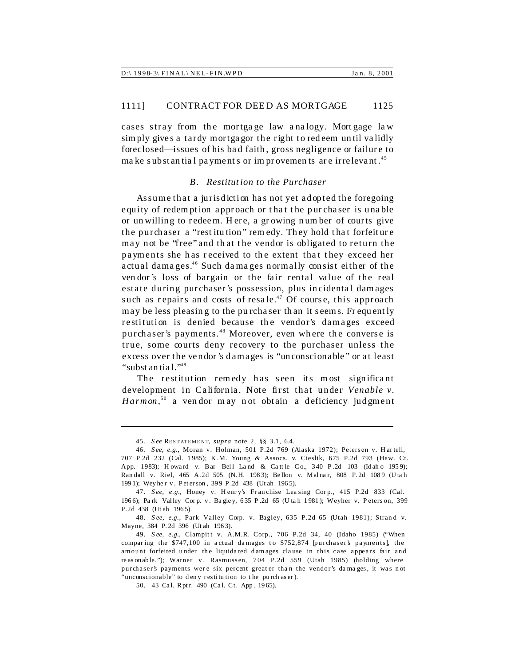| $D$ :\ 1998-3\ FINAL\ NEL-FIN.WPD | Jan. 8, 2001 |
|-----------------------------------|--------------|
|-----------------------------------|--------------|

cases stray from the mortgage law analogy. Mortgage law simply gives a tardy mortgagor the right to redeem until validly foreclosed—issues of his bad faith, gross negligence or failure to make substantial payments or improvements are irrelevant.<sup>45</sup>

#### **B.** Restitution to the Purchaser

Assume that a jurisdiction has not yet adopted the foregoing equity of redemption approach or that the purchaser is unable or unwilling to redeem. Here, a growing number of courts give the purchaser a "restitution" remedy. They hold that forfeiture may not be 'free" and that the vendor is obligated to return the payments she has received to the extent that they exceed her actual damages.<sup>46</sup> Such damages normally consist either of the vendor's loss of bargain or the fair rental value of the real estate during purchaser's possession, plus incidental damages such as repairs and costs of resale.<sup>47</sup> Of course, this approach may be less pleasing to the purchaser than it seems. Frequently restitution is denied because the vendor's damages exceed purchaser's payments.<sup>48</sup> Moreover, even where the converse is true, some courts deny recovery to the purchaser unless the excess over the vendor's damages is "unconscionable" or at least "subst an tia  $1.^{49}$ 

The restitution remedy has seen its most significant development in California. Note first that under Venable v. Harmon,<sup>50</sup> a vendor may not obtain a deficiency judgment

<sup>45.</sup> See RESTATEMENT, supra note 2, §§ 3.1, 6.4.

<sup>46.</sup> See, e.g., Moran v. Holman, 501 P.2d 769 (Alaska 1972); Petersen v. Hartell, 707 P.2d 232 (Cal. 1985); K.M. Young & Assocs. v. Cieslik, 675 P.2d 793 (Haw. Ct. App. 1983); Howard v. Bar Bell Land & Cattle Co., 340 P.2d 103 (Idaho 1959); Randall v. Riel, 465 A.2d 505 (N.H. 1983); Bellon v. Malnar, 808 P.2d 1089 (Utah 1991); Weyher v. Peterson, 399 P.2d 438 (Utah 1965).

<sup>47.</sup> See, e.g., Honey v. Henry's Franchise Leasing Corp., 415 P.2d 833 (Cal. 1966); Park Valley Corp. v. Bagley, 635 P.2d 65 (Utah 1981); Weyher v. Peters on, 399 P.2d 438 (Ut ah 1965).

<sup>48.</sup> See, e.g., Park Valley Corp. v. Bagley, 635 P.2d 65 (Utah 1981); Strand v. Mayne, 384 P.2d 396 (Ut ah 1963).

<sup>49.</sup> See, e.g., Clampitt v. A.M.R. Corp., 706 P.2d 34, 40 (Idaho 1985) ("When comparing the \$747,100 in actual damages to \$752,874 [purchaser's payments], the amount forfeited under the liquidated damages clause in this case appears fair and reasonable."); Warner v. Rasmussen, 704 P.2d 559 (Utah 1985) (holding where purchaser's payments were six percent greater than the vendor's damages, it was not "unconscionable" to deny restitution to the purch as er).

<sup>50. 43</sup> Cal. Rptr. 490 (Cal. Ct. App. 1965).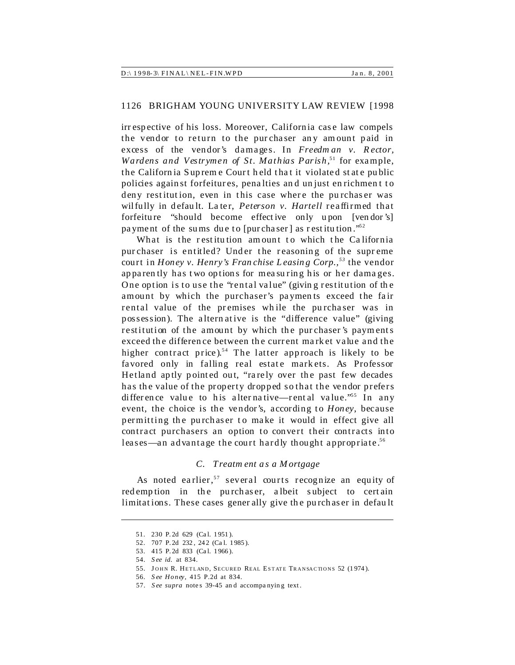| $D$ :\ 1998-3\ FINAL\ NEL-FIN.WPD<br>Jan. 8, 2001 |
|---------------------------------------------------|
|---------------------------------------------------|

irr espective of his loss. Moreover, California case law compels the vendor to return to the pur chaser an y am ount paid in excess of the ven dor's damages. In *Freedm an v. R ector, Wardens and Vestrymen of St. Mathias Parish*,<sup>51</sup> for example, the Californ ia Supreme Court held that it violated state public policies against forfeitures, penalties an d unjust en richmen t to deny restitution, even in this case where the purchaser was wilfully in defau lt. La ter, *Peterson v. Hartell* reaffirmed that forfeiture "should become effective only upon [ven dor's] payment of the sums due to [purchaser ] as r est itu tion."<sup>52</sup>

What is the restitution amount to which the California pur chaser is entitled? Under the reasoning of the supreme court in *Honey v. Henry's Fran chise Leasing Corp.,<sup>53</sup>* the vendor apparently has two options for measuring his or her damages. One option is to use the "rental value" (giving restitution of the amount by which the purchaser's paymen ts exceed the fair rental value of the premises wh ile the pu rchaser was in possession). The alternative is the "difference value" (giving restitution of the amount by which the purchaser's payments exceed the difference between the current market value and the higher contract price).<sup>54</sup> The latter approach is likely to be favored only in falling real estate markets. As Professor Hetland aptly pointed out, "rarely over the past few decades has the value of the property dropped so that the vendor prefers differ en ce value to his alternative—rent al value."<sup>55</sup> In any event, the choice is the vendor's, according to *Honey*, because permitting the purchaser to make it would in effect give all contract purchasers an option to convert their contracts into leases—an advantage the court hardly thought appropriate.<sup>56</sup>

#### *C. Treatm ent as a M ortgage*

As noted earlier,<sup>57</sup> several courts recognize an equity of redemption in the purchaser, albeit subject to certain limitations. These cases generally give the purchaser in default

<sup>51. 230</sup> P.2d 629 (Cal. 1951).

<sup>52. 707</sup> P.2d 232, 242 (Cal. 1985).

<sup>53. 415</sup> P.2d 833 (Cal. 1966).

<sup>54.</sup> *S ee id.* at 834.

<sup>55.</sup> JOHN R. HETLAND, SECURED REAL ESTATE TRANSACTIONS 52 (1974).

<sup>56.</sup> *S ee Honey*, 415 P.2d at 834.

<sup>57.</sup> *S ee supra* note s 39-45 an d accompa nyin g text *.*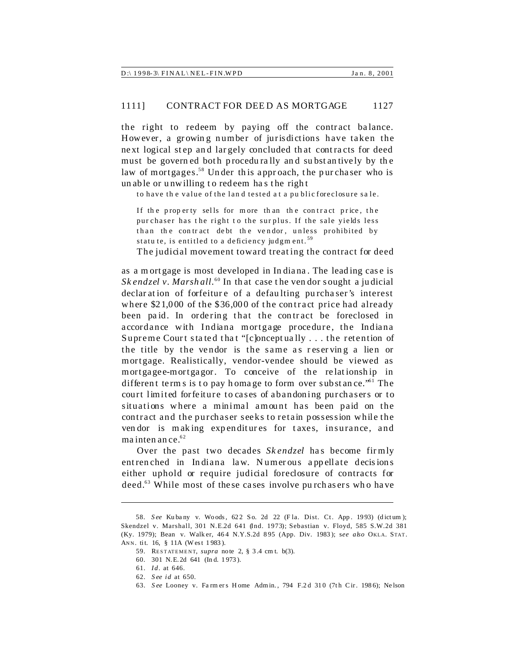| $D$ :\ 1998-3\ FINAL\ NEL-FIN.WPD | Jan. 8, 2001 |
|-----------------------------------|--------------|
|                                   |              |

the right to redeem by paying off the contract balance. However, a growing number of jurisdictions have taken the next logical step and largely concluded that contracts for deed must be govern ed both procedu ra lly an d su bst an tively by th e law of mortgages.<sup>58</sup> Under this approach, the purchaser who is un able or unwilling to redeem has the right

to have the value of the land tested at a public foreclosure sale.

If the property sells for more than the contract price, the purchaser has the right to the surplus. If the sale yields less than the contract debt the vendor, unless prohibited by statu te, is entitled to a deficiency judgm ent.<sup>59</sup>

The judicial movement toward treat ing the contract for deed

as a m ortgage is most developed in In diana . The leading case is *Sk endzel v. Marshall.*<sup>60</sup> In that case the ven dor sought a judicial declaration of forfeiture of a defaulting purchaser's interest where  $$21,000$  of the  $$36,000$  of the contract price had already been paid. In ordering that the contract be foreclosed in accordance with Indiana mortgage procedure, the Indiana Supreme Court stated that "[c]onceptually ... the retention of the title by the vendor is the same as reserving a lien or mortgage. Realistically, vendor-vendee should be viewed as mortgagee-mortgagor. To conceive of the relationship in different terms is to pay homage to form over substance.<sup> $5$ </sup> The court limited forfeiture to cases of abandoning purchasers or to situations where a minimal amount has been paid on the contract and the purchaser seeks to retain possession while the ven dor is making expenditures for taxes, insurance, and mainten ance. $62$ 

Over the past two decades *Sk endzel* has become firmly entrenched in Indiana law. Numerous appellate decisions either uphold or require judicial foreclosure of contracts for deed.<sup>63</sup> While most of these cases involve purchasers who have

- 62. *S ee id* at 650.
- 63. *See* Looney v. Farm ers Home Admin., 794 F.2d 310 (7th Cir. 1986); Nelson

<sup>58.</sup> *See* Kubany v. Woods, 622 So. 2d 22 (Fla. Dist. Ct. App. 1993) (dictum); Skendzel v. Marshall, 301 N.E.2d 641 (Ind. 1973); Sebastian v. Floyd, 585 S.W.2d 381 (Ky. 1979); Bean v. Walk er, 46 4 N.Y.S.2d 8 95 (App. Div. 1983 ); s*ee also* OKLA. STAT . ANN. tit. 16, § 11A (West 1983).

<sup>59.</sup> RESTATEMENT, *supra* note 2, § 3.4 cm t. b(3).

<sup>60.</sup> 301 N. E. 2d 641 (In d. 1 973 ).

<sup>61.</sup> *Id.* at 646.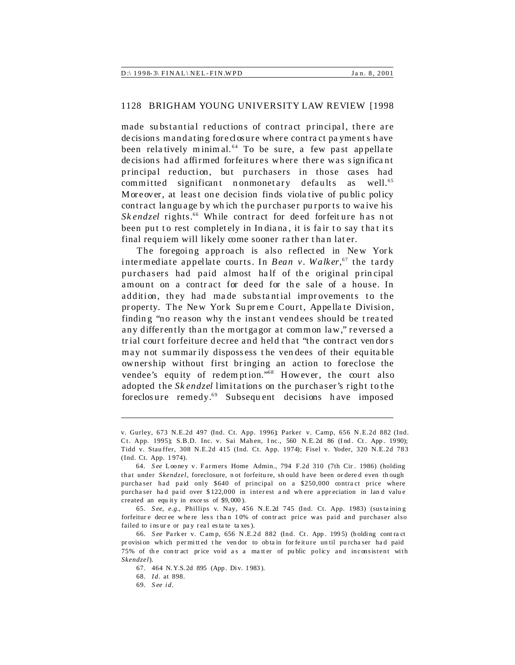|--|

made substantial reductions of contract principal, there are de cision s mandating foreclosure where contra ct pa yment s have been relatively minimal.<sup>64</sup> To be sure, a few past appellate de cisions had affirmed for feitures where there was significant principal reduction, but purchasers in those cases had committed significant nonmonetary defaults as well.<sup>65</sup> Moreover, at least one decision finds viola tive of pu blic policy contract language by which the purchaser purports to waive his Skendzel rights.<sup>66</sup> While contract for deed forfeiture has not been put to rest completely in Indiana, it is fair to say that its final requiem will likely come sooner rather than later.

The foregoing approach is also reflected in New York intermediate appellate courts. In *Bean v. Walker*, <sup>67</sup> the tardy purchasers had paid almost half of the original principal amount on a contract for deed for the sale of a house. In addition, they had made substantial improvements to the property. The New York Supreme Court, Appellate Division, finding "no reason why the instant vendees should be treated any differently than the mortgagor at common law," reversed a trial court forfeiture decree and held that "the contract vendors" may not summar ily dispossess t he ven dees of their equita ble ownership without first bringing an action to foreclose the vendee's equity of redem ption."<sup>68</sup> However, the court also adopted the *Sk endzel* limitations on the purchaser's right to the foreclos ure remedy.<sup>69</sup> Subsequent decisions have imposed

65. *S ee*, *e.g.*, Phillips v. Nay, 456 N.E.2d 745 (Ind. Ct. App. 1983) (sus ta inin g forfeiture decree where less than 10% of contract price was paid and purchaser also failed to insure or pay real estate taxes).

66. *S ee* Pa rk er v. C am p, 656 N .E.2 d 882 (Ind. Ct . App . 199 5) (h oldi ng cont ra ct pr ovision which per mitted the vendor to obtain for feiture until purchaser had paid 75% of the contract price void as a matter of public policy and inconsistent with *Skendzel*).

67. 464 N.Y.S. 2d 895 (App. Div. 1983).

68. *Id.* at 898.

69. *S ee id.*

v. Gurley, 673 N.E.2d 497 (Ind. Ct. App. 1996); Parker v. Camp, 656 N .E.2d 882 (Ind. Ct. App. 1995); S.B.D. Inc. v. Sai Mahen, Inc., 560 N.E.2d 86 (Ind. Ct. App. 1990); Tidd v. Stau ffer, 308 N.E.2d 415 (Ind. Ct. App. 1974); Fisel v. Yoder, 320 N.E.2d 783 (Ind. Ct. App. 1 974).

<sup>64.</sup> *See* Looney v. Farmers Home Admin., 794 F.2d 310 (7th Cir. 1986) (holding that under *Skendzel*, foreclosure, n ot forfeitu re, sh ould h ave been or dere d even th ough purchaser had paid only \$640 of principal on a \$250,000 contract price where purcha ser had paid over \$122,000 in interest and where appreciation in land value created an equity in excess of \$9,000).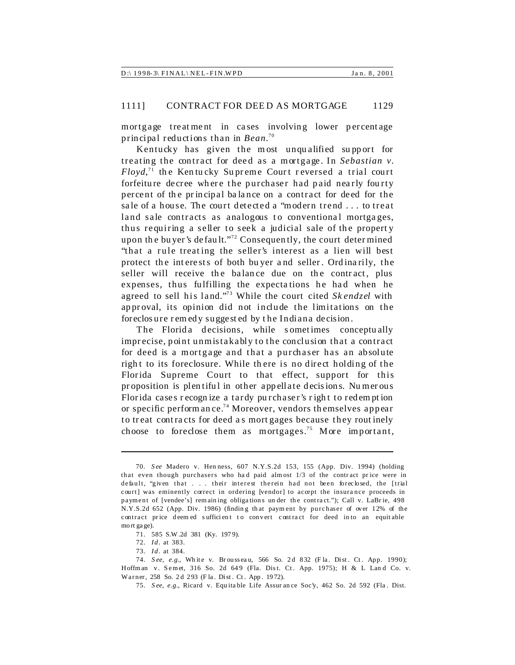|--|

mortgage treat ment in cases involving lower percent age principal reductions than in *Bean*. 70

Kentucky has given the m ost unqu alified su pp ort for treating the contract for deed as a mortgage. In *Sebastian v*. *Floyd*,<sup>71</sup> the Kentucky Supreme Court reversed a trial court forfeiture decree where the purchaser had paid nearly fourty percent of th e pr in cipal ba la nce on a contract for deed for the sale of a house. The court detected a "modern trend . . . to treat land sale contracts as analogous to conventional mortgages, thus requiring a seller to seek a judicial sale of the property upon the buyer's default."<sup>72</sup> Consequently, the court determined "that a rule treating the seller's interest as a lien will best protect the interests of both buyer and seller. Ordinarily, the seller will receive the balance due on the contract, plus expenses, thus fulfilling the expectations he had when he agreed to sell his land."<sup>73</sup> While the court cited *Sk endzel* with approval, its opinion did not include the limitations on the foreclos ure r em ed y suggest ed by t he Indiana decision .

The Florida decisions, while sometimes conceptu ally imprecise, point unmistakably to the conclusion that a contract for deed is a mortgage and that a purchaser has an absolute right to its foreclosure. While there is no direct holding of the Florida Supreme Court to that effect, support for this proposition is plentiful in other appellate decisions. Numerous Florida cases recognize a tardy purchaser's right to redemption or specific perform an ce.<sup>74</sup> Moreover, vendors themselves appear to treat contracts for deed as mort gages because they routinely choose to foreclose them as mortgages.<sup>75</sup> More important,

<sup>70.</sup> *S ee* Madero v. Hen ness, 607 N.Y.S.2d 153, 155 (App. Div. 1994) (holding that even though purchasers who had paid almost 1/3 of the contract price were in default, "given that . . . their interest therein had not been foreclosed, the [trial court] was eminently correct in ordering [vendor] to accept the insura nce proceeds in payment of [vendee's] remaining obligations under the contract."); Call v. LaBrie, 498 N.Y.S.2d 652 (App. Div. 1986) (finding that payment by purchaser of over 12% of the contract price deemed sufficient to convert contract for deed into an equitable mo rt ga ge).

<sup>71.</sup> 585 S.W .2d 381 (Ky. 197 9).

<sup>72.</sup> *Id.* at 383.

<sup>73.</sup> *Id.* at 384.

<sup>74.</sup> *See, e.g.*, White v. Brousseau, 566 So. 2d 832 (Fla. Dist. Ct. App. 1990); Hoffman v. Semet, 316 So. 2d 649 (Fla. Dist. Ct. App. 1975); H & L Land Co. v. Warner, 258 So. 2d 293 (Fla. Dist. Ct. App. 1972).

<sup>75.</sup> *S ee, e.g.*, Ricard v. Equ ita ble Life Assur an ce Soc'y, 462 So. 2d 592 (Fla . Dist.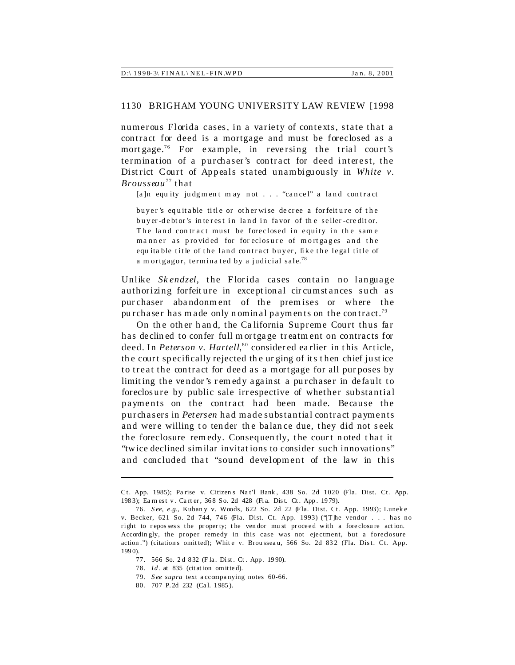| D:\ 1998-3\ FINAL\NEL-FIN.WPD_ | Jan. 8, 2001 |  |
|--------------------------------|--------------|--|
|                                |              |  |

numerous Florida cases, in a variety of contexts, state that a contract for deed is a mortgage and must be foreclosed as a mortgage.<sup>76</sup> For example, in reversing the trial court's termination of a purchaser's contract for deed interest, the District Court of Appeals stated unambiguously in *White v. Brousseau*<sup>77</sup> that

[a]n equity judgment may not . . . "cancel" a land contract

buyer's equitable title or otherwise de cree a forfeiture of the buy er-debtor's interest in land in favor of the seller-creditor. The land contract must be foreclosed in equity in the same manner as provided for foreclosure of mortgages and the equitable title of the land contract buyer, like the legal title of a m ortgagor, termina ted by a judicial sale.<sup>78</sup>

Unlike *Skendzel*, the Florida cases contain no language authorizing forfeit ure in exce pt ion al cir cumst ances such as pur chaser abandonment of the premises or where the purchaser has made only nominal payments on the contract.<sup>79</sup>

On the other hand, the California Supreme Court thus far has declin ed to confer full m ortgage treatm ent on contracts for deed. In *Peterson v. Hartell*,<sup>80</sup> considered earlier in this Article, the court specifically rejected the ur ging of its then chief just ice to treat the contract for deed as a mortgage for all pur poses by limiting the vendor's remedy against a purchaser in default to foreclosure by public sale irrespective of whether substantial payments on the contract had been made. Because the purchasers in *Petersen* had made substantial contract payments and were willing to tender the balance due, they did not seek the foreclosure remedy. Consequently, the court noted that it "tw ice declined similar invitat ions to consider such innovations" and concluded that "sound development of the law in this

- 79. *S ee supra* text a ccompa nying notes 60-66.
- 80. 707 P.2d 232 (Cal. 1985).

Ct. App. 1985); Pa rise v. Citizen s Na t'l Bank , 438 So. 2d 1020 (Fla. Dist. Ct. App. 198 3); Ea rn est v. Ca rt er, 368 So. 2d 428 (Fl a. Dist. Ct. App. 1979).

<sup>76.</sup> *S ee, e.g.*, Kuban y v. Woods, 622 So. 2d 22 (F la. Dist. Ct. App. 1993); Lunek e v. Becker, 621 So. 2d 744, 746 (Fla. Dist. Ct. App. 1993) ('The vendor . . . has no right to repossess the property; the vendor must proceed with a foreclosure action. Accordin gly, the proper remedy in this case was not ejectment, but a foreclosure action .") (citations omitted); White v. Brousseau, 566 So. 2d 832 (Fla. Dist. Ct. App. 199 0).

<sup>77. 566</sup> So. 2d 832 (Fla. Dist. Ct. App. 1990).

<sup>78.</sup> *Id.* at 835 (cit at ion om it te d).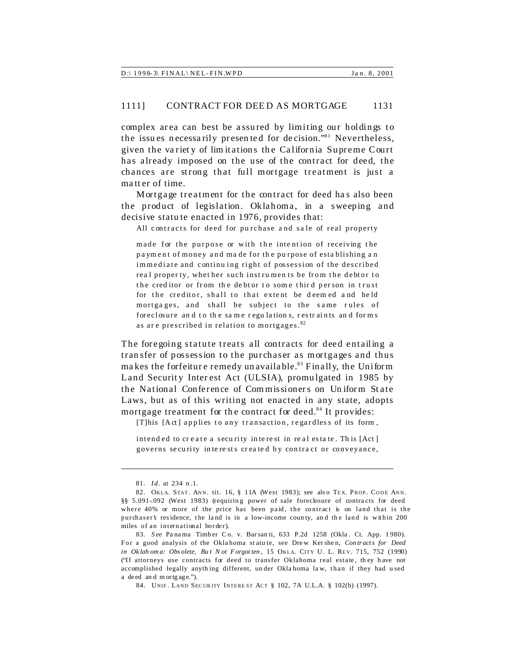| $D: 1998-3$ FINAL NEL-FIN. WPD | Jan. 8, 2001 |
|--------------------------------|--------------|
|                                |              |

complex area can best be assured by limiting our holdings to the issu es necessa rily presen ted for decision."<sup>81</sup> Nevertheless, given the va riet y of lim it ation s the Ca lifornia Supreme Court has already imposed on the use of the contract for deed, the chances are strong that full mortgage treatment is just a matter of time.

Mortgage treatment for the contract for deed has also been the product of legislation. Oklahoma, in a sweeping and decisive statu te enacted in 1976, provides that:

All contracts for deed for purchase and sale of real property

made for the purpose or with the intention of receiving the payment of money and made for the purpose of establishing an immediate and continuing right of possession of the described real property, whether such instruments be from the debtor to the creditor or from the debtor to some third person in trust for the creditor, shall to that extent be deemed and held mortgages, and shall be subject to the same rules of foreclosure and to the same regulations, restraints and forms as are prescribed in relation to mortgages.<sup>82</sup>

The foregoing statute treats all contracts for deed entailing a transfer of possession to the purchaser as mortgages and thus makes the forfeiture remedy unavailable.<sup>83</sup> Finally, the Uniform Land Security Interest Act (ULSIA), promulgated in 1985 by the National Conference of Com missioner s on Un ifor m St ate Laws, but as of this writing not enacted in any state, adopts mortgage treatment for the contract for deed.<sup>84</sup> It provides:

[T]his [Act] applies to any transaction, regardless of its form,

intended to create a security interest in real estate. This [Act] governs security in te re st s cr ea te d b y con tra ct or conveyance,

<sup>81.</sup> *Id.* at 234 n .1.

<sup>82.</sup> OKLA. STAT. ANN. tit. 16, § 11A (West 1983); see also TEX. PROP. CODE ANN. §§ 5.091-.092 (West 1983) (requiring power of sale foreclosure of contracts for deed where 40% or more of the price has been paid, the contract is on land that is the purchaser's residence, the land is in a low-income county, and the land is within 200 miles of an international border).

<sup>83.</sup> *See* Panama Timber Co. v. Barsanti, 633 P.2d 1258 (Okla. Ct. App. 1980). For a good analysis of the Oklahoma statute, see Drew Kershen, *Contracts for Deed in Ok lah om a: Obs olete, But N ot F orgot ten*, 15 OKLA. CITY U. L. REV. 715, 752 (1990) ("If attorneys use contracts for deed to transfer Oklahoma real esta te , th ey h ave not accomplished legally anyth ing different, un der Okla homa la w, than if they had u sed a de ed an d m or tg ag e.").

<sup>84.</sup> UNIF . LAND SEC UR ITY INTERE ST ACT § 102, 7A U.L.A. § 102(b) (1997).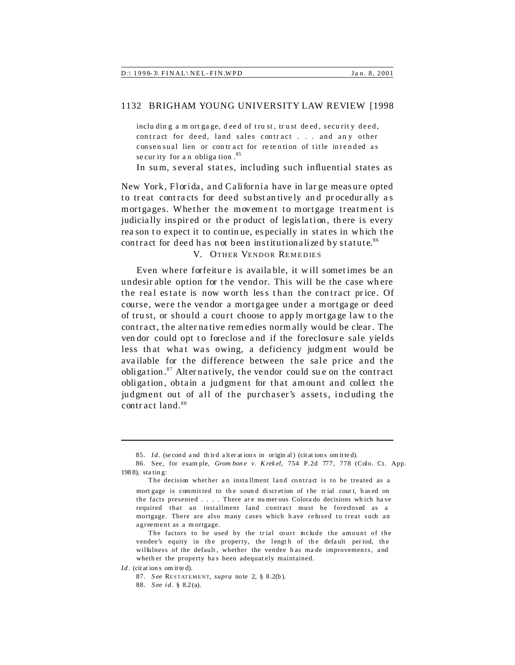inclu ding a m ort gage, deed of trust, trust deed, security deed, contract for deed, land sales contract . . . and any other consensual lien or contract for retention of title intended as security for an obligation.<sup>85</sup>

In sum, several states, including such influential states as

New York, Florida, and California have in lar ge measure opted to treat contracts for deed substantively and procedurally as mortgages. Whether the movement to mortgage treatment is judicially inspired or the product of legislation, there is every rea son to expect it to continue, especially in states in which the contract for deed has not been institutionalized by statute.<sup>86</sup>

V. OTHER VENDOR REMEDIES

Even where forfeiture is available, it will sometimes be an undesir able option for the vend or. This will be the case where the real estate is now worth less than the contract price. Of course, were the vendor a mortgagee under a mortgage or deed of tru st, or should a court choose to app ly m ortga ge law t o the contract, the alter na tive rem edies norm ally would be clear . The ven dor could opt to foreclose and if the foreclosure sale yields less that what was owing, a deficiency judgment would be available for the difference between the sale price and the obligation. $87$  Alternatively, the vendor could sue on the contract obliga tion , obtain a judgment for that amount and collect the judgment out of all of the purchaser's assets, including the contract land.<sup>88</sup>

*Id.* (cit at ion s om it te d).

87. *See* RESTATEMENT, *supra* note 2, § 8.2(b).

<sup>85.</sup> *Id.* (second and third alterations in original) (citations omitted).

<sup>86.</sup> See, for exam ple, *Grom bon e v. K rek el*, 754 P.2d 777, 778 (Colo. Ct. App. 198 8), sta tin g:

The decision whether an installment land contract is to be treated as a mort gage is committed to the sound discretion of the trial court, based on the facts presented . . . . There ar e nu mer ous Colora do decisions wh ich ha ve required that an installment land contract must be foreclosed as a mortgage. There are also many cases which h ave refused to treat such an agreement as a m ortgage.

The factors to be used by the trial court include the amount of the vendee's equity in the property, the length of the default period, the wilfulness of the default, whether the vendee h as ma de improvements, and wheth er the property ha s been adequat ely maintained.

<sup>88.</sup> *S ee id.* § 8.2 (a).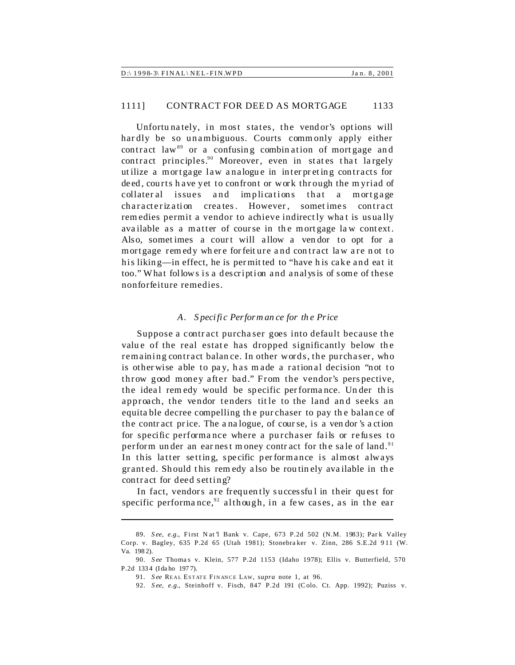|  | $D: 1998-3$ FINAL NEL-FIN. WPD | 2001<br>Jan. 8. |
|--|--------------------------------|-----------------|
|--|--------------------------------|-----------------|

Unfortunately, in most states, the vendor's options will hardly be so unambiguous. Courts comm only apply either contract law<sup>89</sup> or a confusing combination of mortgage and contract principles.<sup>90</sup> Moreover, even in states that largely ut ilize a mortgage law a nalogu e in in ter pr et in g con tracts for deed, courts have yet to confront or work through the myriad of collater al issues and implications that a mortgage characterization creates. However, sometimes contract remedies permit a vendor to achieve indirectly wha t is usua lly available as a matter of course in the mortgage law context. Also, somet imes a court will allow a ven dor to opt for a mortgage remedy where for feiture and contract law are not to his liking—in effect, he is permitted to "have h is cake and eat it too." What follows is a description and analysis of some of these nonforfeiture remedies.

#### *A. S peci fic Perform an ce for th e Price*

Suppose a contr act purchaser goes into default because the value of the real estate has dropped significantly below the remaining contract balan ce. In other words, the purchaser, who is otherwise able to pay, has made a rational decision "not to throw good money after bad." From the vendor's pers pective, the ideal remedy would be specific performance. Under this approach, the vendor tenders title to the land and seeks an equita ble decree compelling th e pur chaser to pay th e balan ce of the contr act pr ice. The a na logue, of cour se, is a ven dor 's a ction for specific performa nce where a pu rcha ser fails or refuses to perform under an earnest money contract for the sale of land.<sup>91</sup> In this latter setting, specific performance is almost always granted. Should this remedy also be routinely available in the contract for deed setting?

In fact, vendors are frequently successful in their quest for specific performance,  $92$  although, in a few cases, as in the ear

<sup>89.</sup> *See, e.g.*, First Nat'l Bank v. Cape, 673 P.2d 502 (N.M. 1983); Park Valley Corp. v. Bagley, 635 P.2d 65 (Utah 1981); Stonebra ker v. Zinn, 286 S.E.2d 9 11 (W. Va. 198 2).

<sup>90.</sup> *S ee* Thoma s v. Klein, 577 P.2d 1153 (Idaho 1978); Ellis v. Butterfield, 570 P.2d 1334 (I da ho 1977).

<sup>91.</sup> *See* REAL ESTATE FINANCE LAW, *supra* note 1, at 96.

<sup>92.</sup> *S ee, e.g.*, Steinhoff v. Fisch, 847 P.2d 191 (C olo. Ct. App. 1992); Puziss v.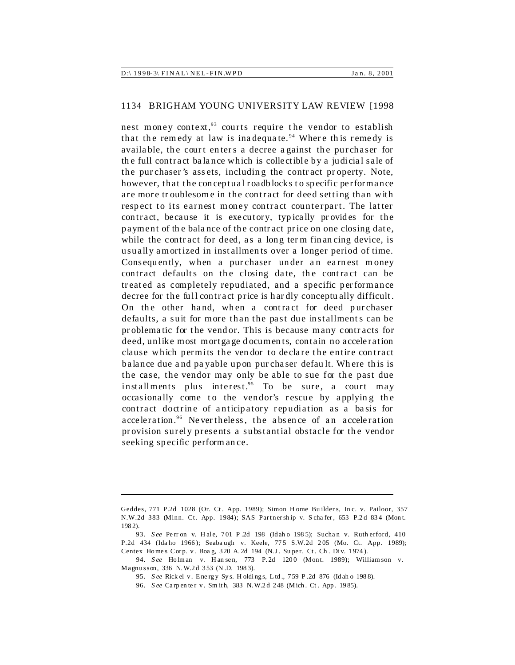|  | $D$ :\ 1998-3\ FINAL\ NEL-FIN.WPD | Jan. 8, 2001 |
|--|-----------------------------------|--------------|
|--|-----------------------------------|--------------|

nest money context,<sup>93</sup> courts require the vendor to establish that the remedy at law is inadequate.<sup>94</sup> Where this remedy is available, the court enters a decree against the purchaser for the full contract balance which is collectible by a judicial sale of the purchaser's assets, including the contract property. Note, however, that the conceptual roadblocks to specific performance are more troublesome in the contract for deed setting than with respect to its earnest money contract counterpart. The latter contract, because it is executory, typically provides for the payment of the balance of the contract price on one closing date, while the contract for deed, as a long term financing device, is usually amortized in installments over a longer period of time. Consequently, when a purchaser under an earnest money contract defaults on the closing date, the contract can be treated as completely repudiated, and a specific performance decree for the full contract price is hardly conceptually difficult. On the other hand, when a contract for deed purchaser defaults, a suit for more than the past due installments can be problematic for the vendor. This is because many contracts for deed, unlike most mortgage documents, contain no acceleration clause which permits the vendor to declare the entire contract balance due and payable upon purchaser default. Where this is the case, the vendor may only be able to sue for the past due installments plus interest.<sup>95</sup> To be sure, a court may occasionally come to the vendor's rescue by applying the contract doctrine of anticipatory repudiation as a basis for acceleration.<sup>96</sup> Nevertheless, the absence of an acceleration provision surely presents a substantial obstacle for the vendor seeking specific performance.

Geddes, 771 P.2d 1028 (Or. Ct. App. 1989); Simon Home Builders, Inc. v. Pailoor, 357 N.W.2d 383 (Minn. Ct. App. 1984); SAS Partnership v. Schafer, 653 P.2d 834 (Mont.  $1982$ ).

<sup>93.</sup> See Perron v. Hale, 701 P.2d 198 (Idaho 1985); Suchan v. Rutherford, 410 P.2d 434 (Idaho 1966); Seabaugh v. Keele, 775 S.W.2d 205 (Mo. Ct. App. 1989); Centex Homes Corp. v. Boag, 320 A.2d 194 (N.J. Super. Ct. Ch. Div. 1974).

<sup>94.</sup> See Holman v. Hansen, 773 P.2d 1200 (Mont. 1989); Williamson v. Magnusson, 336 N.W.2d 353 (N.D. 1983).

<sup>95.</sup> See Rick el v. Energy Sys. Holdings, Ltd., 759 P.2d 876 (Idaho 1988).

<sup>96.</sup> See Carpenter v. Smith, 383 N.W.2d 248 (Mich. Ct. App. 1985).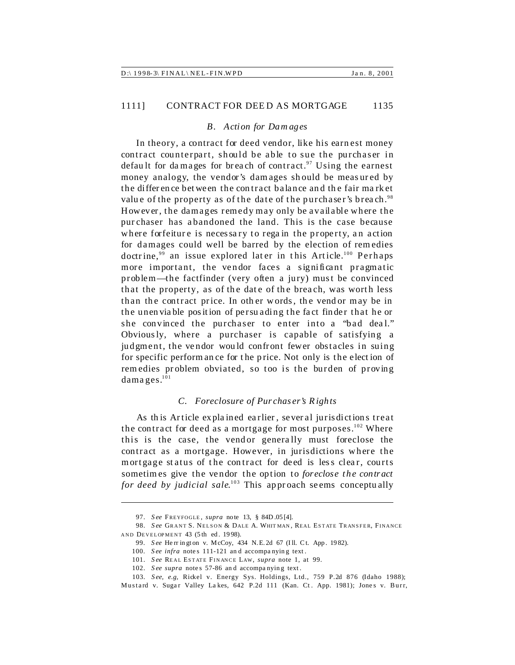#### *B. Action for Da m ages*

In theory, a contract for deed vendor, like his earn est money contract counterpart, should be able to sue the purchaser in default for damages for breach of contract.<sup>97</sup> Using the earnest money analogy, the vendor's damages should be measured by the differ en ce bet ween the con tract balance and the fair ma rket value of the property as of the date of the purchaser's breach.<sup>98</sup> However, the damages remedy may only be available where the pur chaser has a bandoned the land. This is the case because where forfeiture is necessary to regain the property, an action for damages could well be barred by the election of rem edies doctrine,<sup>99</sup> an issue explored later in this Article.<sup>100</sup> Perhaps more important, the vendor faces a significant pragmatic problem—the factfinder (very often a jury) must be convinced that the property, as of the date of the breach, was worth less than the contract price. In other words, the vendor may be in the unen via ble position of persuading the fact finder that he or she convinced the purchaser to enter into a "bad deal." Obvious ly, where a purchaser is capable of satisfying a judgment, the ve ndor wou ld confront fewer obstacles in suing for specific perform an ce for t he p rice. Not only is the elect ion of remedies problem obviated, so too is the burden of proving damages.<sup>101</sup>

#### *C. Foreclosure of Pur chas er's R igh ts*

As th is Ar ticle expla ined earlier , sever al jurisdiction s treat the contract for deed as a mortgage for most purposes.<sup>102</sup> Where this is the case, the vend or genera lly must foreclose the contract as a mortgage. However, in jurisdictions where the mortgage status of the contract for deed is less clear, courts sometimes give the ve ndor the option to *foreclose the contract for deed by judicial sale*. 103 This approach seems conceptu ally

<sup>97.</sup> *S ee* FREYFOGLE , *supra* no te 13, § 84D .05 [4].

<sup>98.</sup> See GRANT S. NELSON & DALE A. WHITMAN, REAL ESTATE TRANSFER, FINANCE AND DEVELOPMENT 43 (5th ed. 1998).

<sup>99.</sup> *See* Herrington v. McCoy, 434 N.E. 2d 67 (Ill. Ct. App. 1982).

<sup>100.</sup> *S ee infra* note s 111-121 an d accompa nyin g text .

<sup>101.</sup> See REAL ESTATE FINANCE LAW, *supra* note 1, at 99.

<sup>102.</sup> *S ee supra* note s 57-86 an d accompa nyin g text .

<sup>103.</sup> *S ee, e.g*, Rickel v. Energy Sys. Holdings, Ltd., 759 P.2d 876 (Idaho 1988); Mustard v. Sugar Valley Lakes, 642 P.2d 111 (Kan. Ct. App. 1981); Jones v. Burr,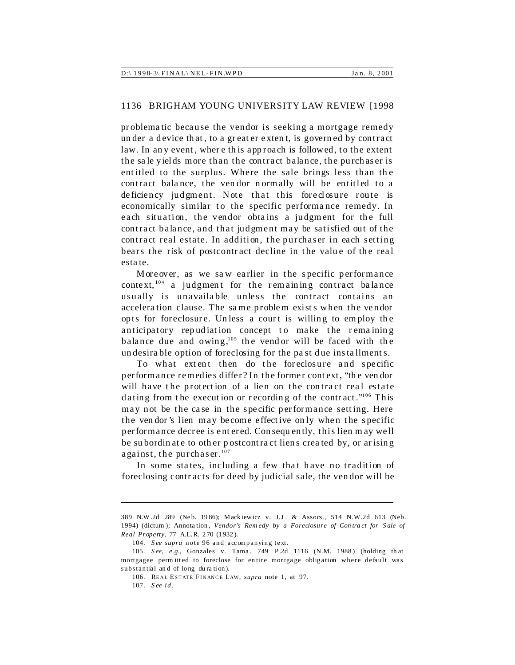|--|

problema tic because the vendor is seeking a mortgage remedy un der a device that , to a gr eat er exten t, is govern ed by contract law. In any event, where this approach is followed, to the extent the sa le yields more than the contract balance, the purchaser is entitled to the surplus. Where the sale brings less than the contract bala nce, the ven dor n ormally will be entitled to a de ficiency judgment. Note that this foreclosure route is economically similar to the specific performance remedy. In each situation, the vendor obtains a judgment for the full contract balance, and that judgment may be satisfied out of the contract real estate. In addition, the purchaser in each setting bears the risk of postcontract decline in the value of the real esta te.

Moreover, as we saw earlier in the specific performance context,  $104$  a judgment for the remaining contract balance usually is unavailable unless the contract contains an accelera tion clause. The same problem exists when the vendor opts for foreclosure. Unless a court is willing to employ the anticipatory repudiation concept to make the remaining balance due and owing,<sup>105</sup> the vendor will be faced with the un desirable option of foreclosing for the past due installments.

To what extent then do the foreclosure and specific performance remedies differ? In the former context, "the ven dor will have the protection of a lien on the contract real estate dating from the execution or recording of the contract." $106$  This may not be the case in the specific performance setting. Here the ven dor 's lien may be come effect ive on ly when t he specific performance decree is ent ered. Consequ ently, this lien m ay well be su bordin at e to oth er postcont ra ct liens crea ted by, or ar ising against, the purchaser. $107$ 

In some states, including a few that have no tradition of foreclosing contr acts for deed by judicial sale, the vendor will be

<sup>389</sup> N.W .2d 289 (Neb. 1986); Mackiewicz v. J.J. & Assocs., 514 N.W .2d 613 (Neb. 1994) (dictum ); Annota tion , *Vendor's Rem edy by a Foreclosure of Con tra ct for S ale of Real Property*, 77 A.L. R. 2 70 (1 932 ).

<sup>104.</sup> *S ee supra* note 96 and accompanying text.

<sup>105.</sup> *S ee, e.g.*, Gonzales v. Tama , 749 P.2d 1116 (N.M. 1988 ) (holding th at mortgagee permitted to foreclose for entire mortgage obligation where default was substantial and of long duration).

<sup>106.</sup> REAL ESTATE FINANCE LAW, *supra* note 1, at 97.

<sup>107.</sup> *S ee id.*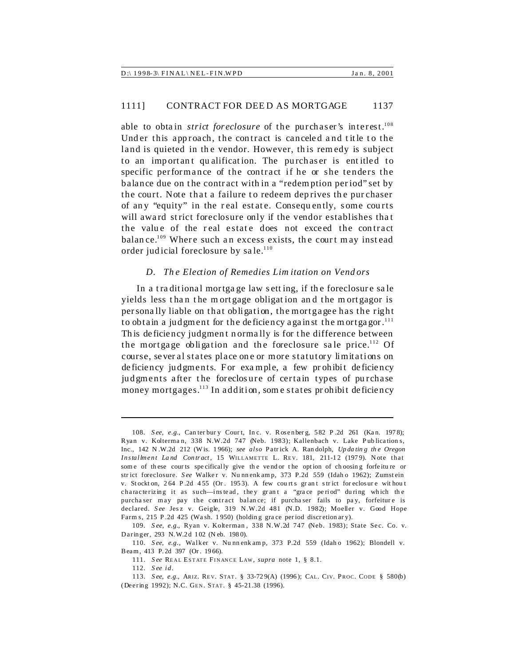able to obtain *strict foreclosure* of the purchaser's interest.<sup>108</sup> Under this approach, the contract is canceled and title to the land is quieted in the vendor. However, this remedy is subject to an important qualification. The purchaser is entitled to specific performance of the contract if he or she tenders the balance due on the contract within a "redemption period" set by the court. Note that a failure to redeem deprives the purchaser of any "equity" in the real estate. Consequently, some courts will award strict foreclosure only if the vendor establishes that the value of the real estate does not exceed the contract balance.<sup>109</sup> Where such an excess exists, the court may instead order judicial foreclosure by sale.<sup>110</sup>

#### D. The Election of Remedies Limitation on Vendors

In a traditional mortgage law setting, if the foreclosure sale yields less than the mortgage obligation and the mortgagor is per sonally liable on that obligation, the mortgagee has the right to obtain a judgment for the deficiency against the mortgagor.  $^{111}$ This deficiency judgment normally is for the difference between the mortgage obligation and the foreclosure sale price.<sup>112</sup> Of course, several states place one or more statutory limitations on deficiency judgments. For example, a few prohibit deficiency judgments after the foreclosure of certain types of purchase money mortgages.<sup>113</sup> In addition, some states prohibit deficiency

<sup>108.</sup> See, e.g., Canterbury Court, Inc. v. Rosenberg, 582 P.2d 261 (Kan. 1978); Ryan v. Kolterman, 338 N.W.2d 747 (Neb. 1983); Kallenbach v. Lake Publications, Inc., 142 N.W.2d 212 (Wis. 1966); see also Patrick A. Randolph, Updating the Oregon Installment Land Contract, 15 WILLAMETTE L. REV. 181, 211-12 (1979). Note that some of these courts specifically give the vendor the option of choosing forfeiture or strict foreclosure. See Walker v. Nunnenkamp, 373 P.2d 559 (Idaho 1962); Zumstein v. Stockton, 264 P.2d 455 (Or. 1953). A few courts grant strict for eclosure without characterizing it as such—instead, they grant a "grace period" during which the purchaser may pay the contract balance; if purchaser fails to pay, forfeiture is declared. See Jesz v. Geigle, 319 N.W.2d 481 (N.D. 1982); Moeller v. Good Hope Farms, 215 P.2d 425 (Wash. 1950) (holding grace period discretionary).

<sup>109.</sup> See, e.g., Ryan v. Kolterman, 338 N.W.2d 747 (Neb. 1983); State Sec. Co. v. Daringer, 293 N.W.2d 102 (Neb. 1980).

<sup>110.</sup> See, e.g., Walker v. Nunnenkamp, 373 P.2d 559 (Idaho 1962); Blondell v. Beam, 413 P.2d 397 (Or. 1966).

<sup>111.</sup> See REAL ESTATE FINANCE LAW, supra note 1, § 8.1.

<sup>112.</sup> See id.

<sup>113.</sup> See, e.g., ARIZ. REV. STAT. § 33-729(A) (1996); CAL. CIV. PROC. CODE § 580(b) (Deering 1992); N.C. GEN. STAT. § 45-21.38 (1996).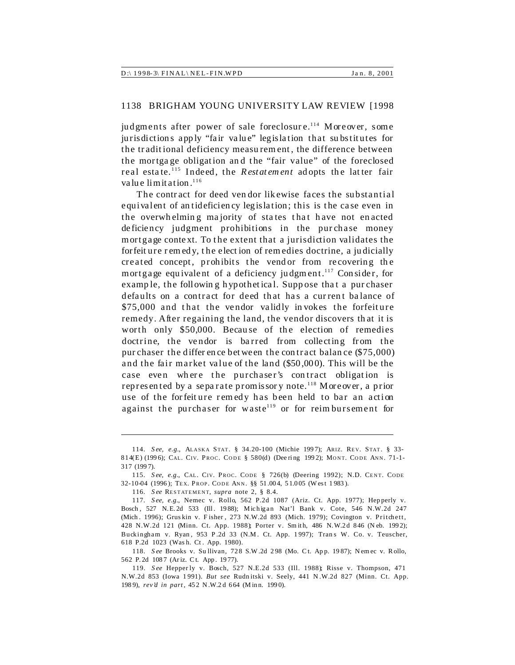| $D$ :\ 1998-3\ FINAL\NEL-FIN.WPD | Jan. 8, 2001 |
|----------------------------------|--------------|
|                                  |              |

judgments after power of sale foreclosure.<sup>114</sup> Moreover, some jurisdictions apply "fair value" legislation that substitutes for the tr adit ional deficiency measu rem ent , the difference between the mortga ge obligation an d the "fair value" of the foreclosed real estate.<sup>115</sup> Indeed, the *Restatement* adopts the latter fair value limit ation.<sup>116</sup>

The contr act for deed ven dor likewise faces the substantial equivalent of an tideficien cy legisla tion; this is the case even in the overwhelming majority of states that have not enacted de ficiency judgment prohibitions in the purchase money mortgage context. To the extent that a jurisdiction validates the forfeit ure r em ed y, t he elect ion of remedies doctrine, a judicially created concept, prohibits the vend or from recovering the mortgage equivalent of a deficiency judgment.<sup>117</sup> Consider, for example, the following hypothetical. Suppose that a purchaser defaults on a contract for deed th at has a current balance of \$75,000 and that the vendor validly invokes the forfeiture remedy. After regaining the land, the vendor discovers th at it is worth only \$50,000. Because of the election of remedies doctrine, the vendor is barred from collecting from the pur chaser the differ en ce bet ween the con tract balan ce (\$75,000) and the fair market value of the land (\$50 ,000). This will be the case even where the purchaser's contract obligation is repres en ted by a separate promissory note.<sup>118</sup> Moreover, a prior use of the forfeiture remedy has been held to bar an action against the purchaser for waste<sup>119</sup> or for reimbursement for

<sup>114.</sup> *See, e.g.*, ALASKA STAT. § 34.20-100 (Michie 1997); ARIZ. REV. STAT. § 33-814(E) (1996); CAL. CIV. PROC. CODE § 580(d) (Dee ring 1992); MONT. CODE ANN. 71-1-317 (199 7).

<sup>115.</sup> *S ee, e.g.*, CAL. CIV. PROC. CODE § 726(b) (Deering 1992); N.D. CENT. CODE 32-10-04 (1996); TEX. PROP. CODE ANN. §§ 51.004, 51.005 (West 1983).

<sup>116.</sup> *See* RESTATEMENT, *supra* note 2, § 8.4.

<sup>117.</sup> *S ee, e.g.*, Nemec v. Rollo, 562 P.2d 1087 (Ariz. Ct. App. 1977); Hep perly v. Bosch, 527 N.E. 2d 533 (Ill. 1988); Michigan Nat'l Bank v. Cote, 546 N.W. 2d 247 (Mich . 1996); Grus kin v. F isher , 273 N.W.2d 893 (Mich. 1979); Covington v. Pritchett, 428 N.W.2d 121 (Minn. Ct. App. 1988); Porter v. Sm it h, 486 N. W.2 d 8 46 (N eb. 199 2); Buckingham v. Ryan , 953 P .2d 33 (N.M . Ct. App. 1 997); Tran s W. Co. v. Teuscher, 618 P.2d 1023 (Was h. Ct . App. 1980).

<sup>118.</sup> *S ee* Brooks v. Su llivan, 72 8 S.W .2d 2 98 (Mo. C t. Ap p. 19 87); N em ec v. R ollo, 562 P. 2d 1087 (Ariz. Ct. App. 1977).

<sup>119.</sup> *S ee* Hepper ly v. Bosch, 527 N.E.2d 533 (Ill. 1988); Risse v. Thompson, 471 N.W.2d 853 (Iowa 1 991). *But see* Rudn itski v. Seely, 441 N .W.2d 827 (Minn. Ct. App. 198 9), *rev'd in part* , 45 2 N .W.2 d 6 64 (M in n. 199 0).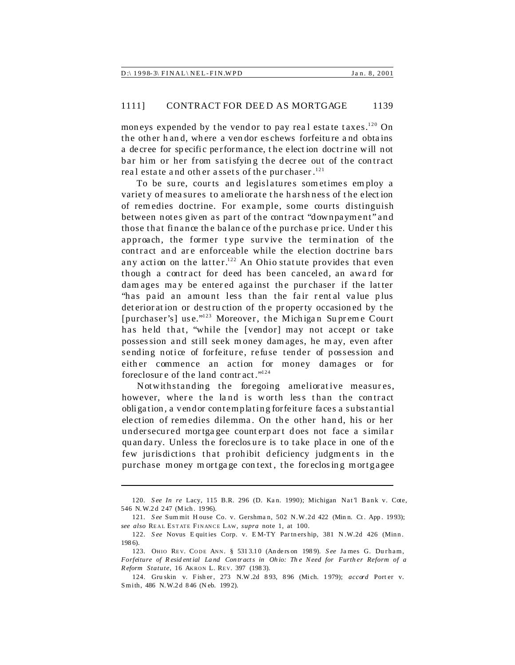|--|

#### CONTRACT FOR DEED AS MORTGAGE  $1111$ ] 1139

moneys expended by the vendor to pay real estate taxes.<sup>120</sup> On the other hand, where a vendor eschews forfeiture and obtains a decree for specific performance, the election doctrine will not bar him or her from satisfying the decree out of the contract real estate and other assets of the purchaser.<sup>121</sup>

To be sure, courts and legislatures sometimes employ a variety of measures to ameliorate the harshness of the election of remedies doctrine. For example, some courts distinguish between notes given as part of the contract "downpayment" and those that finance the balance of the purchase price. Under this approach, the former type survive the termination of the contract and are enforceable while the election doctrine bars any action on the latter.<sup>122</sup> An Ohio statute provides that even though a contract for deed has been canceled, an award for damages may be entered against the purchaser if the latter "has paid an amount less than the fair rental value plus deterioration or destruction of the property occasioned by the [purchaser's] use."<sup>123</sup> Moreover, the Michigan Supreme Court has held that, "while the [vendor] may not accept or take possession and still seek money damages, he may, even after sending notice of forfeiture, refuse tender of possession and either commence an action for money damages or for foreclosure of the land contract."124

Notwithstanding the foregoing ameliorative measures, however, where the land is worth less than the contract obligation, a vendor contemplating forfeiture faces a substantial election of remedies dilemma. On the other hand, his or her undersecured mortgagee counterpart does not face a similar quandary. Unless the foreclosure is to take place in one of the few jurisdictions that prohibit deficiency judgments in the purchase money mortgage context, the foreclosing mortgagee

<sup>120.</sup> See In re Lacy, 115 B.R. 296 (D. Kan. 1990); Michigan Nat'l Bank v. Cote, 546 N.W.2d 247 (Mich. 1996).

<sup>121.</sup> See Summit House Co. v. Gershman, 502 N.W.2d 422 (Minn. Ct. App. 1993); see also REAL ESTATE FINANCE LAW, supra note 1, at 100.

<sup>122.</sup> See Novus Equities Corp. v. EM-TY Partnership, 381 N.W.2d 426 (Minn.  $1986$ .

<sup>123.</sup> OHIO REV. CODE ANN. § 5313.10 (Anderson 1989). See James G. Durham, Forfeiture of Residential Land Contracts in Ohio: The Need for Further Reform of a Reform Statute, 16 AKRON L. REV. 397 (1983).

<sup>124.</sup> Gruskin v. Fisher, 273 N.W.2d 893, 896 (Mich. 1979); accord Porter v. Smith, 486 N.W.2d 846 (Neb. 1992).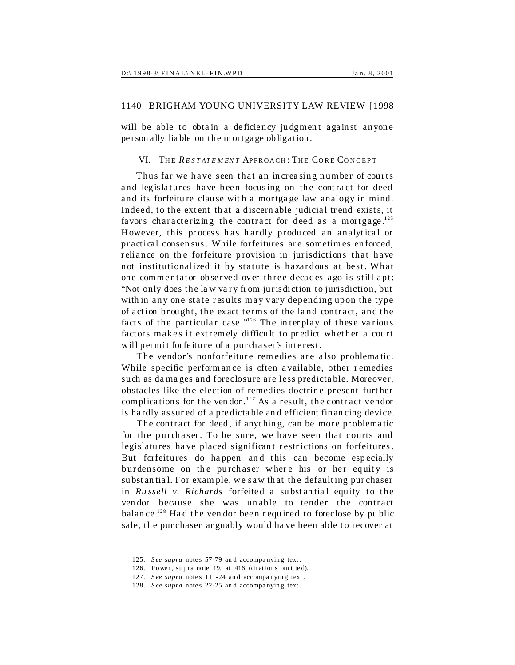|  | D:\ 1998-3\ FINAL\NEL-FIN.WPD |  |
|--|-------------------------------|--|
|  |                               |  |

will be able to obtain a deficiency judgment against anyone pe rson ally lia ble on the m ortga ge ob ligation .

#### VI. THE *RESTATEMENT* APPROACH: THE CORE CONCEPT

Thus far we have seen that an increasing number of courts and legislatures have been focusing on the contract for deed and its forfeitu re clause wit h a mortga ge law analogy in mind. Indeed, to the extent that a discernable judicial trend exists, it favors characterizing the contract for deed as a mortgage.<sup>125</sup> However, this process has hardly produced an analytical or practical consensus. While forfeitures are sometimes enforced, reliance on the forfeiture provision in jurisdictions that have not institutionalized it by statute is hazardous at best. What one commentator observed over three decades ago is still apt: "Not only does the la w va ry fr om jurisdiction to jurisdiction, but with in any one state results may vary depending upon the type of action brought, the exact terms of the la nd contract, and the facts of the particular case." $126$  The interplay of these various factors makes it extremely difficult to predict whether a court will permit forfeiture of a purchaser's interest.

The vendor's nonforfeiture remedies are also problematic. While specific perform ance is often a vailable, other remedies such as da mages and foreclosure are less predicta ble. Moreover, obstacles like the election of remedies doctrine present further complications for the vendor.<sup>127</sup> As a result, the contract vendor is hardly assur ed of a predicta ble an d efficient finan cing device.

The contract for deed, if anyt hin g, can be more problema tic for the purchaser. To be sure, we have seen that courts and legislatures have placed significant restrictions on forfeitures. But forfeitures do happen and this can become especially burdensome on the purchaser where his or her equity is substan tia l. For exam ple, we saw that the defaulting pur chaser in *Russell v. Richards* forfeited a substantial equity to the ven dor because she was un able to tender the contract balance.<sup>128</sup> Had the vendor been required to foreclose by public sale, the pur chaser ar guably would have been able to recover at

<sup>125.</sup> *S ee supra* notes 57-79 an d accompa nyin g text .

<sup>126.</sup> Power, supra note 19, at 416 (cit at ions om it ted).

<sup>127.</sup> *S ee supra* notes 111-24 an d accompa nyin g text .

<sup>128.</sup> *S ee supra* notes 22-25 an d accompa nyin g text .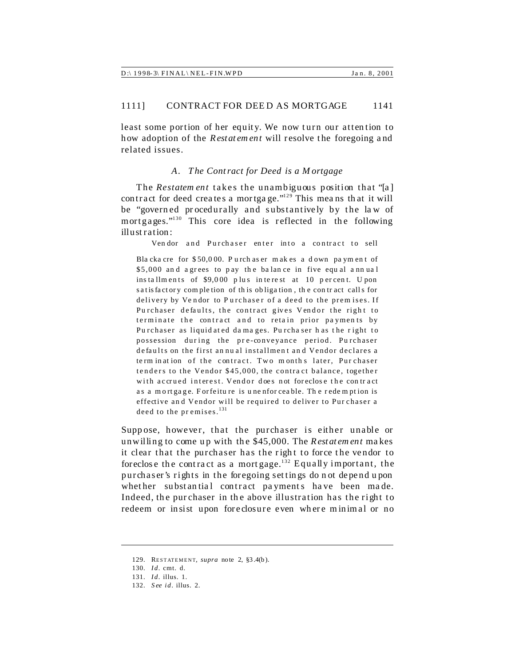| $D$ :\ 1998-3\ FINAL\ NEL-FIN.WPD<br>Jan. 8, 2001 |
|---------------------------------------------------|
|---------------------------------------------------|

least some portion of her equity. We now turn our attention to how adoption of the *Restatement* will resolve the foregoing and related issues.

#### *A. The Contract for Deed is a M ortgage*

The *Restatem ent* takes the unambiguous position that "[a ] contract for deed crea tes a mortga ge."<sup>129</sup> This mea ns th at it will be "governed procedurally and substantively by the law of mortgages."<sup>130</sup> This core idea is reflected in the following illust ration :

Ven dor and Purchaser enter into a contract to sell

Bla cka cre for \$ 50,0 00. P urch as er m ak es a d own pa ym en t of \$5,000 and agrees to pay the balance in five equal annual installments of \$9,000 plus interest at 10 percent. Upon sat is factory completion of this obligation, the contract calls for delivery by Vendor to Purchaser of a deed to the premises. If Purchaser defaults, the contract gives Vendor the right to terminate the contract and to retain prior payments by Purchaser as liquidated da mages. Purchaser has the right to possession during the pre-conveyance period. Purchaser de faults on the first annual installment and Vendor declares a term in at ion of the contract. Two months later, Pur chaser tenders to the Vendor \$45,000, the contract balance, together with accrued interest. Vendor does not foreclose the contract as a mortgage. Forfeiture is une nfor ceable. The redemption is effective and Vendor will be required to deliver to Pur chaser a deed to the premises.<sup>131</sup>

Suppose, however, that the purchaser is either unable or unwilling to come u p with th e \$45,000. The *R estat em ent* makes it clear that the purchaser has the right to force the vendor to foreclose the contract as a mort gage.<sup>132</sup> Equally important, the purchaser's rights in the foregoing set tin gs do n ot depe nd u pon whether substantial contract payments have been made. Indeed, the purchaser in the above illustration has the right to redeem or insist upon foreclosure even where minimal or no

<sup>129.</sup> RESTATEMENT, *supra* note 2, §3.4(b).

<sup>130.</sup> *Id.* cmt. d.

<sup>131.</sup> *Id.* illus. 1.

<sup>132.</sup> *S ee id.* illus. 2.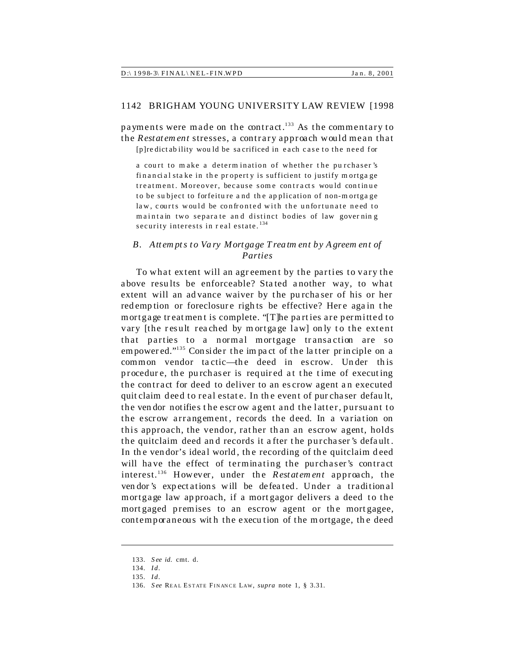payments were made on the contract.<sup>133</sup> As the commentary to the *R estat em ent* stresses, a contrary approach would mean that

[p]re dictability would be sacrificed in each case to the need for

a court to make a determination of whether the purchaser's financial stake in the property is sufficient to justify mortgage treatment. Moreover, because some contracts would continue to be subject to forfeiture and the application of non-mortgage law, courts would be confronted with the unfortunate need to maintain two separate and distinct bodies of law governing security interests in real estate.<sup>134</sup>

#### *B. Att em pt s to Va ry Mortgage T rea tm ent by A greem ent of Parties*

To what extent will an agreement by the parties to vary the above results be enforceable? Stated another way, to what extent will an advance waiver by the purchaser of his or her redemption or foreclosure rights be effective? Here again the mortgage treatment is complete. "[T]he parties are permitted to vary [the result reached by mortgage law] only to the extent that parties to a normal mortgage transaction are so empower ed."<sup>135</sup> Consider the impact of the latter principle on a common vendor ta ctic—the deed in escrow. Under this procedure, the purchaser is required at the time of executing the contract for deed to deliver to an escrow agent an executed quit claim deed to real estate. In the event of pur chaser default, the ven dor notifies t he escr ow agent and the latter, pursuant to the escrow arrangement, records the deed. In a variation on this approach, the vendor, rat her th an an escrow agent, holds the quitclaim deed and records it after the purchaser's default. In the vendor's ideal world, the recording of the quitclaim deed will have the effect of terminating the purchaser's contract interest.<sup>136</sup> However, under the *Restatement* approach, the ven dor's expectations will be defeated. Under a traditional mortgage law approach, if a mortgagor delivers a deed to the mortgaged premises to an escrow agent or the mortgagee, contemporaneous wit h the execu tion of the mortgage, th e deed

<sup>133.</sup> *S ee id.* cmt. d.

<sup>134.</sup> *Id.*

<sup>135.</sup> *Id.*

<sup>136.</sup> *See* REAL ESTATE FINANCE LAW, *supra* note 1, § 3.31.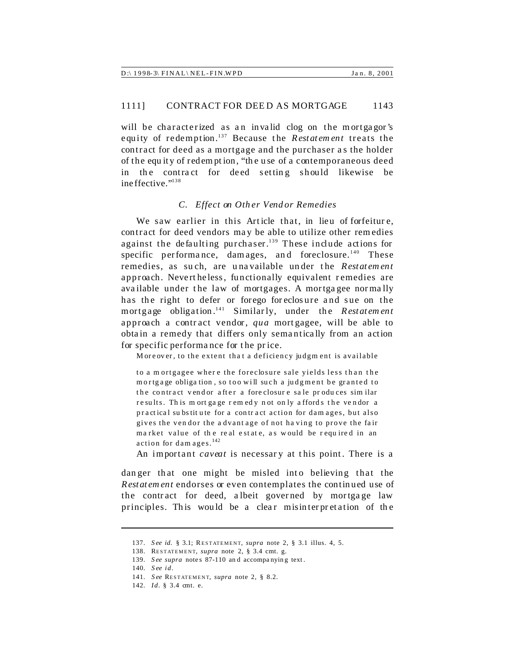|  | D:\ 1998-3\ FINAL\NEL-FIN.WPD |
|--|-------------------------------|

will be characterized as an invalid clog on the mortgagor's equity of redemption.<sup>137</sup> Because the *Restatement* treats the contract for deed as a mortgage and the purchaser as the holder of the equ it y of redem pt ion, "th e u se of a contemporaneous deed in the contract for deed setting should likewise be ine ffective."<sup>138</sup>

#### *C. Effect on Oth er Vend or Remedies*

We saw earlier in this Article that, in lieu of forfeiture, contract for deed vendors may be able to utilize other remedies against the defaulting purchaser.<sup>139</sup> These include actions for specific performance, damages, and foreclosure.<sup>140</sup> These remedies, as su ch, are unavailable under the *R estat em ent* approach. Nevertheless, functionally equivalent remedies are available under the law of mortgages. A mortgagee normally has the right to defer or forego for eclosure and sue on the mortgage obligation.<sup>141</sup> Similarly, under the *Restatement* approach a contr act vendor, *qua* mort gagee, will be able to obtain a remedy that differs only sema ntica lly from an action for specific performance for the price.

M or e ov er , to the extent tha t a deficiency judgm ent is available

to a mortgagee where the foreclosure sale yields less than the mortgage obligation, so too will such a judgment be granted to the contract vendor after a fore closure sale produces similar re sults. This mort gage r emedy not only affords the vendor a practical substitute for a contract action for damages, but also gives the ven dor the a dvant age of not ha ving to prove the fair market value of the real estate, as would be required in an action for dam ages.<sup>142</sup>

An important *caveat* is necessary at this point. There is a

danger that one might be misled into believing that the *R estat em ent* endorses or even contemplates the contin ued use of the contr act for deed, a lbeit governed by mortga ge law principles. This would be a clear misinterpretation of the

<sup>137.</sup> *See id.* § 3.1; RESTATEMENT, *supra* note 2, § 3.1 illus. 4, 5.

<sup>138.</sup> RESTATEMENT, *supra* note 2, § 3.4 cmt. g.

<sup>139.</sup> *S ee supra* note s 87-110 an d accompa nyin g text .

<sup>140.</sup> *S ee id.*

<sup>141.</sup> *See* RESTATEMENT, *supra* note 2, § 8.2.

<sup>142.</sup> *Id.* § 3.4 cmt. e.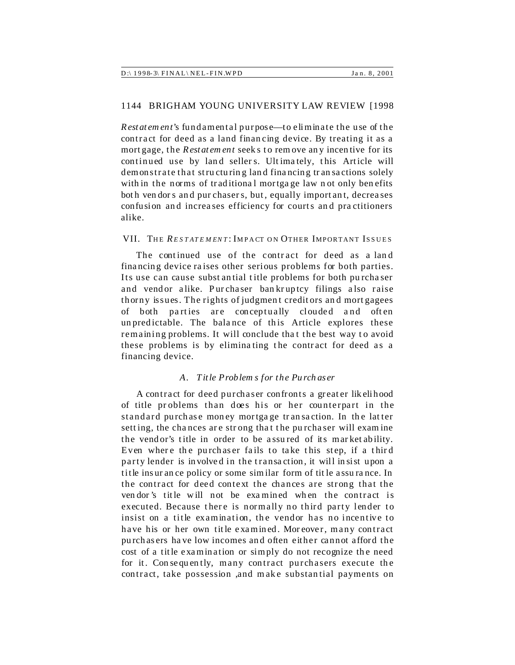| $D: 1998-3$ FINAL NEL-FIN.WPD | Jan. 8, 2001 |
|-------------------------------|--------------|
|                               |              |

*R estat em ent*'s fundamental purpose—to eliminate the use of the contract for deed as a land finan cing device. By treating it as a mortgage, the *R estat em ent* seek s to rem ove an y incen tive for its continued use by land sellers. Ultimately, this Article will demonstrate that stru cturin g land fina ncing tr an sactions solely with in the norms of traditional mortgage law not only benefits bot h ven dor s and pur chasers, but, equally important, decreases confusion and increases efficiency for courts and practitioners alike.

#### VII. THE *RESTATEMENT*: IMPACT ON OTHER IMPORTANT ISSUES

The continued use of the contract for deed as a land financing device ra ises other serious problems for both parties. Its use can cause subst antial title problems for both pu rchaser and vendor alike. Pur chaser ban kruptcy filings also raise thorny issues. The rights of judgment creditors and mort gagees of both parties are conceptually clouded and often unpredictable. The balance of this Article explores these remaining problems. It will conclude that the best way to avoid these problems is by eliminating the contract for deed as a financing device.

### *A. T itle Problem s for the Pu rch as er*

A contract for deed purchaser confronts a greater likelihood of title pr oblems than does his or her counterpart in the standard purchase money mortgage transaction. In the latter setting, the chances are strong that the purchaser will examine the vend or's t itle in order to be a ssu red of its mar ket ability. Even where the purchaser fails to take this step, if a third party lender is involved in the transaction, it will insist upon a title insur an ce policy or some similar form of tit le assu ra nce. In the contract for deed context the chances are strong that the ven dor's title will not be examined when the contract is executed. Because there is normally no third party lender to insist on a title examination, the vendor has no incentive to have his or her own title examined. Moreover, many contract purchasers ha ve low incomes an d often either cannot afford the cost of a title examination or simply do not recognize the need for it . Con se qu en tly, many con tract purchasers execute the contract, take possession ,and m ake substantial payments on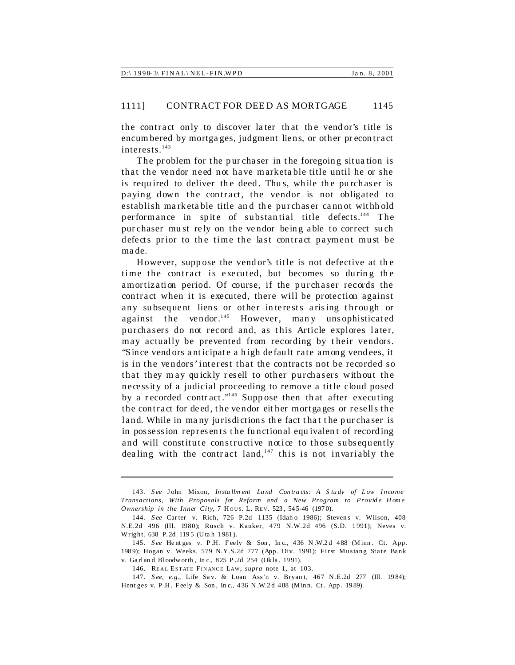| Jan. 8, 2001<br>$D$ :\ 1998-3\ FINAL\ NEL-FIN.WPD |
|---------------------------------------------------|
|---------------------------------------------------|

the contract only to discover later that the vendor's title is encumbered by mortgages, judgment liens, or other precontract interests. $143$ 

The problem for the purchaser in the foregoing situation is that the vendor need not have marketable title until he or she is required to deliver the deed. Thus, while the purchaser is paying down the contract, the vendor is not obligated to establish marketable title and the purchaser cannot withhold performance in spite of substantial title defects.<sup>144</sup> The purchaser must rely on the vendor being able to correct such defects prior to the time the last contract payment must be made.

However, suppose the vendor's title is not defective at the time the contract is executed, but becomes so during the amortization period. Of course, if the purchaser records the contract when it is executed, there will be protection against any subsequent liens or other interests arising through or against the vendor.<sup>145</sup> However, many unsophisticated purchasers do not record and, as this Article explores later, may actually be prevented from recording by their vendors. "Since vendors anticipate a high default rate among vendees, it is in the vendors' interest that the contracts not be recorded so that they may quickly resell to other purchasers without the necessity of a judicial proceeding to remove a title cloud posed by a recorded contract."<sup>146</sup> Suppose then that after executing the contract for deed, the vendor either mortgages or resells the land. While in many jurisdictions the fact that the purchaser is in possession represents the functional equivalent of recording and will constitute constructive notice to those subsequently dealing with the contract land,  $147$  this is not invariably the

<sup>143.</sup> See John Mixon, Installment Land Contracts: A Study of Low Income Transactions, With Proposals for Reform and a New Program to Provide Home Ownership in the Inner City, 7 HOUS. L. REV. 523, 545-46 (1970).

<sup>144.</sup> See Carter v. Rich, 726 P.2d 1135 (Idaho 1986); Stevens v. Wilson, 408 N.E.2d 496 (Ill. 1980); Rusch v. Kauker, 479 N.W.2d 496 (S.D. 1991); Neves v. Wright, 638 P.2d 1195 (Utah 1981).

<sup>145.</sup> See Hentges v. P.H. Feely & Son, Inc., 436 N.W.2d 488 (Minn. Ct. App. 1989); Hogan v. Weeks, 579 N.Y.S.2d 777 (App. Div. 1991); First Mustang State Bank v. Garland Bloodworth, Inc., 825 P.2d 254 (Okla. 1991).

<sup>146.</sup> REAL ESTATE FINANCE LAW, supra note 1, at 103.

<sup>147.</sup> See, e.g., Life Sav. & Loan Ass'n v. Bryant, 467 N.E.2d 277 (Ill. 1984); Hent ges v. P.H. Feely & Son, Inc., 436 N.W.2d 488 (Minn. Ct. App. 1989).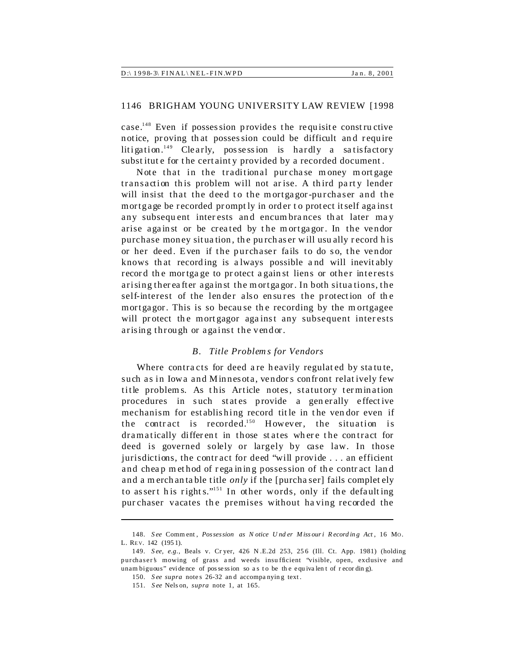| $D: 1998-3$ FINAL NEL-FIN.WPD | Jan. 8, 2001 |
|-------------------------------|--------------|
|                               |              |

case.<sup>148</sup> Even if possession provides the requisite constructive notice, proving that possession could be difficult and require litigation.<sup>149</sup> Clearly, possession is hardly a satisfactory substitute for the certainty provided by a recorded document.

Note that in the traditional pur chase m oney m ortgage transaction this problem will not arise. A third party lender will insist that the deed to the mortgagor-purchaser and the mortgage be recorded promptly in order to protect itself against any subsequ ent inter ests and encumbrances that later may arise against or be created by the mortgagor. In the vendor purchase money situa tion, th e purchaser will usu ally record his or her deed. Even if the purchaser fails to do so, the vendor knows th at recording is a lways possible a nd will inevit ably record the mortgage to protect against liens or other interests arising ther ea fter aga in st the m ortga gor . In both situa tions, the self-interest of the lender also ensures the protection of the mortgagor. This is so because the recording by the m ortgagee will protect the mortgagor against any subsequent interests arising through or against the vendor.

#### *B. Title Problem s for Vendors*

Where contracts for deed are heavily regulated by statute, such as in Iowa and Minnesota, vendors confront relatively few title problem s. As this Article notes, statutory termination procedures in such states provide a generally effective mechanism for establishing record title in the vendor even if the contract is recorded.<sup>150</sup> However, the situation is dramatically different in those states where the contract for deed is governed solely or largely by case law. In those jurisdictions, the contr act for deed "will provide . . . an efficient and chea p m et hod of r ega in in g possession of the contr act lan d and a m erchan ta ble title *only* if the [purcha ser] fails complet ely to assert his rights."<sup>151</sup> In other words, only if the defaulting pur chaser vacates the premises without having recorded the

<sup>148.</sup> *S ee* Comm ent , *Possession as N otice U nd er M iss our i R ecord in g Act* , 16 MO. L. REV. 142 (1951).

<sup>149.</sup> *S ee, e.g.,* Beals v. Cr yer, 426 N .E.2d 253, 25 6 (Ill. Ct. App. 1981) (holding purchaser's mowing of grass a nd weeds insu fficient "visible, open, exclusive and unam biguous" evi de nce of pos se ss ion so a s t o be th e e qu iva len t of r ecor din g).

<sup>150.</sup> *S ee supra* note s 26-32 an d accompa nyin g text .

<sup>151.</sup> *S ee* Nels on, *supra* note 1, at 165.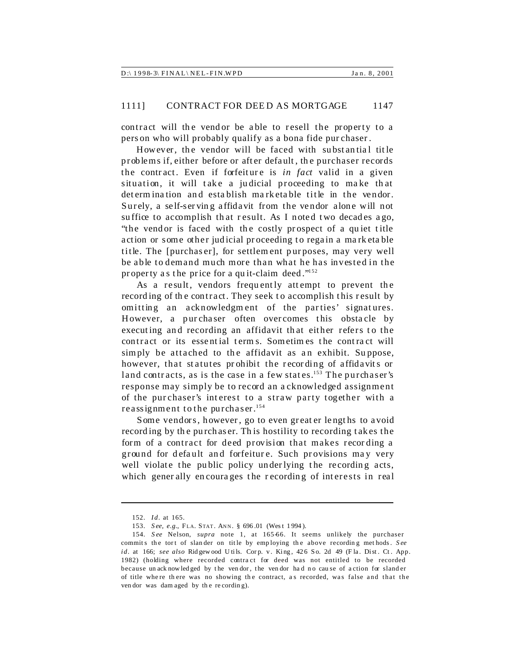contract will the vendor be able to resell the property to a person who will probably qualify as a bona fide pur chaser.

However, the vendor will be faced with substantial title problems if, either before or after default , th e purchaser records the contract. Even if forfeiture is *in fact* valid in a given situation, it will take a judicial proceeding to make that determ ina tion and esta blish ma rketable title in the vendor. Surely, a self-serving affidavit from the vendor alone will not suffice to accomplish that result. As I noted two decades ago, "the vendor is faced with the costly prospect of a quiet title action or some other judicial proceeding to regain a ma rk eta ble title. The [purchas er], for settlem ent p ur poses, may very well be able to demand much more than what he has invested in the property as the price for a quit-claim deed."<sup>152</sup>

As a result, vendors frequently attempt to prevent the recording of the contract. They seek to accomplish this result by omitting an acknowledgm ent of the par ties' signat ures. However, a pur chaser often overcomes this obsta cle by executing and recording an affidavit that either refers to the contract or its essential terms. Sometimes the contract will simply be attached to the affidavit as an exhibit. Suppose, however, that statutes prohibit the recording of affidavits or land contracts, as is the case in a few states.<sup>153</sup> The purchaser's response may simply be to record an a cknowledged assignment of the pur chaser's interest to a straw party together with a reassignment to the purchaser.<sup>154</sup>

Some vendors, however, go to even greater lengths to avoid recording by th e purchaser. Th is hostility to recording takes the form of a contract for deed provision that makes recor ding a ground for default and forfeiture. Such provisions may very well violate the public policy underlying the recording acts, which generally encourages the recording of interests in real

<sup>152.</sup> *Id.* at 165.

<sup>153.</sup> *See, e.g.*, FLA. STAT. ANN. § 696.01 (West 1994).

<sup>154.</sup> *See* Nelson, *supra* note 1, at 165-66. It seems unlikely the purchaser commits the tort of slander on title by employing the above recording methods. See *id.* at 166; *see also* Ridgew ood U tils. Corp. v. King, 426 So. 2d 49 (Fla. Dist. Ct. App. 1982) (holding where recorded contra ct for deed was not entitled to be recorded because un ack now ledged by the ven dor, the ven dor had no cau se of action for slander of title where there was no showing the contract, as recorded, was false and that the ven dor was dam aged by th e re cordin g).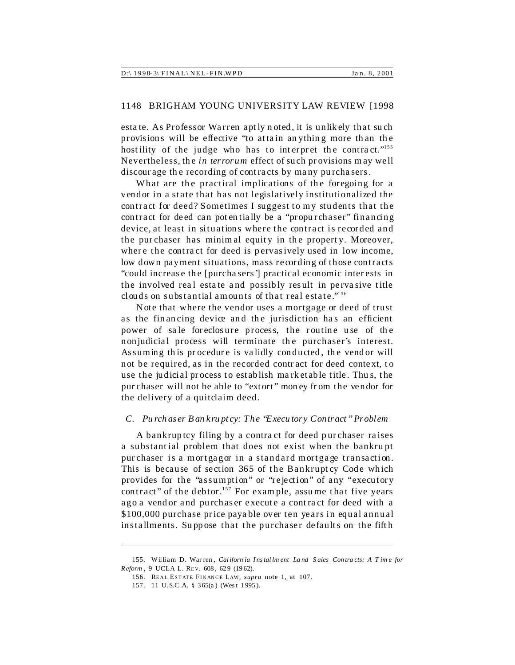| $D$ :\ 1998-3\ FINAL\ NEL-FIN.WPD | Jan. 8, 2001 |
|-----------------------------------|--------------|
|                                   |              |

esta te. As Professor Wa rren apt ly n oted , it is unlik ely that su ch provisions will be effective "to attain anything more than the host ility of the judge who has to interpret the contract." $155$ Nevertheless, the *in terrorum* effect of su ch pr ovisions m ay we ll discourage the recording of contracts by many purchasers.

What are the practical implications of the foregoing for a vendor in a state that has not legislatively institutionalized the contract for deed? Sometimes I suggest to my students that the contract for deed can potentially be a "propurchaser" financing device, at least in situations where the contract is recorded and the purchaser has minimal equity in the property. Moreover, where the contract for deed is pervasively used in low income, low down payment situations, mass recording of those contracts "could increase the [purcha sers'] practical economic interests in the involved real estate and possibly result in pervasive title clouds on substantial amounts of that real estate."<sup>156</sup>

Note that where the vendor uses a mortgage or deed of trust as the financing device and the jurisdiction has an efficient power of sale foreclosure process, the routine use of the nonjudicial process will terminate the purchaser's interest. Assuming this procedure is validly conducted, the vendor will not be required, as in the recorded contract for deed context, to use the judicial process to establish ma rk etable title. Thu s, the pur chaser will not be able to "ext ort" mon ey fr om the vendor for the delivery of a quitclaim deed.

#### *C. Pu rch as er B an kru pt cy: T he "Execu tory Contr act " Problem*

A bankruptcy filing by a contract for deed purchaser raises a substantial problem that does not exist when the bankrupt pur chaser is a mortgagor in a standard mortgage transaction. This is because of section 365 of the Bankrupt cy Code which provides for the "assumption" or "rejection" of any "executory contract" of the debtor.<sup>157</sup> For example, assume that five years ago a vendor and purchaser execute a cont ra ct for deed with a \$100,000 purchase price paya ble over ten years in equal annual installments. Suppose that the purchaser defaults on the fifth

<sup>155.</sup> William D. War ren , *Cal iforn ia I ns tal lm ent La nd S ales Con tra cts: A T im e for Reform*, 9 UCLA L. REV. 608, 629 (1962).

<sup>156.</sup> REAL ESTATE FINANCE LAW, supra note 1, at 107.

<sup>157. 11</sup> U.S.C.A. § 365(a) (West 1995).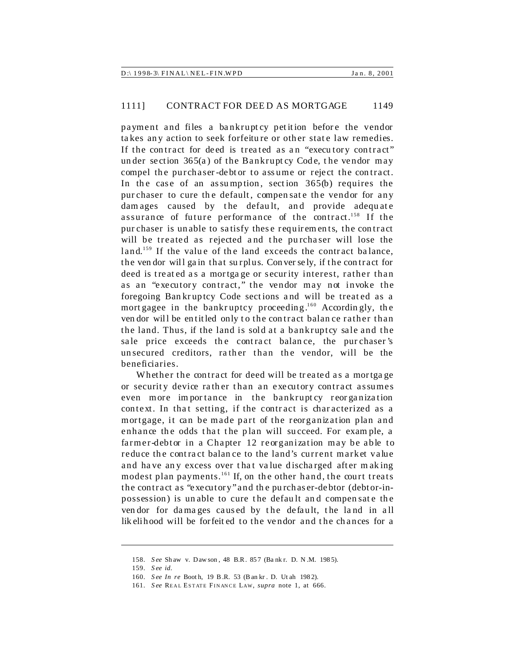| $D$ :\ 1998-3\ FINAL\ NEL-FIN.WPD |  | Jan. 8, 2001 |
|-----------------------------------|--|--------------|
|-----------------------------------|--|--------------|

payment and files a bankrupt cy petition before the vendor takes any action to seek forfeiture or other state law remedies. If the contract for deed is treated as an "executory contract" under section  $365(a)$  of the Bankrupt cy Code, the vendor may compel the purchaser -de bt or to ass ume or reject the con tract. In the case of an assumption, section  $365(b)$  requires the pur chaser to cure the default, compensate the vendor for any dam ages caused by the default, and provide adequate assurance of future performance of the contract.<sup>158</sup> If the pur chaser is unable to satisfy these requirements, the contract will be treated as rejected and the purchaser will lose the land.<sup>159</sup> If the value of the land exceeds the contract balance, the ven dor will gain that surplus. Conversely, if the contract for deed is treated as a mortgage or security interest, rather than as an "executory con tract," the vendor may not invoke the foregoing Bankruptcy Code sections and will be treated as a mortgagee in the bankruptcy proceeding.<sup>160</sup> Accordingly, the ven dor will be en titled only to the contract balance rather than the land. Thus, if the land is sold at a bankruptcy sale and the sale price exceeds the contract balance, the purchaser's unsecured creditors, ra ther than the vendor, will be the beneficiaries.

Whether the contract for deed will be treated as a mortgage or security device rather than an executory contract assumes even more importance in the bankrupt cy reorganization context. In that setting, if the contract is characterized as a mortgage, it can be made part of the reorganization plan and enhance the odds that the plan will succeed. For example, a farmer-debtor in a Chapter 12 reorganization may be able to reduce the contract balance to the land's current market value and have any excess over that value discharged after making modest plan payments.<sup>161</sup> If, on the other hand, the court treats the contract as "executory" and th e purchaser-debtor (debtor-inpossession) is unable to cure the default and compensate the ven dor for damages caused by the default, the land in all lik elihood will be forfeited to the vendor and the chances for a

<sup>158.</sup> *S ee* Sh aw v. D aw son , 48 B.R . 85 7 (Ba nk r. D. N .M. 198 5).

<sup>159.</sup> *S ee id.* 

<sup>160.</sup> *S ee In re* Boot h, 19 B .R. 53 (B an kr . D. Ut ah 198 2).

<sup>161.</sup> *See* REAL ESTATE FINANCE LAW, *supra* note 1, at 666.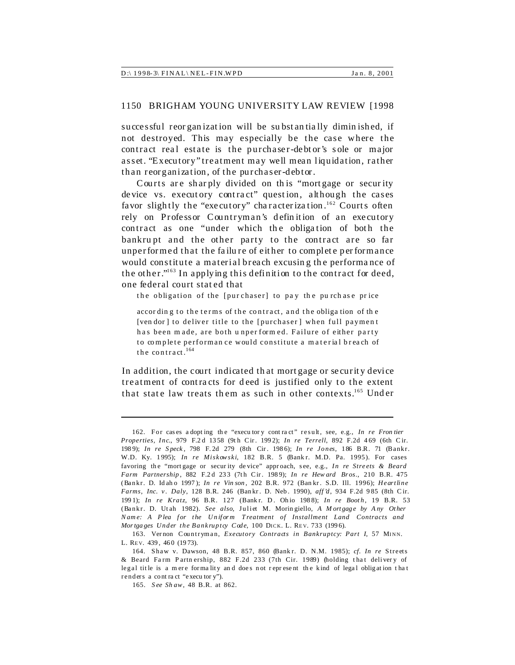|  | $D$ :\ 1998-3\ FINAL\ NEL-FIN.WPD | Jan. 8, 2001 |
|--|-----------------------------------|--------------|
|--|-----------------------------------|--------------|

successful reorganization will be substantially diminished, if not destroyed. This may especially be the case where the contract real estate is the purchaser-debtor's sole or major asset. "Executory" treatment may well mean liquidation, rather than reorganization, of the purchaser-debtor.

Courts are sharply divided on this "mortgage or security" device vs. executory contract" question, although the cases favor slightly the "executory" characterization.<sup>162</sup> Courts often rely on Professor Countryman's definition of an executory contract as one "under which the obligation of both the bankrupt and the other party to the contract are so far unperformed that the failure of either to complete performance would constitute a material breach excusing the performance of the other."<sup>163</sup> In applying this definition to the contract for deed, one federal court stated that

the obligation of the [purchaser] to pay the purchase price

according to the terms of the contract, and the obligation of the [vendor] to deliver title to the [purchaser] when full payment has been made, are both unperformed. Failure of either party to complete performance would constitute a material breach of the contract.<sup>164</sup>

In addition, the court indicated that mortgage or security device treatment of contracts for deed is justified only to the extent that state law treats them as such in other contexts.<sup>165</sup> Under

163. Vernon Countryman, Executory Contracts in Bankruptcy: Part I, 57 MINN. L. REV. 439, 460 (1973).

<sup>162.</sup> For cases a dopting the "executory contract" result, see, e.g., In re Frontier Properties, Inc., 979 F.2d 1358 (9th Cir. 1992); In re Terrell, 892 F.2d 469 (6th Cir. 1989); In re Speck, 798 F.2d 279 (8th Cir. 1986); In re Jones, 186 B.R. 71 (Bankr. W.D. Ky. 1995); In re Miskowski, 182 B.R. 5 (Bankr. M.D. Pa. 1995). For cases favoring the "mortgage or security device" approach, see, e.g., In re Streets & Beard Farm Partnership, 882 F.2d 233 (7th Cir. 1989); In re Heward Bros., 210 B.R. 475 (Bankr. D. Idaho 1997); In re Vinson, 202 B.R. 972 (Bankr. S.D. Ill. 1996); Heartline Farms, Inc. v. Daly, 128 B.R. 246 (Bankr. D. Neb. 1990), aff'd, 934 F.2d 985 (8th Cir. 1991); In re Kratz, 96 B.R. 127 (Bankr. D. Ohio 1988); In re Booth, 19 B.R. 53 (Bankr. D. Utah 1982). See also, Juliet M. Moringiello, A Mortgage by Any Other Name: A Plea for the Uniform Treatment of Installment Land Contracts and Mortgages Under the Bankruptcy Code, 100 DICK. L. REV. 733 (1996).

<sup>164.</sup> Shaw v. Dawson, 48 B.R. 857, 860 (Bankr. D. N.M. 1985); cf. In re Streets & Beard Farm Partnership, 882 F.2d 233 (7th Cir. 1989) (holding that delivery of legal title is a mere formality and does not represent the kind of legal obligation that renders a contract "executory").

<sup>165.</sup> See Shaw, 48 B.R. at 862.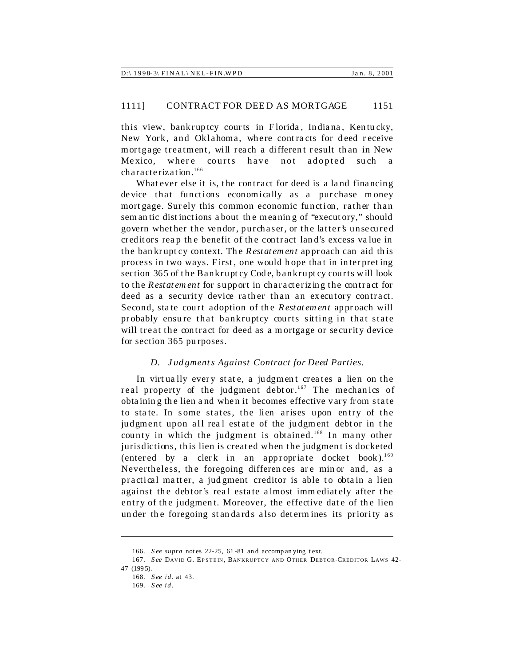| $D$ :\ 1998-3\ FINAL\ NEL-FIN.WPD<br>2001<br>8. |
|-------------------------------------------------|
|-------------------------------------------------|

this view, bankruptcy courts in F lorida , Indiana , Kentu cky, New York, and Oklahoma, where cont ra cts for d eed r eceive mortgage treatment, will reach a different result than in New Mexico, where courts have not adopted such a characterization.<sup>166</sup>

What ever else it is, the contract for deed is a land financing de vice that functions economically as a purchase money mortgage. Surely this common economic function, rather than sem an tic distinctions a bout the meaning of "executory," should govern whether the vendor, purchaser, or the latter's unsecured creditors reap the benefit of the contract land's excess value in the ban kr upt cy context. Th e *R estat em ent* approach can aid th is process in two ways. First, one would hope that in interpreting section 365 of the Bankrupt cy Code, bankrupt cy courts will look to the *R estat em ent* for support in characterizing the contract for deed as a security device rather than an executory contract. Second, state court adoption of the *Restatement* approach will probably ensure that bankruptcy courts sitting in that state will treat the contract for deed as a mortgage or security device for section 365 pu rposes.

#### *D. J ud gment s Against Contract for Deed Parties.*

In virtually every state, a judgment creates a lien on the real property of the judgment debtor.<sup>167</sup> The mechanics of obtainin g th e lien a nd when it becomes effective vary from state to state. In some states, the lien arises upon entry of the judgment upon all real estate of the judgment debtor in the county in which the judgment is obtained.<sup>168</sup> In many other jurisdictions, this lien is created when the judgment is docketed (entered by a clerk in an appropriate docket book).<sup>169</sup> Nevertheless, the foregoing differences are minor and, as a practical matter, a judgment creditor is able to obtain a lien against the debtor's real estate almost immediately after the entry of the judgment. Moreover, the effective date of the lien under th e foregoing st an dards also determ ines its priority as

<sup>166.</sup> *See supra* notes 22-25, 61-81 and accompanying text.

<sup>167.</sup> See DAVID G. EPSTEIN, BANKRUPTCY AND OTHER DEBTOR-CREDITOR LAWS 42-47 (199 5).

<sup>168.</sup> *S ee id.* at 43.

<sup>169.</sup> *S ee id.*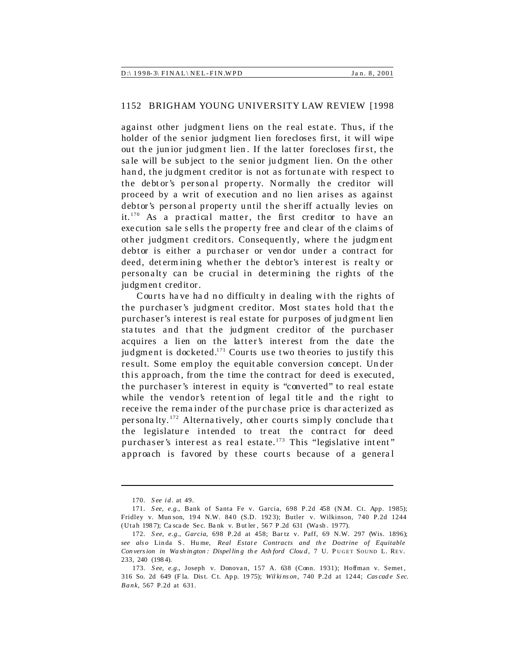| $D: 1998-3$ FINAL NEL-FIN. WPD<br>Jan. 8, 2001 |
|------------------------------------------------|
|------------------------------------------------|

against other judgment liens on the real estate. Thus, if the holder of the senior judgment lien forecloses first, it will wipe out the junior judgment lien. If the latter forecloses first, the sale will be subject to the senior judgment lien. On the other hand, the judgment creditor is not as fortunate with respect to the debtor's personal property. Normally the creditor will proceed by a writ of execution and no lien arises as against debtor's personal property until the sheriff actually levies on it.<sup>170</sup> As a practical matter, the first creditor to have an exe cution sa le s ells t he property free and cle ar of th e claim s of other judgment creditors. Consequently, where t he judgment debtor is either a purchaser or vendor under a contract for deed, det erm ining whe ther the debtor's interest is realty or personalty can be crucial in determining the rights of the judgmen t cred it or.

Courts have had no difficulty in dealing with the rights of the purchaser's judgment creditor. Most states hold that the purchaser's interest is real estate for purposes of judgment lien sta tutes and that the judgment creditor of the purchaser acquires a lien on the latter's interest from the date the judgment is docketed.<sup>171</sup> Courts use two theories to justify this result. Some em ploy the equit able conversion concept. Un der this approach, from the time the contract for deed is executed, the purchaser's interest in equity is "converted" to real estate while the vendor's retention of legal title and the right to receive the remainder of the pur chase price is characterized as per sonalty.<sup>172</sup> Alternatively, other courts simply conclude that the legislature intended to treat the contract for deed purchaser's interest as real estate.<sup>173</sup> This "legislative intent" approach is favored by these courts because of a general

<sup>170.</sup> *S ee id.* at 49.

<sup>171.</sup> *S ee, e.g.*, Bank of Santa Fe v. Garcia, 698 P.2d 458 (N.M. Ct. App. 1985); Fridley v. Munson, 194 N.W. 840 (S.D. 1923); Butler v. Wilkinson, 740 P.2d 1244 (Utah 1987); Ca sca de Sec. Ba nk v. But ler, 567 P.2d 631 (Wash. 1977).

<sup>172.</sup> *S ee, e.g.*, *Garcia*, 698 P.2d at 458; Bar tz v. Paff, 69 N.W. 297 (Wis. 1896); *see als o* Lin da S . Hu me, *Real Estat e Contracts and th e Doctrine of Equitable Conversion in Washington: Dispelling the Ashford Cloud,* 7 U. PUGET SOUND L. REV. 233, 240 (198 4).

<sup>173.</sup> *See, e.g.*, Joseph v. Donovan, 157 A. 638 (Conn. 1931); Hoffman v. Semet, 316 So. 2d 649 (Fla. Dist. Ct. App. 1975); *Wilkinson*, 740 P.2d at 1244; *Cascade Sec. Bank*, 567 P.2d at 631.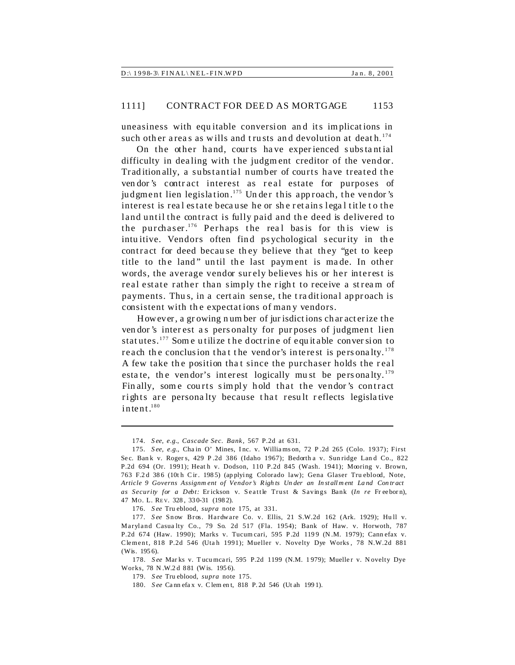|  | D:\ 1998-3\ FINAL\NEL-FIN.WPD |
|--|-------------------------------|
|  |                               |

uneasiness with equitable conversion and its implications in such other areas as wills and trusts and devolution at death.<sup>174</sup>

On the other hand, courts have experienced substantial difficulty in dealing with the judgment creditor of the vendor. Traditionally, a substantial number of courts have treated the vendor's contract interest as real estate for purposes of judgment lien legislation.<sup>175</sup> Under this approach, the vendor's interest is real estate because he or she retains legal title to the land until the contract is fully paid and the deed is delivered to the purchaser.<sup>176</sup> Perhaps the real basis for this view is intuitive. Vendors often find psychological security in the contract for deed because they believe that they "get to keep title to the land" until the last payment is made. In other words, the average vendor surely believes his or her interest is real estate rather than simply the right to receive a stream of payments. Thus, in a certain sense, the traditional approach is consistent with the expectations of many vendors.

However, a growing number of jurisdictions characterize the ven dor's interest as personalty for purposes of judgment lien statutes.<sup>177</sup> Some utilize the doctrine of equitable conversion to reach the conclusion that the vendor's interest is personalty.<sup>178</sup> A few take the position that since the purchaser holds the real estate, the vendor's interest logically must be personalty.<sup>179</sup> Finally, some courts simply hold that the vendor's contract rights are personalty because that result reflects legislative intent.<sup>180</sup>

<sup>174.</sup> See, e.g., Cascade Sec. Bank, 567 P.2d at 631.

<sup>175.</sup> See, e.g., Chain O' Mines, Inc. v. Williamson, 72 P.2d 265 (Colo. 1937); First Sec. Bank v. Rogers, 429 P.2d 386 (Idaho 1967); Bedortha v. Sunridge Land Co., 822 P.2d 694 (Or. 1991); Heath v. Dodson, 110 P.2d 845 (Wash. 1941); Mooring v. Brown, 763 F.2d 386 (10th Cir. 1985) (applying Colorado law); Gena Glaser Trueblood, Note, Article 9 Governs Assignment of Vendor's Rights Under an Installment Land Contract as Security for a Debt: Erickson v. Seattle Trust & Savings Bank (In re Freeborn), 47 Mo. L. REV. 328, 330-31 (1982).

<sup>176.</sup> See Trueblood, supra note 175, at 331.

<sup>177.</sup> See Snow Bros. Hardware Co. v. Ellis, 21 S.W.2d 162 (Ark. 1929); Hull v. Maryland Casualty Co., 79 So. 2d 517 (Fla. 1954); Bank of Haw. v. Horwoth, 787 P.2d 674 (Haw. 1990); Marks v. Tucumcari, 595 P.2d 1199 (N.M. 1979); Cannefax v. Clement, 818 P.2d 546 (Utah 1991); Mueller v. Novelty Dye Works, 78 N.W.2d 881  $(Wis. 1956)$ .

<sup>178.</sup> See Marks v. Tucumcari, 595 P.2d 1199 (N.M. 1979); Mueller v. Novelty Dye Works, 78 N.W.2d 881 (Wis. 1956).

<sup>179.</sup> See Trueblood, supra note 175.

<sup>180.</sup> See Cannefax v. Clement, 818 P.2d 546 (Utah 1991).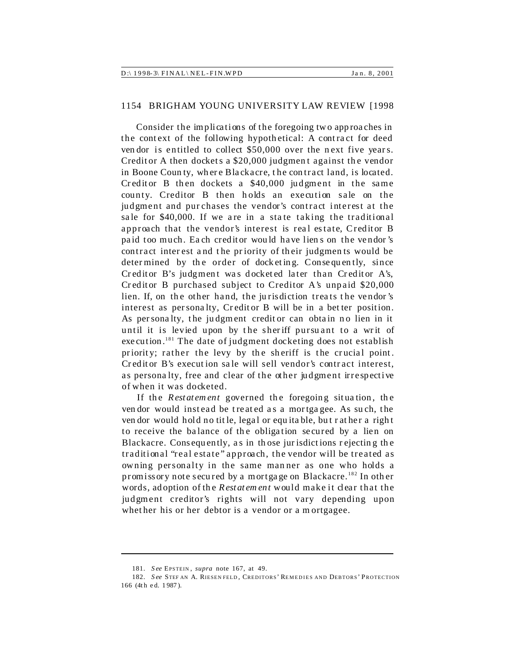| $D: 1998-3$ FINAL NEL-FIN. WPD | Jan. 8, 2001 |
|--------------------------------|--------------|
|                                |              |

Consider the implications of the foregoing two approaches in the context of the following hypothetical: A contract for deed ven dor is entitled to collect \$50,000 over the next five years. Creditor A then dockets a \$20,000 judgment against the vendor in Boone Coun ty, wh er e Bla ckacre, t he con tract land, is located. Creditor B then dockets a \$40,000 judgment in the same county. Creditor B then h olds an execution sale on the judgment and pur chases the vendor's contract interest at the sale for \$40,000. If we are in a state taking the traditional approach that the vendor's interest is real estate, Creditor B paid too much. Ea ch cred it or wou ld have lien s on the ve ndor 's contract interest and the priority of their judgments would be deter mined by the order of docketing. Consequently, since Creditor B's judgment was docketed later than Creditor A's, Creditor B purchased subject to Creditor A's unpaid \$20,000 lien. If, on the other hand, the jurisdiction treats the vendor's interest as personalty, Creditor B will be in a better position. As personalty, the judgment credit or can obtain no lien in it until it is levied upon by the sheriff pursuant to a writ of exe cution.<sup>181</sup> The date of judgment docketing does not establish priority; rather the levy by the sheriff is the crucial point. Creditor B's execution sale will sell vendor's contract interest, as persona lty, free and clear of the other judgment irrespective of when it was docketed.

If the *Restatement* governed the foregoing situation, the ven dor would instead be treated as a mortgagee. As such, the ven dor would hold no tit le, legal or equ ita ble, bu t r at her a righ t to receive the balance of the obligation secured by a lien on Blackacre. Consequently, a s in th ose jur isdict ions r ejectin g th e traditional "real estate" approach, the vendor will be treated as owning personalty in the same man ner as one who holds a promissory note secured by a mortgage on Blackacre.<sup>182</sup> In other words, adoption of th e *R estat em ent* would make it clear that the judgment creditor's rights will not vary depending upon whether his or her debtor is a vendor or a m ortgagee.

<sup>181.</sup> *S ee* EPSTEIN , *supra* note 167, at 49.

<sup>182.</sup> *S ee* STEF AN A. RIESEN FELD , CREDITORS' REMEDIES AND DEBTORS ' PROTECTION 166 (4th ed. 1987).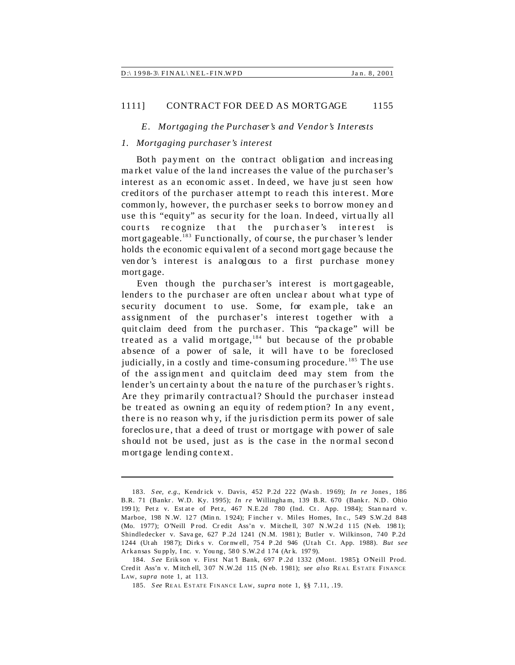#### *E. Mortgaging the Purchaser's and Vendor's Interests*

#### *1. Mortgaging purchaser's interest*

Both payment on the contract obligation and increasing market value of the land increases the value of the purchaser's interest as an economic asset. Indeed, we have just seen how cr ed it ors of the purchaser attempt to reach this interest. More common ly, however, th e pu rchaser seek s to borrow money an d use this "equity" as security for the loan. Indeed, virtually all courts recognize that the purchaser's interest is mort gageable.<sup>183</sup> Functionally, of course, the pur chaser's lender holds th e economic equivalent of a second mort gage because the ven dor 's interest is analogous to a first purchase money mortgage.

Even though the purchaser's interest is mortgageable, lenders to the purchaser are often unclear about what type of security document to use. Some, for example, take an assignment of the purchaser's interest together with a quit claim deed from the purchaser. This "package" will be treated as a valid mortgage, <sup>184</sup> but because of the probable absence of a power of sale, it will have to be foreclosed judicially, in a costly and time-consuming procedure.<sup>185</sup> The use of the assignment and quitclaim deed may stem from the lender's un certain ty a bout the nature of the purchaser's rights. Are they primarily contractual? Should the purchaser instead be treated as owning an equity of redemption? In any event, there is no reason wh y, if the jurisdiction perm its power of sale foreclos ure, that a deed of trust or mortgage with power of sale should not be used, just as is the case in the normal second mortgage lending context.

<sup>183.</sup> *S ee, e.g.*, Kendr ick v. Davis, 452 P.2d 222 (Wa sh . 19 69); *In re* Jones , 186 B.R. 71 (Bankr . W.D. Ky. 1995); *In re* Willingha m, 139 B.R. 670 (Bank r. N.D . Ohio 1991); Pet z v. Est at e of Pet z, 467 N.E.2d 780 (Ind. Ct. App. 1984); Stan nard v. Marboe, 198 N.W. 127 (Minn. 1924); Fincher v. Miles Homes, Inc., 549 S.W.2d 848 (Mo. 1977); O'Neill Prod. Cr edit Ass'n v. Mitchell, 307 N.W.2d 115 (Neb. 1981); Shindledecker v. Sava ge, 627 P .2d 1241 (N .M. 1981 ); Butler v. Wilkinson, 740 P.2d 1244 (Ut ah 198 7); Di rk s v. Cor nw ell , 75 4 P .2d 946 (Utah Ct. App. 1988). *But see* Arkansas Supply, Inc. v. Young, 580 S.W.2d 174 (Ark. 1979).

<sup>184.</sup> *S ee* Erik son v. First Nat 'l Bank, 697 P .2d 1332 (Mont. 1985); O'Neill Prod. Cred it Ass'n v. M itch ell, 307 N .W.2d 115 (Neb. 1981); see also REAL ESTATE FINANCE LAW, *supra* note 1, at 113.

<sup>185.</sup> *See* REAL ESTATE FINANCE LAW, *supra* note 1, §§ 7.11, .19.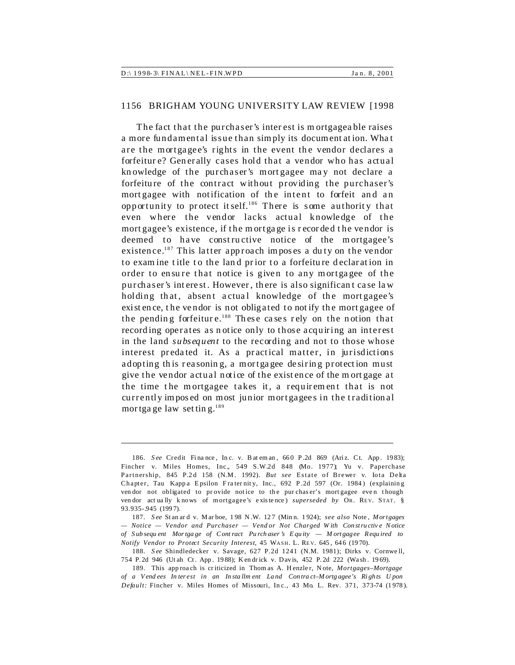| $D: 1998-3$ FINAL NEL-FIN. WPD<br>Jan. 8, 2001 |
|------------------------------------------------|
|------------------------------------------------|

The fact that the purchaser's interest is mortgageable raises a more fundamental issue than simply its document at ion. What are the mortgagee's rights in the event the vendor declares a forfeiture? Generally cases hold that a vendor who has actual knowledge of the purchaser's mortgagee may not declare a forfeiture of the contract without providing the purchaser's mortgagee with notification of the intent to forfeit and an opportunity to protect itself.<sup>186</sup> There is some authority that even where the vendor lacks actual knowledge of the mort gagee's existence, if the mort gage is recorded the vendor is deemed to have constructive notice of the mortgagee's existence.<sup>187</sup> This latter approach imposes a duty on the vendor to examine title to the land prior to a forfeiture declaration in order to ensure that notice is given to any mortgagee of the purchaser's interest. However, there is also significant case law holding that, absent actual knowledge of the mortgagee's existence, the vendor is not obligated to notify the mortgagee of the pending forfeiture.<sup>188</sup> These cases rely on the notion that recording operates as notice only to those acquiring an interest in the land subsequent to the recording and not to those whose interest predated it. As a practical matter, in jurisdictions adopting this reasoning, a mortgagee desiring protection must give the vendor actual notice of the existence of the mort gage at the time the mortgagee takes it, a requirement that is not currently imposed on most junior mortgagees in the traditional mortgage law setting.  $189$ 

188. See Shindledecker v. Savage, 627 P.2d 1241 (N.M. 1981); Dirks v. Cornwell, 754 P.2d 946 (Utah Ct. App. 1988); Kendrick v. Davis, 452 P.2d 222 (Wash. 1969).

<sup>186.</sup> See Credit Finance, Inc. v. Bateman, 660 P.2d 869 (Ariz. Ct. App. 1983); Fincher v. Miles Homes, Inc., 549 S.W.2d 848 (Mo. 1977); Yu v. Paperchase Partnership, 845 P.2d 158 (N.M. 1992). But see Estate of Brewer v. Iota Delta Chapter, Tau Kappa Epsilon Fraternity, Inc., 692 P.2d 597 (Or. 1984) (explaining vendor not obligated to provide notice to the purchaser's mortgagee even though vendor actually knows of mortgagee's existence) superseded by OR. REV. STAT. § 93.935-945 (1997).

<sup>187.</sup> See Stan ard v. Marboe, 198 N.W. 127 (Minn. 1924); see also Note, Mortgages  $-$  Notice  $-$  Vendor and Purchaser  $-$  Vendor Not Charged With Constructive Notice of Subsequent Mortgage of Contract Purchaser's Equity - Mortgagee Required to Notify Vendor to Protect Security Interest, 45 WASH. L. REV. 645, 646 (1970).

<sup>189.</sup> This approach is criticized in Thomas A. Henzler, Note, Mortgages-Mortgage of a Vendees Interest in an Installment Land Contract-Mortgagee's Rights Upon Default: Fincher v. Miles Homes of Missouri, Inc., 43 Mo. L. Rev. 371, 373-74 (1978).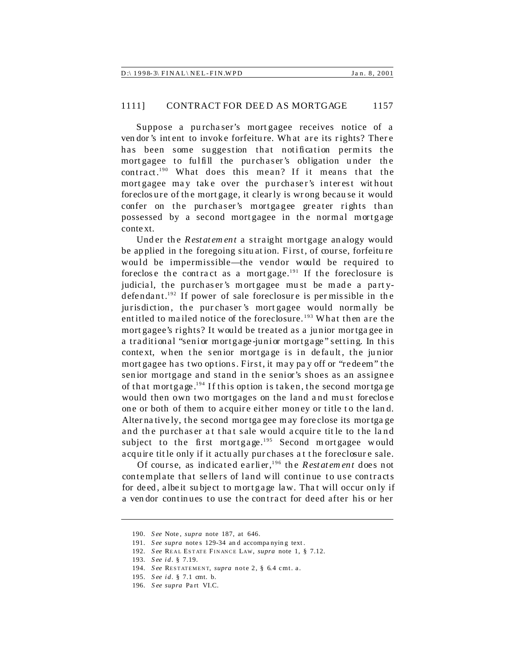| $D: \langle 1998-3 \rangle$ FINAL \NEL-FIN.WPD<br>Jan. 8, 2001 |
|----------------------------------------------------------------|
|----------------------------------------------------------------|

Suppose a purchaser's mortgagee receives notice of a ven dor's intent to invoke forfeiture. What are its rights? There has been some suggestion that notification permits the mortgagee to fulfill the purchaser's obligation under the contract.<sup>190</sup> What does this mean? If it means that the mortgagee may take over the purchaser's interest without foreclos ure of the mort gage, it clearly is wrong because it would confer on the purchaser's mortgagee greater rights than possessed by a second mortgagee in the normal mortgage context.

Under the *R estat em ent* a straight mortgage an alogy would be applied in the foregoing situ at ion. First, of course, forfeiture would be impermissible—the vendor would be required to foreclose the contract as a mortgage.<sup>191</sup> If the foreclosure is judicial, the purchaser's mortgagee must be made a partydefendant.<sup>192</sup> If power of sale foreclosure is permissible in the jurisdiction, the purchaser's mortgagee would normally be entitled to mailed notice of the foreclosure.<sup>193</sup> What then are the mort gagee's rights? It would be treated as a junior mortga gee in a traditional "sen ior mortgage-junior mortgage" setting. In this context, when the senior mortgage is in default, the junior mortgagee has two options. First, it may pa y off or "redeem" the senior mortgage and stand in the senior's shoes as an assignee of that mortgage.<sup>194</sup> If this option is taken, the second mortgage would then own two mortgages on the land a nd mu st foreclos e one or both of them to acquire either money or title to the land. Alter na tively, the second mortga gee may foreclose its mortga ge and the purchaser at that sale would acquire title to the land subject to the first mortgage.<sup>195</sup> Second mortgagee would acquire title only if it actually pur chases at the foreclosure sale.

Of course, as indicated earlier,<sup>196</sup> the *Restatement* does not contemplate that se llers of land w ill continue to use contracts for deed, albeit subject to mortgage law. That will occur only if a ven dor contin ues to use the con tract for deed after his or her

<sup>190.</sup> *S ee* Note , *supra* note 187, at 646.

<sup>191.</sup> *S ee supra* note s 129-34 an d accompa nyin g text .

<sup>192.</sup> *See* REAL ESTATE FINANCE LAW, *supra* note 1, § 7.12.

<sup>193.</sup> *S ee id.* § 7.19.

<sup>194.</sup> *See* RESTATEMENT, *supra* note 2, § 6.4 cmt. a.

<sup>195.</sup> *S ee id.* § 7.1 cmt. b.

<sup>196.</sup> See supra Part VI.C.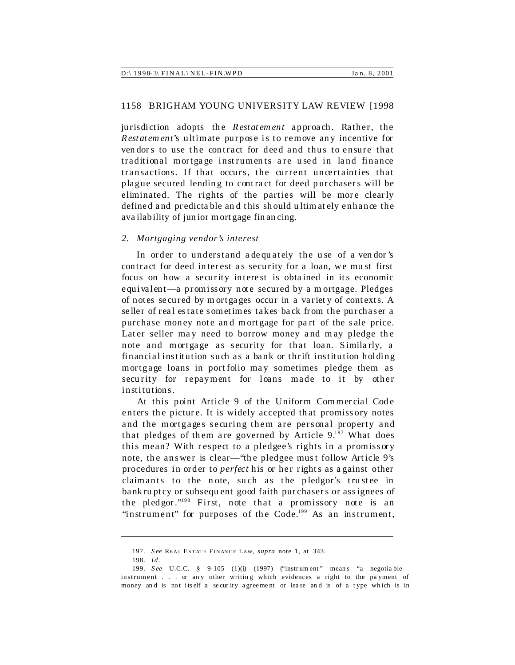| $D: 1998-3$ FINAL NEL-FIN. WPD<br>Jan. 8, 2001 |
|------------------------------------------------|
|------------------------------------------------|

jurisdiction adopts the *R estat em ent* approa ch. Rather, the *R estat em ent*'s ultimate purpose is to remove an y incentive for ven dors to use the contract for deed and thus to ensure that traditional mortgage instruments are used in land finance transactions. If that occurs, the current uncertainties that plague secured lendin g to cont ra ct for deed p ur chaser s will be eliminated. The rights of the parties will be more clearly defined and predicta ble an d this should ultim at ely enhance the ava ilability of jun ior mortgage fin an cing.

#### *2. Mortgaging vendor's interest*

In order to understand a de qu ately the u se of a ven dor 's contract for deed interest as security for a loan, we must first focus on how a security interest is obtained in its economic equivalent—a promissory note secured by a m ortgage. Pledges of notes se cured by m ortga ges occur in a va riet y of contexts. A seller of real estate sometimes takes back from the purchaser a purchase money note an d mortgage for pa rt of the sale price. Later seller may need to borrow money and m ay pledge the note and mortgage as security for that loan. Simila rly, a financial institution such as a bank or thrift institution holding mortgage loans in portfolio may sometimes pledge them as secu rity for repayment for loans made to it by other institutions.

At this point Article 9 of the Uniform Commercial Code enters the picture. It is widely accepted that promissory notes and the mortgages securing them are personal property and that pledges of them are governed by Article  $9.197$  What does this mean? With respect to a pledgee's rights in a promissory note, the answer is clear—"the pledgee must follow Article 9's procedures in order to *perfect* his or her rights as a gainst other claimants to the note, such as the pledgor's trustee in bank ru ptcy or subsequ ent good faith pur chaser s or ass ignees of the pled gor ." <sup>198</sup> First, note that a promissory note is an "instrument" for purposes of the Code.<sup>199</sup> As an instrument,

<sup>197.</sup> See REAL ESTATE FINANCE LAW, *supra* note 1, at 343.

<sup>198.</sup> *Id.*

<sup>199.</sup> *S ee* U.C.C. § 9-105 (1)(i) (1997) ("instr um ent " mean s "a negotia ble instrument . . . or any other writing which evidences a right to the payment of money and is not its elf a security agreement or lease and is of a type which is in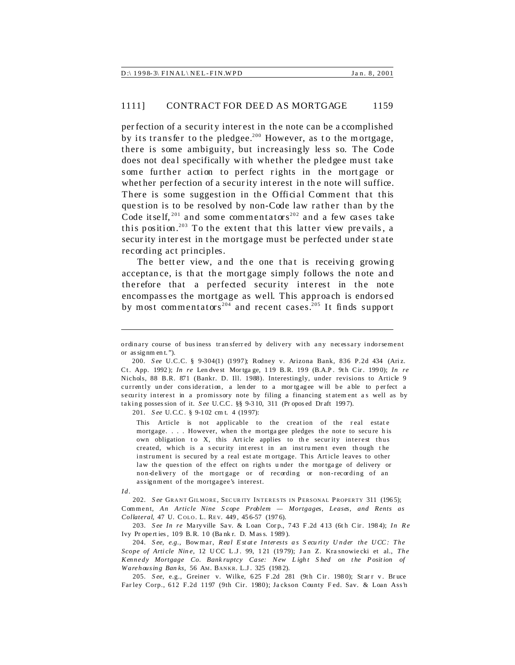perfection of a security interest in the note can be a ccomplished by its transfer to the pledgee.<sup>200</sup> However, as to the mortgage, there is some ambiguity, but increasingly less so. The Code does not deal specifically with whether the pledgee must take some further action to perfect rights in the mortgage or whether perfection of a security interest in the note will suffice. There is some suggestion in the Official Comment that this question is to be resolved by non-Code law rather than by the Code itself,  $201$  and some commentators  $202$  and a few cases take this position.<sup>203</sup> To the extent that this latter view prevails, a security interest in the mortgage must be perfected under state recording act principles.

The better view, and the one that is receiving growing acceptance, is that the mortgage simply follows the note and therefore that a perfected security interest in the note encompasses the mortgage as well. This approach is endorsed by most commentators<sup>204</sup> and recent cases.<sup>205</sup> It finds support

201. *S ee* U. C.C . § 9-1 02 cm t. 4 (19 97):

This Article is not applicable to the creation of the real estate mortgage. . . . However, when the mortgagee pledges the note to secure his own obligation to X, this Article applies to the security interest thus created, which is a security interest in an instrument even though the instrument is secured by a real estate mortgage. This Article leaves to other law the question of the effect on rights under the mortgage of delivery or non-delivery of the mortgage or of recording or non-recording of an assignment of the mortgagee's interest.

*Id.*

202. *See* GRANT GILMORE, SECURITY INTERESTS IN PERSONAL PROPERTY 311 (1965); Comment, *An Article Nine S cope Problem — Mortgages, Leases, and Rents as Collateral*, 47 U. C OLO. L. RE V. 449 , 45 6-57 (197 6).

203. *S ee In re* Ma ry ville Sa v. & L oan Cor p., 7 43 F .2d 4 13 (6t h C ir . 198 4); *In Re* Ivy Pr operties, 109 B.R. 10 (Bank r. D. Mass. 1989).

204. See, e.g., Bowmar, *Real Estate Interests as Security Under the UCC*: The *Scope of Arti cle Nin e,* 12 U CC L .J . 99, 1 21 (19 79); J an Z. Kra snowie cki et al., *The* Kennedy Mortgage Co. Bank ruptcy Case: New Light Shed on the Position of *Warehousing Ban ks,* 56 AM. BANKR. L.J . 325 (198 2).

205. *See*, e.g., Greiner v. Wilke, 625 F.2d 281 (9th Cir. 1980); Starr v. Bruce Far ley Corp., 612 F.2d 1197 (9th Cir. 1980); Ja ckson County F ed. Sav. & Loan Ass'n

ordinary course of bus iness tr an sferr ed by deliv ery with any necessary indorsement or as sig nm en t. ").

<sup>200.</sup> *See* U.C.C. § 9-304(1) (1997); Rodney v. Arizona Bank, 836 P.2d 434 (Ariz. Ct. App. 1992 ); *In re* Len dve st Mor tga ge, 1 19 B. R. 19 9 (B.A.P . 9t h C ir . 199 0); *In re* Nichols, 88 B.R. 871 (Bankr. D. Ill. 1988). Interestingly, under revisions to Article 9 currently under consideration, a lender to a mortgagee will be able to perfect a security interest in a promissory note by filing a financing st atem ent a s well as by taking posses sion of it. *S ee* U. C.C . §§ 9-3 10, 311 (Pr opos ed Dr aft 199 7).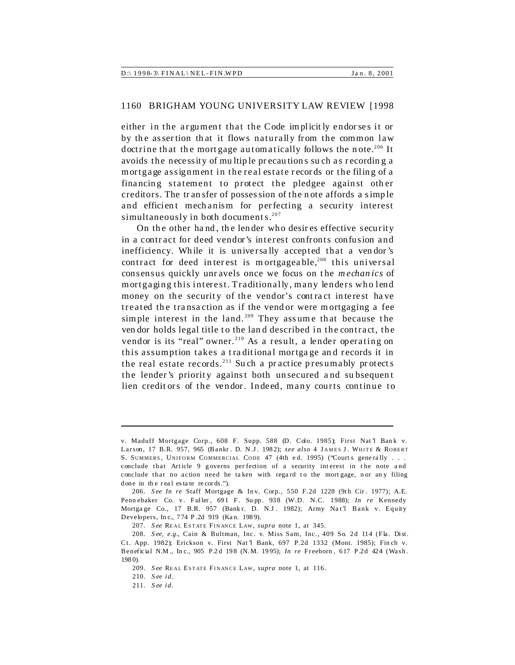| $D: 1998-3$ FINAL NEL-FIN.WPD |  |  | Jan. 8, 2001 |  |
|-------------------------------|--|--|--------------|--|
|-------------------------------|--|--|--------------|--|

either in the argument that the Code implicitly endorses it or by the assertion that it flows naturally from the common law doctrine that the mortgage automatically follows the note.<sup>206</sup> It avoids the necessity of mu ltiple pr ecau tions su ch as recordin g a mortgage assignment in the real estate records or the filing of a financing statement to protect the pledgee against other creditors. The tr an sfer of possession of the n ote affords a simple and efficient mechanism for perfecting a security interest simultaneously in both documents.<sup>207</sup>

On the other ha nd, th e lender who desir es effective security in a contr act for deed vendor 's interest confronts confusion and inefficiency. Wh ile it is universa lly accep ted that a ven dor 's contract for deed interest is mortgageable,<sup>208</sup> this universal consensus quickly unr avels once we focus on t he *m echan ics* of mortgaging this interest. Traditionally, many lenders who lend money on the security of the vendor's contract interest have treated the transa ction as if the vendor were mortgaging a fee simple interest in the land.<sup>209</sup> They assume that because the ven dor holds legal title to the land described in the contract, the vendor is its "real" owner.<sup>210</sup> As a result, a lender operating on this assumption takes a t ra ditional mortga ge an d records it in the real estate records.<sup>211</sup> Such a practice presumably protects the lender's priority against both unsecured and subsequent lien credit ors of the vendor. Indeed, many courts continue to

v. Maduff Mortgage Corp., 608 F. Supp. 588 (D. Colo. 1985); First Nat'l Bank v. Larson, 17 B.R. 957, 965 (Bankr. D. N.J. 1982); *see also* 4 JAMES J. WHITE & ROBERT S. SUMMERS, UNIFORM COMMERCIAL CODE 47 (4th ed. 1995) ("Court s generally . . . conclude that Article 9 governs per fection of a security interest in the note and conclude that no action need be taken with regard to the mort gage, nor any filing done in the real estate records.").

<sup>206.</sup> *See In re* Staff Mortgage & Inv. Corp., 550 F.2d 1228 (9th Cir. 1977); A.E. Penn ebaker Co. v. Fuller, 691 F. Supp. 938 (W.D. N.C. 1988); *In re* Kennedy Mortga ge Co., 17 B.R. 957 (Bank r. D. N.J . 1982); Army Na t'l Bank v. Equity Developers, Inc., 774 P.2d 919 (Kan. 1989).

<sup>207.</sup> See REAL ESTATE FINANCE LAW, *supra* note 1, at 345.

<sup>208.</sup> *See, e.g.*, Cain & Bultman, Inc. v. Miss Sam, Inc., 409 So. 2d 114 (Fla. Dist. Ct. App. 1982); Erickson v. First Nat 'l Bank, 697 P.2d 1332 (Mont. 1985); Fin ch v. Beneficial N.M ., In c., 905 P.2 d 19 8 (N. M. 19 95); *In re* Freeborn , 617 P.2d 424 (Wash. 198 0).

<sup>209.</sup> See REAL ESTATE FINANCE LAW, *supra* note 1, at 116.

<sup>210.</sup> *S ee id.*

<sup>211.</sup> *S ee id.*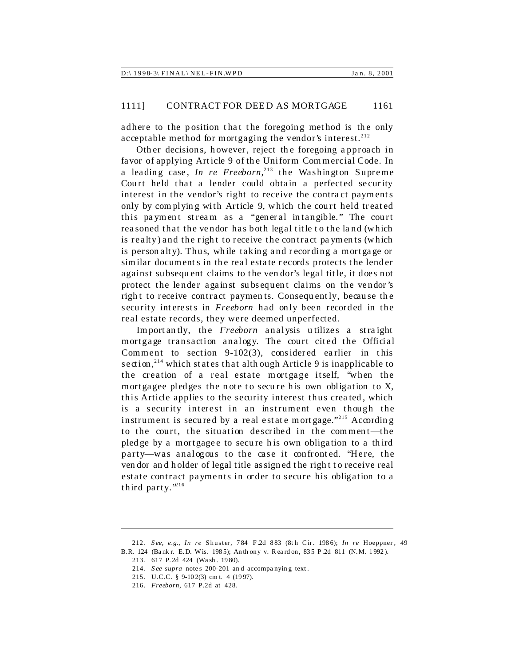|  |  | $D$ :\ 1998-3\ FINAL\ NEL-FIN.WPD | Jan. 8, 2001 |
|--|--|-----------------------------------|--------------|
|--|--|-----------------------------------|--------------|

adhere to the position that the foregoing method is the only acceptable method for mortgaging the vendor's interest. $^{212}$ 

Other decisions, however, reject the foregoing approach in favor of applying Article 9 of the Uniform Commercial Code. In a leading case, *In re Freeborn*, 213 the Washington Supreme Court held that a lender could obtain a perfected security interest in the vendor's right to receive the contra ct paym ent s only by com plyin g with Article 9, w hich the cou rt held treated this payment stream as a "general intangible." The court reasoned that the vendor has both legal title to the land (which is realty) and the right to receive the contract payments (which is personalty). Thus, while taking and recording a mortgage or similar documents in the real estate records protects the lender against subsequent claims to the ven dor's legal title, it does not protect the lender against subsequent claims on the vendor's right to receive contract payments. Consequently, because the security int erests in *Freeborn* had only been recorded in the real estate records, they were deemed unperfected.

Import an tly, the *Freeborn* analysis u tilizes a stra ight mortgage transaction analogy. The court cited the Official Comment to section  $9-102(3)$ , considered earlier in this section,<sup>214</sup> which states that although Article 9 is inapplicable to the creation of a real estate mortgage itself, "when the mortgagee pledges the note to secure his own obligation to  $X$ , this Article applies to the security interest thus crea ted, which is a security interest in an instrument even though the instrument is secured by a real estate mortgage."<sup>215</sup> According to the court, the situation described in the comment—the pledge by a mortgage e to secure h is own obligation to a th ird party—was analogous to the case it confronted. "Here, the ven dor and holder of legal title assigned the right to receive real estate contract payments in order to secure his obligation to a third party. $"216"$ 

<sup>212.</sup> *S ee, e.g.*, *In re* Shuster, 7 84 F .2d 8 83 (8t h C ir . 198 6); *In re* Hoeppner , 49 B.R. 124 (Ba nk r. E. D. W is. 198 5); An th on y v. R ea rd on , 83 5 P .2d 811 (N. M. 1 992 ).

<sup>213. 617</sup> P.2d 424 (Wash. 1980).

<sup>214.</sup> *S ee supra* note s 200-201 an d accompa nyin g text .

<sup>215.</sup> U.C.C. § 9-102(3) cm t. 4 (1997).

<sup>216.</sup> *Freeborn*, 617 P.2d at 428.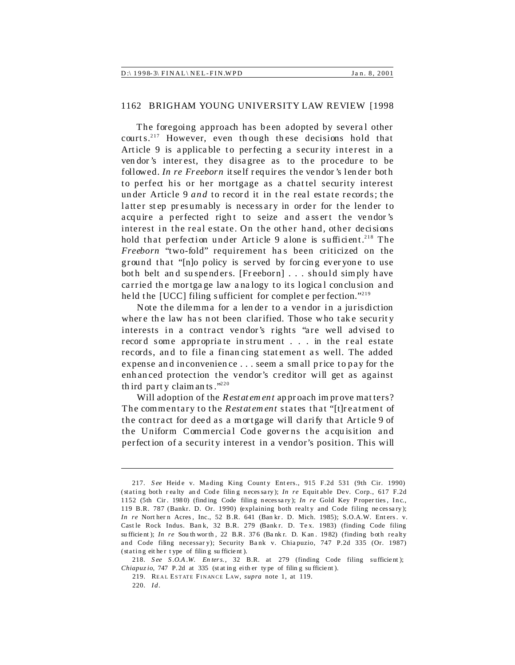|  | $D: 1998-3$ FINAL NEL-FIN. WPD | Jan. 8, 2001 |
|--|--------------------------------|--------------|
|--|--------------------------------|--------------|

The foregoing approach has been adopted by several other courts.<sup>217</sup> However, even though these decisions hold that Article 9 is applicable to perfecting a security interest in a ven dor 's inter est, they disagree as to the procedure to be followed. *In re Freeborn* itself requires the vendor's lender both to perfect his or her mortgage as a chat tel security interest under Article 9 *and* to record it in the real estate records; the latter step presumably is necessary in order for the lender to acquire a perfected right to seize and assert the vendor's interest in the real estate. On the other hand, other decisions hold that perfection under Article 9 alone is sufficient.<sup>218</sup> The Freeborn "two-fold" requirement has been criticized on the ground that "[n]o policy is served by forcing everyone to use both belt and suspenders. [Freeborn] . . . should simply have carried the mortgage law analogy to its logical conclusion and held the [UCC] filing sufficient for complete per fection."<sup>219</sup>

Note the dilemma for a len der to a vendor in a jurisdiction where the law has not been clarified. Those who take security interests in a contract vendor's rights "are well advised to record some appropriate instrument . . . in the real estate records, and to file a financing statement as well. The added expense an d inconvenien ce . . . seem a small price to pay for the enhanced protection the vendor's creditor will get as against th ird part y claim an ts."220

Will adoption of the *R estat em ent* approach im prove matters? The commentary to the *R estat em ent* states that "[t]r eatment of the contract for deed as a mortgage will clarify that Article 9 of the Uniform Commercial Code governs the acquisition and perfection of a security interest in a vendor's position. This will

<sup>217.</sup> *See* Heide v. Mading King County Enters., 915 F.2d 531 (9th Cir. 1990) (stating both realty and Code filing necessary); *In re* Equitable Dev. Corp., 617 F.2d 1152 (5th Cir. 1980) (finding Code filing necessary); *In re* Gold Key Proper ties, Inc., 119 B.R. 787 (Bankr. D. Or. 1990) (explaining both realty and Code filing necessary); *In re* Nort her n Acres, Inc., 52 B.R. 641 (Ban kr. D. Mich. 1985); S.O.A.W. Ent ers. v. Cast le Rock Indus. Ban k, 32 B.R. 279 (Bank r. D. Tex. 1983) (finding Code filing su fficient); *In re* South worth, 22 B.R. 376 (Bankr. D. Kan. 1982) (finding both realty and Code filing necessar y); Security Ba nk v. Chia puzio, 747 P.2d 335 (Or. 1987) (stating eit he r t ype of filin g su fficie nt ).

<sup>218.</sup> *S ee S .O.A .W. En ter s.*, 32 B.R. at 279 (finding Code filing su fficie nt ); *Chiapuz io*, 747 P. 2d at 335 (st at in g ei th er ty pe of filin g su fficie nt ).

<sup>219.</sup> REAL ESTATE FINANCE LAW, *supra* note 1, at 119.

<sup>220.</sup> *Id.*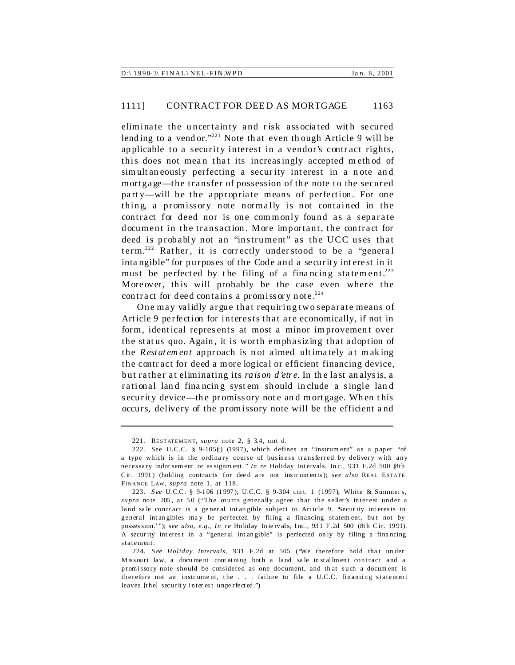|  | D:\ 1998-3\ FINAL\NEL-FIN.WPD |
|--|-------------------------------|

eliminate the uncertainty and risk associated with secured lending to a vend or."<sup>221</sup> Note that even though Article 9 will be applicable to a security interest in a vendor's contr act rights, this does not mean that its increasingly accepted method of simult an eously perfecting a secur ity interest in a note and mortgage—the transfer of possession of the note to the secured part y—will be the appropriate means of perfection. For one thing, a promissory note normally is not contained in the contract for deed nor is one com monly found as a separate document in the transaction . More important, the contract for deed is probably not an "instrument" as the UCC uses that term.<sup>222</sup> Rather, it is correctly understood to be a "general inta ngible" for purposes of the Code and a security int erest in it must be perfected by the filing of a financing statement.<sup>223</sup> Moreover, this will probably be the case even where the contract for deed contains a promissory note.<sup>224</sup>

One may validly argue that requiring two separate means of Article 9 perfection for interests that are economically, if not in form, identical represents at most a minor improvement over the stat us quo. Again , it is worth emphasizing that adoption of the *R estat em ent* approach is n ot aimed ult ima tely a t m ak ing the contr act for deed a more logica l or efficient financing device, but rather at eliminating its *ra ison d'etre.* In th e last an alysis, a rational land financing system should include a single land security device—the promissory note and mortgage. When this occurs, delivery of the promissory note will be the efficient a nd

<sup>221.</sup> RESTATEMENT, *supra* note 2, § 3.4, cmt d.

<sup>222.</sup> See U.C.C. § 9-105 $(i)$  (1997), which defines an "instrum ent" as a paper "of a type which is in the ordina ry course of business transferred by delivery with any necessary indor sem ent or as signm ent ." *In re* Holiday Int ervals, In c., 931 F.2d 500 (8th Cir. 1991) (holding contracts for deed are not instruments); see also REAL ESTATE FINANCE LAW, *supra* note 1, at 118.

<sup>223.</sup> *See* U.C.C. § 9-106 (1997); U.C.C. § 9-304 cmt. 1 (1997); White & Summers, supra note 205, at 50 ("The courts generally agree that the seller's interest under a land sale contract is a general intangible subject to Article 9. Security interests in general intangibles may be perfected by filing a financing statement, but not by posses sion.'"); see also, e.g., *In re* Holiday Intervals, Inc., 931 F.2d 500 (8th Cir. 1991). A secur ity int eres t in a "gener al int an gible" is perfected on ly by filing a fina ncing statement.

<sup>224.</sup> See Holiday Intervals, 931 F.2d at 505 ("We therefore hold that under Missouri law, a document containing both a land sale in stallment contract and a promissory note should be considered as one document, and that such a document is therefore not an instrument, the . . . failure to file a U.C.C. financing statement leaves [the] security interest unperfected.")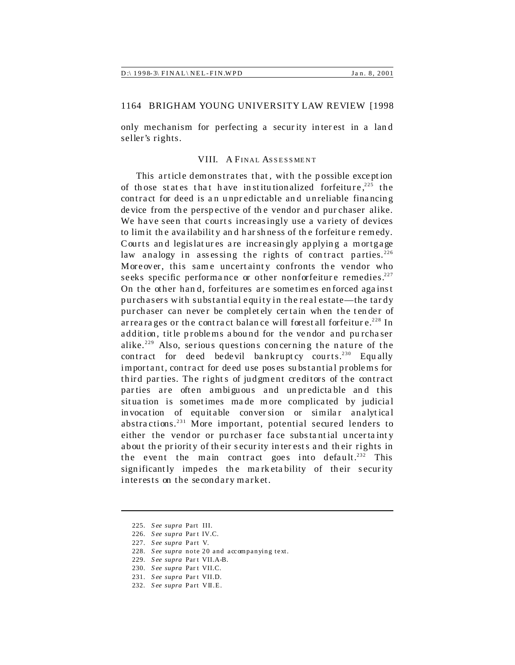only mechanism for perfecting a secur ity inter est in a lan d seller's rights.

### VIII. A FINAL ASSESSMENT

This article demonstrates that, with the possible exception of those states that have institutionalized forfeiture,<sup>225</sup> the contract for deed is an unpredictable and unreliable financing de vice from the perspective of th e vendor an d pur chaser alike. We have seen that courts increasingly use a variety of devices to limit th e ava ilabilit y an d har shness of th e forfeitur e remedy. Courts and legislatures are increasingly applying a mortgage law analogy in assessing the rights of contract parties.<sup>226</sup> Moreover, this same uncertainty confronts the vendor who seeks specific performance or other nonforfeiture remedies. $227$ On the other hand, forfeitures are sometimes enforced against purchasers with substantial equity in the real estate—the tardy purchaser can never be completely certain when the tender of arrearages or the contract balance will forest all forfeiture.<sup>228</sup> In addition, title problems abound for the vendor and purchaser alike.<sup>229</sup> Also, serious questions concerning the nature of the contract for deed bedevil bankruptcy courts.<sup>230</sup> Equally important, contract for deed use poses substantial problems for third parties. The rights of judgment creditors of the contract par ties are often ambiguous and unpredictable and this situa tion is sometimes ma de more complicated by judicial in vocation of equitable conversion or similar analytical abstractions.<sup>231</sup> More important, potential secured lenders to either the vendor or purchaser face substantial uncertainty about the priority of their security interests and their rights in the event the main contract goes into default.<sup>232</sup> This significantly impedes the marketability of their security interests on the secondary market.

230. See supra Part VII.C.

<sup>225.</sup> *S ee supra* Part III.

<sup>226.</sup> See supra Part IV.C.

<sup>227.</sup> *S ee supra* Part V.

<sup>228.</sup> *S ee supra* note 20 and accompanying text.

<sup>229.</sup> *S ee supra* Par t VII.A-B.

<sup>231.</sup> *See supra* Part VII.D.

<sup>232.</sup> *S ee supra* Part VII.E.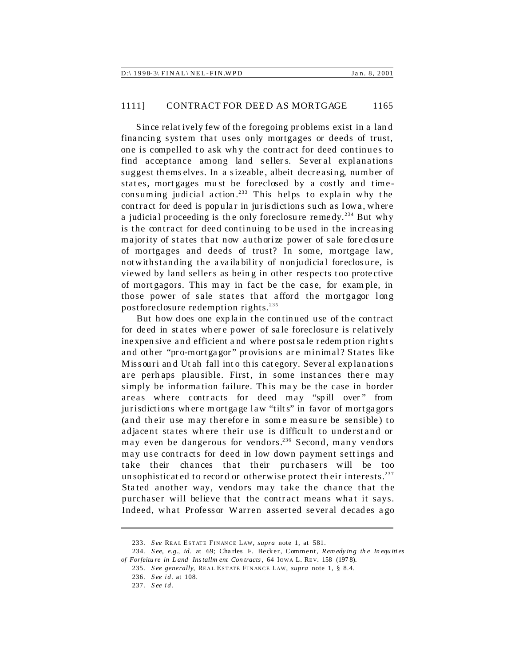|  | $D$ :\ 1998-3\ FINAL\ NEL-FIN.WPD | Jan. 8, 2001 |
|--|-----------------------------------|--------------|
|--|-----------------------------------|--------------|

Since relatively few of the foregoing problems exist in a land financing system that uses only mortgages or deeds of trust, one is compelled to ask why the contract for deed continues to find acceptance among land sellers. Several explanations suggest themselves. In a sizeable, albeit decreasing, number of states, mortgages must be foreclosed by a costly and timeconsuming judicial action.<sup>233</sup> This helps to explain why the contract for deed is popular in jurisdictions such as Iowa, where a judicial proceeding is the only foreclosure remedy.<sup>234</sup> But why is the contract for deed continuing to be used in the increasing majority of states that now authorize power of sale foreclosure of mortgages and deeds of trust? In some, mortgage law, not with standing the availability of nonjudicial foreclosure, is viewed by land sellers as being in other respects too protective of mortgagors. This may in fact be the case, for example, in those power of sale states that afford the mortgagor long postforedosure redemption rights.<sup>235</sup>

But how does one explain the continued use of the contract for deed in states where power of sale foreclosure is relatively inexpensive and efficient and where postsale redemption rights and other "pro-mortgagor" provisions are minimal? States like Missouri and Utah fall into this category. Sever al explanations are perhaps plausible. First, in some instances there may simply be information failure. This may be the case in border areas where contracts for deed may "spill over" from jurisdictions where mortgage law "tilts" in favor of mortgagors (and their use may therefore in some measure be sensible) to adjacent states where their use is difficult to understand or may even be dangerous for vendors.<sup>236</sup> Second, many vendors may use contracts for deed in low down payment settings and take their chances that their purchasers will be too un sophisticated to record or otherwise protect their interests.<sup>237</sup> Stated another way, vendors may take the chance that the purchaser will believe that the contract means what it says. Indeed, what Professor Warren asserted several decades ago

<sup>233.</sup> See REAL ESTATE FINANCE LAW, supra note 1, at 581.

<sup>234.</sup> See, e.g., id. at 69; Charles F. Becker, Comment, Remedying the Inequities of Forfeiture in Land Installm ent Contracts, 64 Iowa L. REV. 158 (1978).

<sup>235.</sup> See generally, REAL ESTATE FINANCE LAW, supra note 1, § 8.4.

<sup>236.</sup> See id. at 108.

<sup>237.</sup> See id.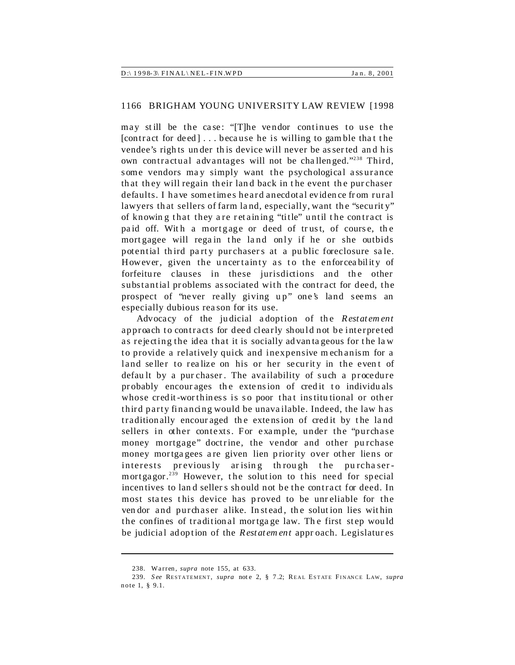| $D$ :\ 1998-3\ FINAL\ NEL-FIN.WPD | Jan. 8, 2001 |
|-----------------------------------|--------------|
|-----------------------------------|--------------|

may still be the case: "[T]he vendor continues to use the [contract for deed]... because he is willing to gamble that the vendee's rights un der th is device will never be as serted an d his own contractual advantages will not be challenged."<sup>238</sup> Third, some vendors may simply want the psychological assurance th at they will regain their land back in the event the pur chaser defaults. I have sometimes heard anecd otal evidence from rural lawyers that sellers of farm land, especially, want the "security" of knowing that they are retaining "title" until the contract is paid off. With a mortgage or deed of trust, of course, the mortgagee will regain the land only if he or she outbids potential third party pur chasers at a public foreclosure sale. However, given the uncertainty as to the enforceability of forfeiture clauses in these jurisdictions and the other substantial problems associated with the contract for deed, the prospect of "never really giving up" one's land seems an especially dubious rea son for its use.

Advocacy of the judicial adoption of the *Restatement* approach to contracts for deed clearly should not be interpreted as rejecting the idea that it is socially advantageous for the law to provide a relatively quick and inexpensive m ech anism for a land seller to realize on his or her security in the event of defau lt by a pur chaser. The availability of such a procedure probably encourages the extension of credit to individuals whose credit-wor thin ess is so poor that institutional or other third party financing would be unavailable. Indeed, the law has traditionally encour aged th e exte ns ion of cred it by t he la nd sellers in other contexts. For example, under the "purchase money mortgage" doctrine, the vendor and other purchase money mortga gees a re given lien priority over other liens or interests previously arising through the purchasermortgagor.<sup>239</sup> However, the solution to this need for special incentives to lan d seller s sh ould not be the contract for deed. In most states this device has proved to be unreliable for the ven dor and purchaser alike. In stead, the solution lies within the confines of traditional mortgage law. The first step would be judicial adoption of the *Restatement* approach. Legislatures

<sup>238.</sup> Warren, *supra* note 155, at 633.

<sup>239.</sup> See RESTATEMENT, *supra* note 2, § 7.2; REAL ESTATE FINANCE LAW, *supra* note 1, § 9.1.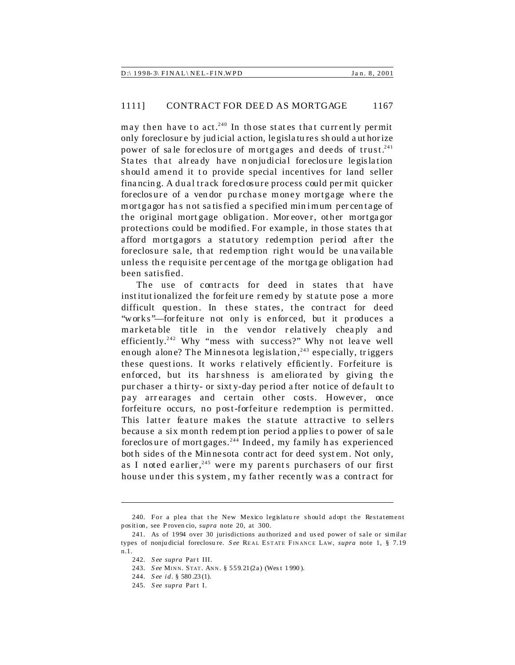may then have to act.<sup>240</sup> In those states that currently permit only foreclosur e by judicial action, legislatu res sh ould a ut horize power of sale for eclosure of mortgages and deeds of trust. $241$ States that already have nonjudicial foreclosure legislation should amend it to provide special incentives for land seller financing. A dual track foreclosure process could per mit quicker foreclos ure of a ven dor pu rchase money mortgage where the mortgagor ha s not sa tisfied a specified min imum per cen tage of the original mortgage obligation. Moreover, other mortgagor protections could be modified. For example, in those states th at afford mortgagors a statutory redemption period after the foreclosure sale, th at redemp tion right would be una vailable unless the requisite per centage of the mortgage obligation had been satisfied.

The use of contracts for deed in states that have institutionalized the for feiture r emedy by statute pose a more difficult question. In these states, the contract for deed "works"-forfeiture not only is enforced, but it produces a marketable title in the vendor relatively cheaply and efficiently.<sup>242</sup> Why "mess with success?" Why not leave well enough alone? The Minnes ota legislation, $243$  especially, triggers these questions. It works relatively efficiently. Forfeiture is enforced, but its harshness is ameliorated by giving the pur chaser a t hir ty- or sixt y-day period a fter notice of default to pay arr earages and certain other costs. However, once forfeiture occurs, no post-forfeiture redemption is permitted. This latter feature makes the statute attractive to sellers because a six m onth redem pt ion period a pp lies t o power of sa le foreclos ure of mort gages.<sup>244</sup> Indeed, my family h as experienced both sides of the Minnesota contract for deed system. Not only, as I noted earlier,  $245$  were my parents purchasers of our first house under this system, my father recently was a contract for

<sup>240.</sup> For a plea that the New Mexico legislature should adopt the Restatement position, see P roven cio, *supra* note 20, at 300.

<sup>241.</sup> As of 1994 over 30 jurisdictions authorized and used power of sale or similar types of nonjudicial foreclosure. *See* REAL ESTATE FINANCE LAW, *supra* note 1, § 7.19 n.1.

<sup>242.</sup> *S ee supra* Part III.

<sup>243.</sup> *See MINN. STAT. ANN.* § 559.21(2a) (West 1990).

<sup>244.</sup> *S ee id.* § 580 .23 (1).

<sup>245.</sup> *S ee supra* Part I.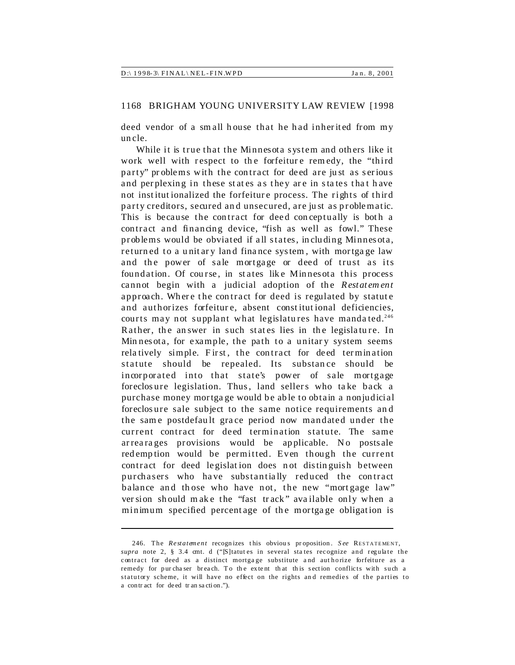|  | D:\ 1998-3\ FINAL\NEL-FIN.WPD |  |
|--|-------------------------------|--|

deed vendor of a small house that he had inherited from my uncle.

While it is true that the Minnesota system and others like it work well with respect to the forfeiture remedy, the "third party" problems with the contract for deed are just as serious and perplexing in these states as they are in states that have not institut ionalized the forfeiture process. The rights of third party creditors, secured an d unsecured, are ju st as p roble matic. This is because the contract for deed conceptually is both a contract and financing device, "fish as well as fowl." These problems would be obviated if all states, including Minnesota, returned to a unitary land finance system, with mortgage law and the power of sale mortgage or deed of trust as its foundation. Of course, in states like Minnesota this process cannot begin with a judicial adoption of the *Restatement* approach. Where the contract for deed is regulated by statute and authorizes forfeitur e, absent const itut ional deficiencies, courts may not supplant what legislatures have mandated.<sup>246</sup> Rather, the answer in such states lies in the legislature. In Min nesota, for example, the path to a unitary system seems relatively simple. First, the contract for deed termination statute should be repealed. Its substan ce should be incorporated into that state's power of sale mortgage foreclos ure legislation. Thus, land sellers who take back a purchase money mortga ge would be able to obtain a nonjudicial foreclos ure sale subject to the same notice requirements an d the sam e postdefault grace period now mandated under the current contract for deed termination statute. The same arrearages provisions would be applicable. No postsale redemption would be permitted. Even though the current contract for deed legislat ion does n ot distin guish between purchasers who have substantially reduced the contract balance and those who have not, the new "mort gage law" ver sion should make the "fast track" available only when a minimum specified percentage of the mortgage obligation is

<sup>246.</sup> The *Restatement* recognizes this obvious proposition. See RESTATEMENT, *supra* note 2,  $\S$  3.4 cmt. d (" $\S$ ) tatutes in several states recognize and regulate the contract for deed as a distinct mortgage substitute and authorize forfeiture as a remedy for pur chaser breach. To the extent that this section conflicts with such a statutory scheme, it will have no effect on the rights and remedies of the parties to a con tr act for de ed tr an sa cti on .").